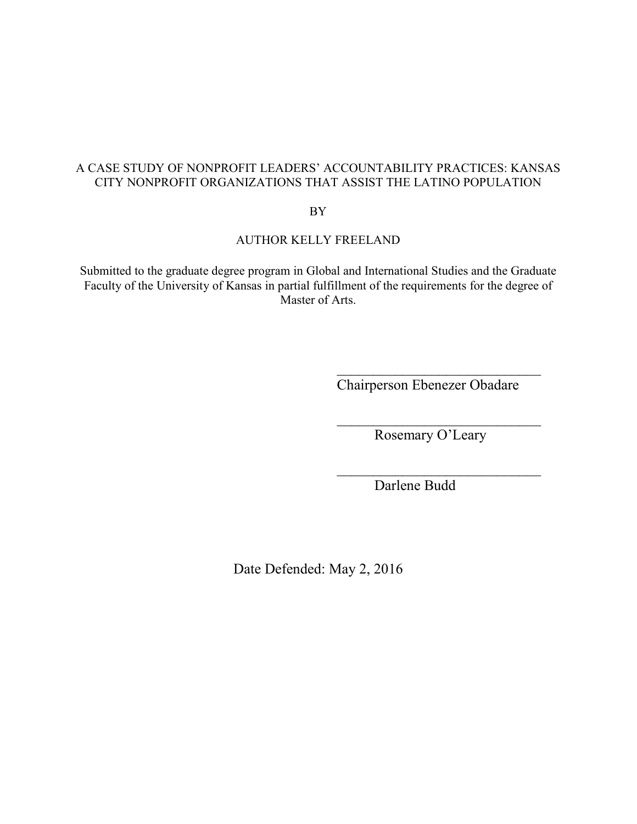## A CASE STUDY OF NONPROFIT LEADERS' ACCOUNTABILITY PRACTICES: KANSAS CITY NONPROFIT ORGANIZATIONS THAT ASSIST THE LATINO POPULATION

BY

## AUTHOR KELLY FREELAND

Submitted to the graduate degree program in Global and International Studies and the Graduate Faculty of the University of Kansas in partial fulfillment of the requirements for the degree of Master of Arts.

 $\frac{1}{\sqrt{2}}$  ,  $\frac{1}{\sqrt{2}}$  ,  $\frac{1}{\sqrt{2}}$  ,  $\frac{1}{\sqrt{2}}$  ,  $\frac{1}{\sqrt{2}}$  ,  $\frac{1}{\sqrt{2}}$  ,  $\frac{1}{\sqrt{2}}$  ,  $\frac{1}{\sqrt{2}}$  ,  $\frac{1}{\sqrt{2}}$  ,  $\frac{1}{\sqrt{2}}$  ,  $\frac{1}{\sqrt{2}}$  ,  $\frac{1}{\sqrt{2}}$  ,  $\frac{1}{\sqrt{2}}$  ,  $\frac{1}{\sqrt{2}}$  ,  $\frac{1}{\sqrt{2}}$ 

 $\overline{\phantom{a}}$  , and the contract of the contract of the contract of the contract of the contract of the contract of the contract of the contract of the contract of the contract of the contract of the contract of the contrac

 $\overline{\phantom{a}}$  , and the contract of the contract of the contract of the contract of the contract of the contract of the contract of the contract of the contract of the contract of the contract of the contract of the contrac

Chairperson Ebenezer Obadare

Rosemary O'Leary

Darlene Budd

Date Defended: May 2, 2016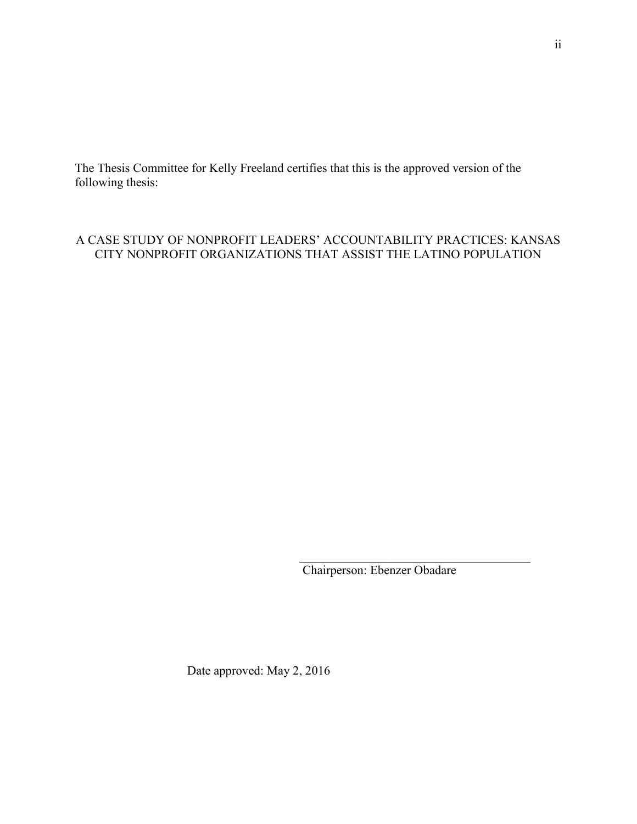The Thesis Committee for Kelly Freeland certifies that this is the approved version of the following thesis:

## A CASE STUDY OF NONPROFIT LEADERS' ACCOUNTABILITY PRACTICES: KANSAS CITY NONPROFIT ORGANIZATIONS THAT ASSIST THE LATINO POPULATION

Chairperson: Ebenzer Obadare

Date approved: May 2, 2016

\_\_\_\_\_\_\_\_\_\_\_\_\_\_\_\_\_\_\_\_\_\_\_\_\_\_\_\_\_\_\_\_\_\_\_\_\_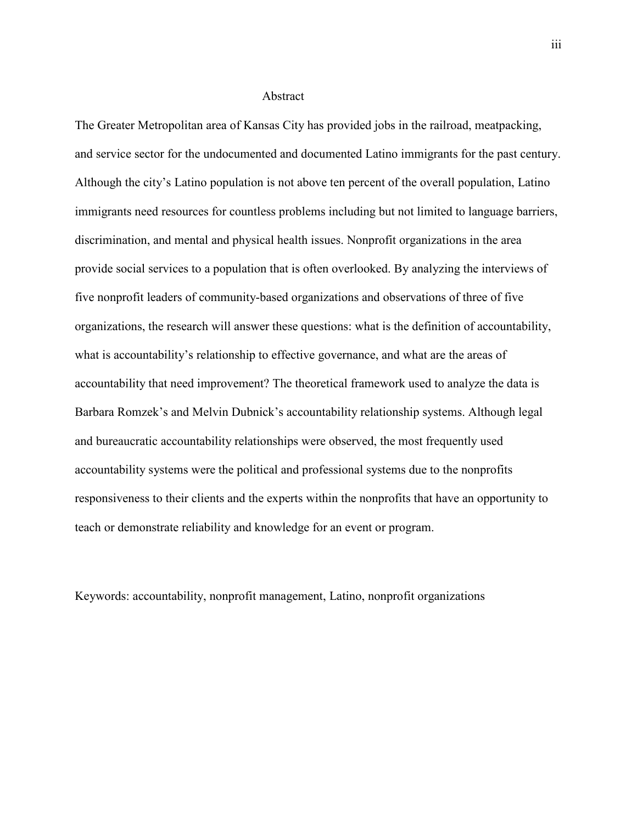#### Abstract

The Greater Metropolitan area of Kansas City has provided jobs in the railroad, meatpacking, and service sector for the undocumented and documented Latino immigrants for the past century. Although the city's Latino population is not above ten percent of the overall population, Latino immigrants need resources for countless problems including but not limited to language barriers, discrimination, and mental and physical health issues. Nonprofit organizations in the area provide social services to a population that is often overlooked. By analyzing the interviews of five nonprofit leaders of community-based organizations and observations of three of five organizations, the research will answer these questions: what is the definition of accountability, what is accountability's relationship to effective governance, and what are the areas of accountability that need improvement? The theoretical framework used to analyze the data is Barbara Romzek's and Melvin Dubnick's accountability relationship systems. Although legal and bureaucratic accountability relationships were observed, the most frequently used accountability systems were the political and professional systems due to the nonprofits responsiveness to their clients and the experts within the nonprofits that have an opportunity to teach or demonstrate reliability and knowledge for an event or program.

Keywords: accountability, nonprofit management, Latino, nonprofit organizations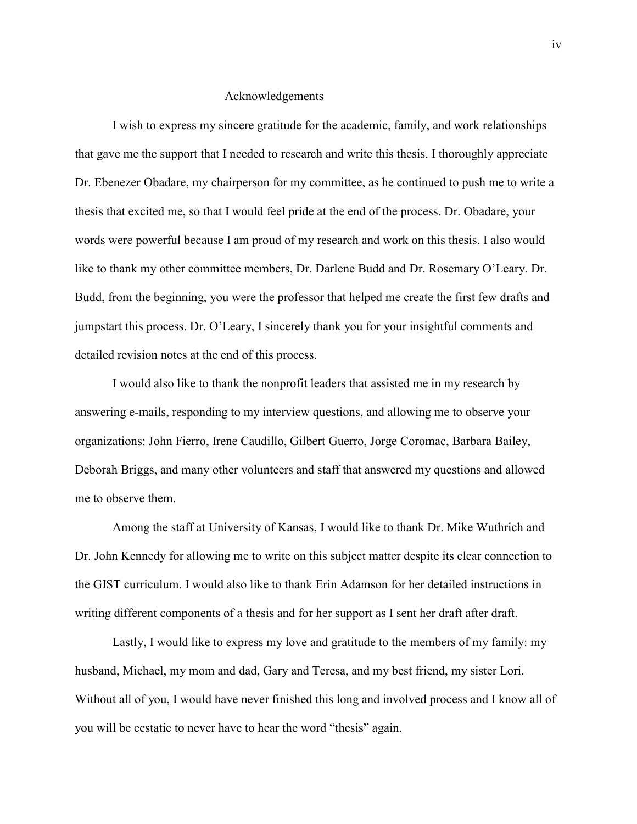#### Acknowledgements

I wish to express my sincere gratitude for the academic, family, and work relationships that gave me the support that I needed to research and write this thesis. I thoroughly appreciate Dr. Ebenezer Obadare, my chairperson for my committee, as he continued to push me to write a thesis that excited me, so that I would feel pride at the end of the process. Dr. Obadare, your words were powerful because I am proud of my research and work on this thesis. I also would like to thank my other committee members, Dr. Darlene Budd and Dr. Rosemary O'Leary. Dr. Budd, from the beginning, you were the professor that helped me create the first few drafts and jumpstart this process. Dr. O'Leary, I sincerely thank you for your insightful comments and detailed revision notes at the end of this process.

 I would also like to thank the nonprofit leaders that assisted me in my research by answering e-mails, responding to my interview questions, and allowing me to observe your organizations: John Fierro, Irene Caudillo, Gilbert Guerro, Jorge Coromac, Barbara Bailey, Deborah Briggs, and many other volunteers and staff that answered my questions and allowed me to observe them.

 Among the staff at University of Kansas, I would like to thank Dr. Mike Wuthrich and Dr. John Kennedy for allowing me to write on this subject matter despite its clear connection to the GIST curriculum. I would also like to thank Erin Adamson for her detailed instructions in writing different components of a thesis and for her support as I sent her draft after draft.

 Lastly, I would like to express my love and gratitude to the members of my family: my husband, Michael, my mom and dad, Gary and Teresa, and my best friend, my sister Lori. Without all of you, I would have never finished this long and involved process and I know all of you will be ecstatic to never have to hear the word "thesis" again.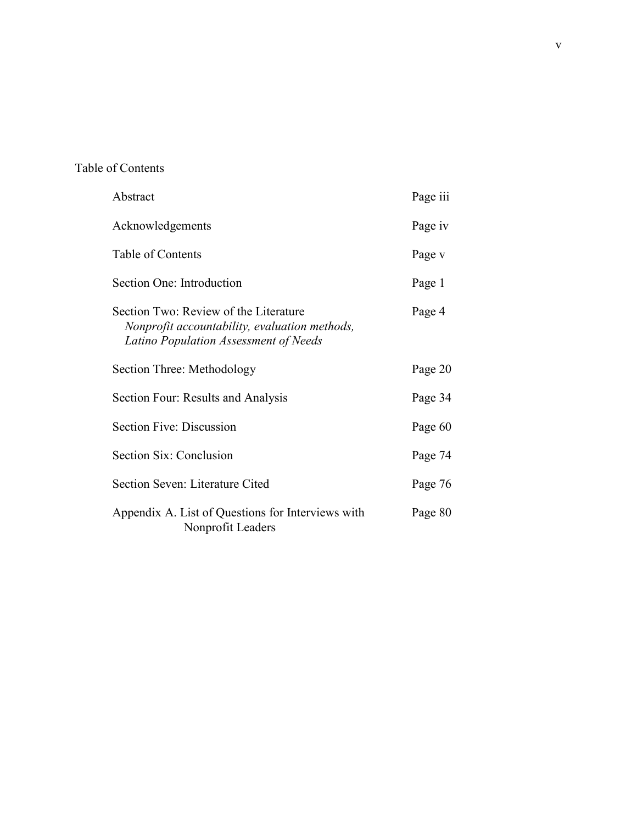# Table of Contents

| Abstract                                                                                                                        | Page iii |
|---------------------------------------------------------------------------------------------------------------------------------|----------|
| Acknowledgements                                                                                                                | Page iv  |
| Table of Contents                                                                                                               | Page v   |
| Section One: Introduction                                                                                                       | Page 1   |
| Section Two: Review of the Literature<br>Nonprofit accountability, evaluation methods,<br>Latino Population Assessment of Needs | Page 4   |
| Section Three: Methodology                                                                                                      | Page 20  |
| Section Four: Results and Analysis                                                                                              | Page 34  |
| Section Five: Discussion                                                                                                        | Page 60  |
| Section Six: Conclusion                                                                                                         | Page 74  |
| Section Seven: Literature Cited                                                                                                 | Page 76  |
| Appendix A. List of Questions for Interviews with<br>Nonprofit Leaders                                                          | Page 80  |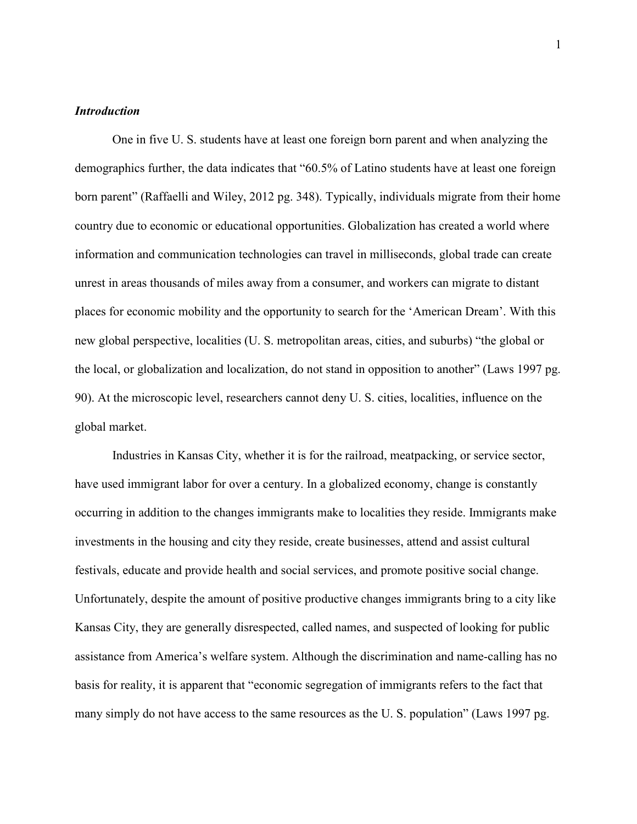## *Introduction*

One in five U. S. students have at least one foreign born parent and when analyzing the demographics further, the data indicates that "60.5% of Latino students have at least one foreign born parent" (Raffaelli and Wiley, 2012 pg. 348). Typically, individuals migrate from their home country due to economic or educational opportunities. Globalization has created a world where information and communication technologies can travel in milliseconds, global trade can create unrest in areas thousands of miles away from a consumer, and workers can migrate to distant places for economic mobility and the opportunity to search for the 'American Dream'. With this new global perspective, localities (U. S. metropolitan areas, cities, and suburbs) "the global or the local, or globalization and localization, do not stand in opposition to another" (Laws 1997 pg. 90). At the microscopic level, researchers cannot deny U. S. cities, localities, influence on the global market.

Industries in Kansas City, whether it is for the railroad, meatpacking, or service sector, have used immigrant labor for over a century. In a globalized economy, change is constantly occurring in addition to the changes immigrants make to localities they reside. Immigrants make investments in the housing and city they reside, create businesses, attend and assist cultural festivals, educate and provide health and social services, and promote positive social change. Unfortunately, despite the amount of positive productive changes immigrants bring to a city like Kansas City, they are generally disrespected, called names, and suspected of looking for public assistance from America's welfare system. Although the discrimination and name-calling has no basis for reality, it is apparent that "economic segregation of immigrants refers to the fact that many simply do not have access to the same resources as the U. S. population" (Laws 1997 pg.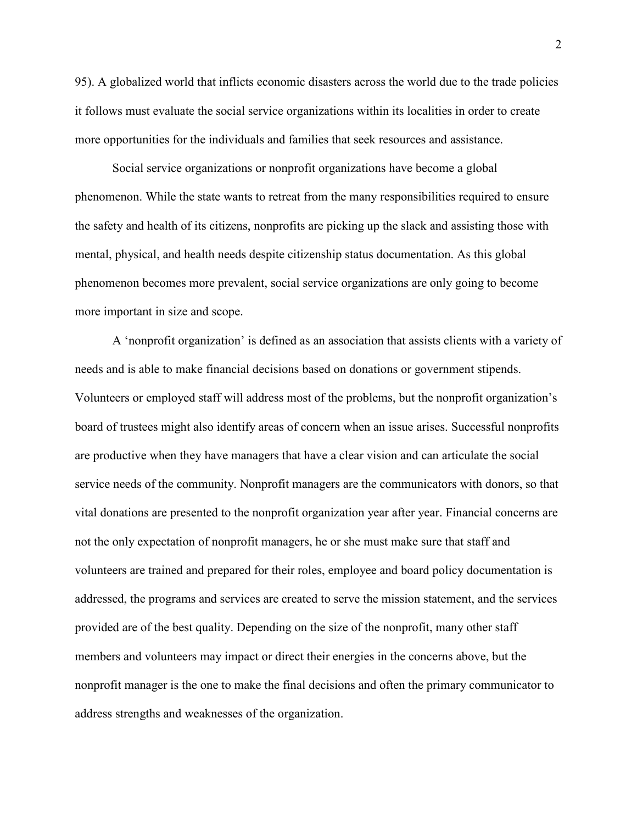95). A globalized world that inflicts economic disasters across the world due to the trade policies it follows must evaluate the social service organizations within its localities in order to create more opportunities for the individuals and families that seek resources and assistance.

Social service organizations or nonprofit organizations have become a global phenomenon. While the state wants to retreat from the many responsibilities required to ensure the safety and health of its citizens, nonprofits are picking up the slack and assisting those with mental, physical, and health needs despite citizenship status documentation. As this global phenomenon becomes more prevalent, social service organizations are only going to become more important in size and scope.

A 'nonprofit organization' is defined as an association that assists clients with a variety of needs and is able to make financial decisions based on donations or government stipends. Volunteers or employed staff will address most of the problems, but the nonprofit organization's board of trustees might also identify areas of concern when an issue arises. Successful nonprofits are productive when they have managers that have a clear vision and can articulate the social service needs of the community. Nonprofit managers are the communicators with donors, so that vital donations are presented to the nonprofit organization year after year. Financial concerns are not the only expectation of nonprofit managers, he or she must make sure that staff and volunteers are trained and prepared for their roles, employee and board policy documentation is addressed, the programs and services are created to serve the mission statement, and the services provided are of the best quality. Depending on the size of the nonprofit, many other staff members and volunteers may impact or direct their energies in the concerns above, but the nonprofit manager is the one to make the final decisions and often the primary communicator to address strengths and weaknesses of the organization.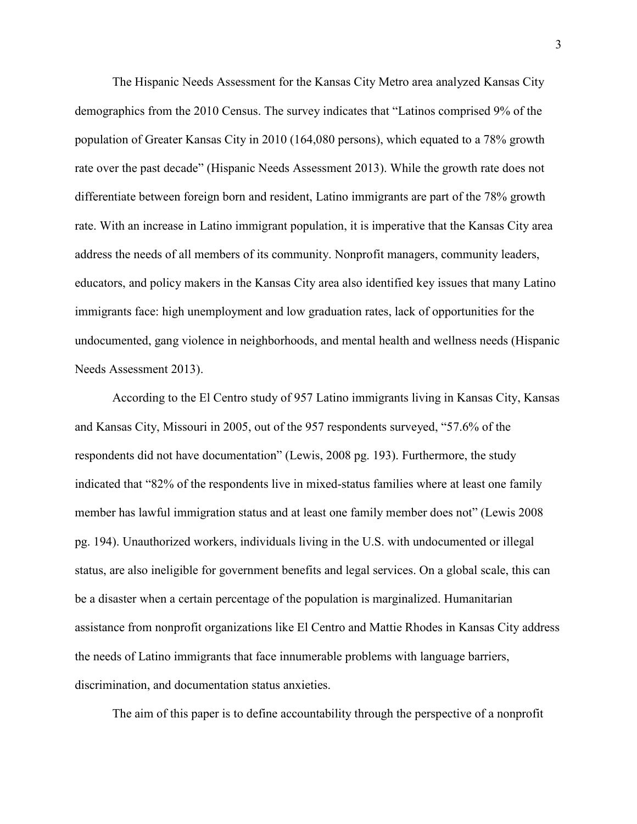The Hispanic Needs Assessment for the Kansas City Metro area analyzed Kansas City demographics from the 2010 Census. The survey indicates that "Latinos comprised 9% of the population of Greater Kansas City in 2010 (164,080 persons), which equated to a 78% growth rate over the past decade" (Hispanic Needs Assessment 2013). While the growth rate does not differentiate between foreign born and resident, Latino immigrants are part of the 78% growth rate. With an increase in Latino immigrant population, it is imperative that the Kansas City area address the needs of all members of its community. Nonprofit managers, community leaders, educators, and policy makers in the Kansas City area also identified key issues that many Latino immigrants face: high unemployment and low graduation rates, lack of opportunities for the undocumented, gang violence in neighborhoods, and mental health and wellness needs (Hispanic Needs Assessment 2013).

 According to the El Centro study of 957 Latino immigrants living in Kansas City, Kansas and Kansas City, Missouri in 2005, out of the 957 respondents surveyed, "57.6% of the respondents did not have documentation" (Lewis, 2008 pg. 193). Furthermore, the study indicated that "82% of the respondents live in mixed-status families where at least one family member has lawful immigration status and at least one family member does not" (Lewis 2008 pg. 194). Unauthorized workers, individuals living in the U.S. with undocumented or illegal status, are also ineligible for government benefits and legal services. On a global scale, this can be a disaster when a certain percentage of the population is marginalized. Humanitarian assistance from nonprofit organizations like El Centro and Mattie Rhodes in Kansas City address the needs of Latino immigrants that face innumerable problems with language barriers, discrimination, and documentation status anxieties.

The aim of this paper is to define accountability through the perspective of a nonprofit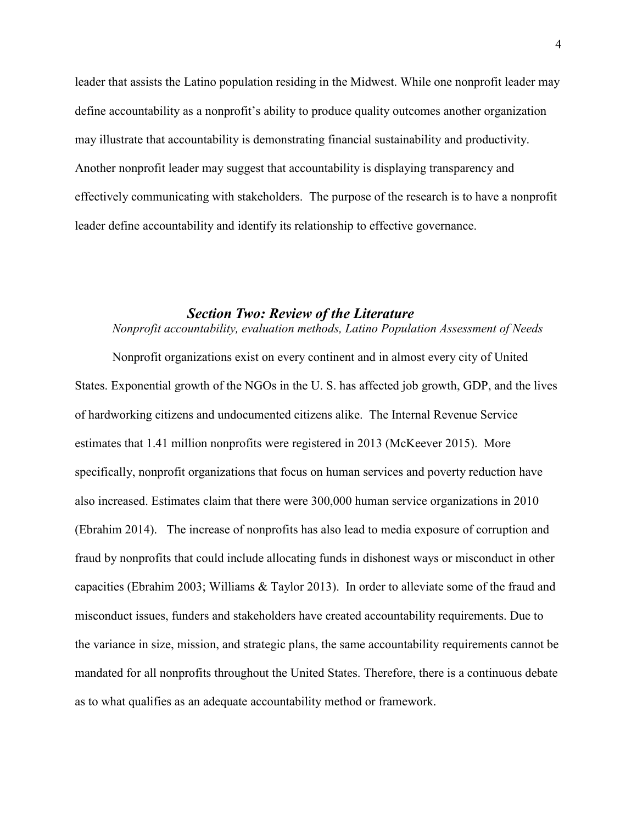leader that assists the Latino population residing in the Midwest. While one nonprofit leader may define accountability as a nonprofit's ability to produce quality outcomes another organization may illustrate that accountability is demonstrating financial sustainability and productivity. Another nonprofit leader may suggest that accountability is displaying transparency and effectively communicating with stakeholders. The purpose of the research is to have a nonprofit leader define accountability and identify its relationship to effective governance.

## *Section Two: Review of the Literature*

## *Nonprofit accountability, evaluation methods, Latino Population Assessment of Needs*

 Nonprofit organizations exist on every continent and in almost every city of United States. Exponential growth of the NGOs in the U. S. has affected job growth, GDP, and the lives of hardworking citizens and undocumented citizens alike. The Internal Revenue Service estimates that 1.41 million nonprofits were registered in 2013 (McKeever 2015). More specifically, nonprofit organizations that focus on human services and poverty reduction have also increased. Estimates claim that there were 300,000 human service organizations in 2010 (Ebrahim 2014). The increase of nonprofits has also lead to media exposure of corruption and fraud by nonprofits that could include allocating funds in dishonest ways or misconduct in other capacities (Ebrahim 2003; Williams & Taylor 2013). In order to alleviate some of the fraud and misconduct issues, funders and stakeholders have created accountability requirements. Due to the variance in size, mission, and strategic plans, the same accountability requirements cannot be mandated for all nonprofits throughout the United States. Therefore, there is a continuous debate as to what qualifies as an adequate accountability method or framework.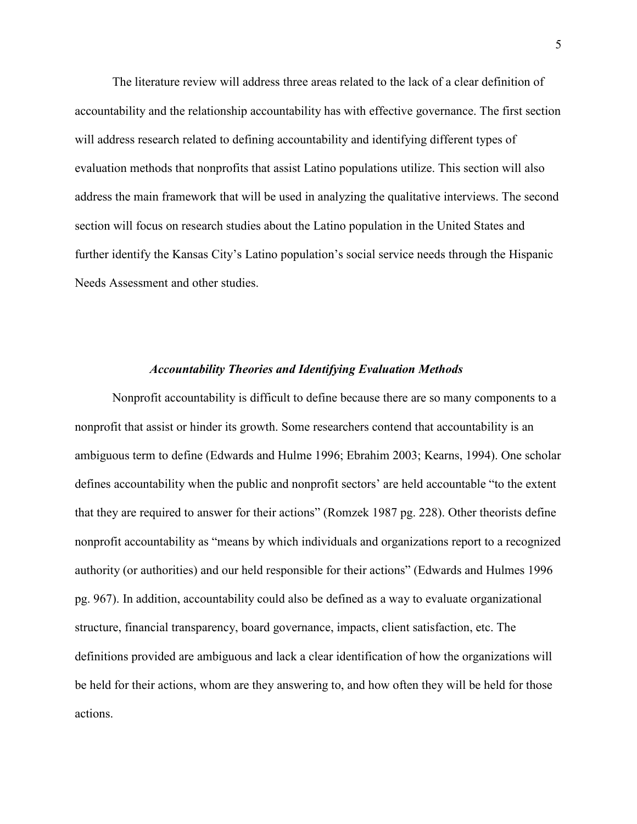The literature review will address three areas related to the lack of a clear definition of accountability and the relationship accountability has with effective governance. The first section will address research related to defining accountability and identifying different types of evaluation methods that nonprofits that assist Latino populations utilize. This section will also address the main framework that will be used in analyzing the qualitative interviews. The second section will focus on research studies about the Latino population in the United States and further identify the Kansas City's Latino population's social service needs through the Hispanic Needs Assessment and other studies.

#### *Accountability Theories and Identifying Evaluation Methods*

Nonprofit accountability is difficult to define because there are so many components to a nonprofit that assist or hinder its growth. Some researchers contend that accountability is an ambiguous term to define (Edwards and Hulme 1996; Ebrahim 2003; Kearns, 1994). One scholar defines accountability when the public and nonprofit sectors' are held accountable "to the extent that they are required to answer for their actions" (Romzek 1987 pg. 228). Other theorists define nonprofit accountability as "means by which individuals and organizations report to a recognized authority (or authorities) and our held responsible for their actions" (Edwards and Hulmes 1996 pg. 967). In addition, accountability could also be defined as a way to evaluate organizational structure, financial transparency, board governance, impacts, client satisfaction, etc. The definitions provided are ambiguous and lack a clear identification of how the organizations will be held for their actions, whom are they answering to, and how often they will be held for those actions.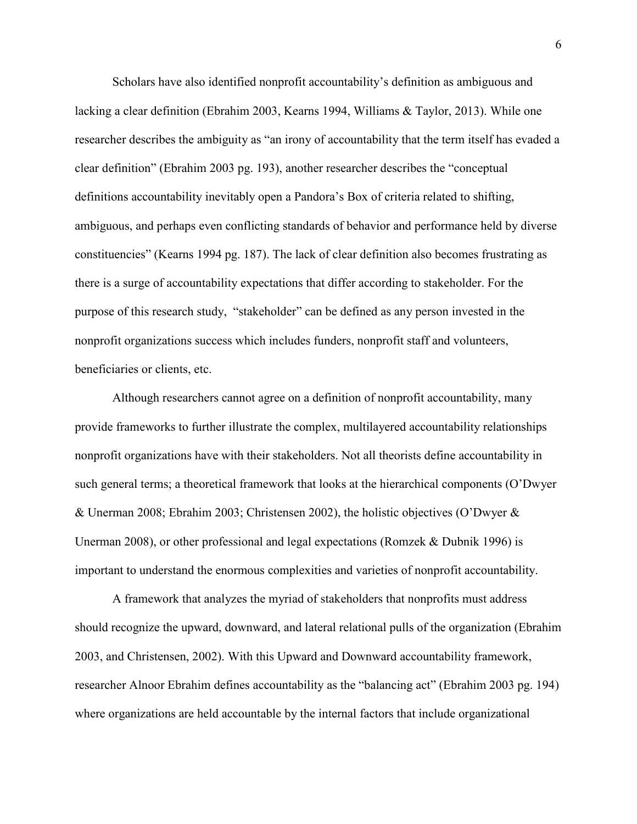Scholars have also identified nonprofit accountability's definition as ambiguous and lacking a clear definition (Ebrahim 2003, Kearns 1994, Williams & Taylor, 2013). While one researcher describes the ambiguity as "an irony of accountability that the term itself has evaded a clear definition" (Ebrahim 2003 pg. 193), another researcher describes the "conceptual definitions accountability inevitably open a Pandora's Box of criteria related to shifting, ambiguous, and perhaps even conflicting standards of behavior and performance held by diverse constituencies" (Kearns 1994 pg. 187). The lack of clear definition also becomes frustrating as there is a surge of accountability expectations that differ according to stakeholder. For the purpose of this research study, "stakeholder" can be defined as any person invested in the nonprofit organizations success which includes funders, nonprofit staff and volunteers, beneficiaries or clients, etc.

Although researchers cannot agree on a definition of nonprofit accountability, many provide frameworks to further illustrate the complex, multilayered accountability relationships nonprofit organizations have with their stakeholders. Not all theorists define accountability in such general terms; a theoretical framework that looks at the hierarchical components (O'Dwyer & Unerman 2008; Ebrahim 2003; Christensen 2002), the holistic objectives (O'Dwyer & Unerman 2008), or other professional and legal expectations (Romzek & Dubnik 1996) is important to understand the enormous complexities and varieties of nonprofit accountability.

A framework that analyzes the myriad of stakeholders that nonprofits must address should recognize the upward, downward, and lateral relational pulls of the organization (Ebrahim 2003, and Christensen, 2002). With this Upward and Downward accountability framework, researcher Alnoor Ebrahim defines accountability as the "balancing act" (Ebrahim 2003 pg. 194) where organizations are held accountable by the internal factors that include organizational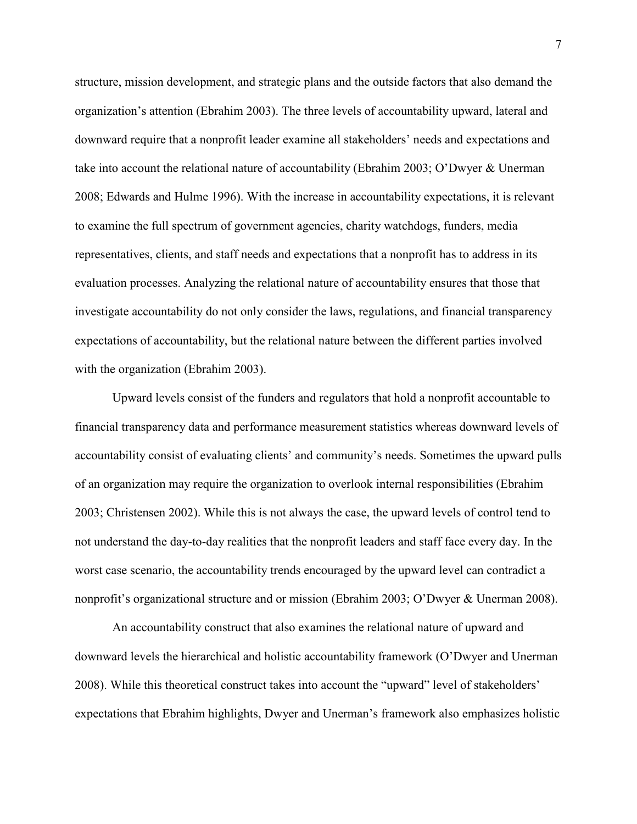structure, mission development, and strategic plans and the outside factors that also demand the organization's attention (Ebrahim 2003). The three levels of accountability upward, lateral and downward require that a nonprofit leader examine all stakeholders' needs and expectations and take into account the relational nature of accountability (Ebrahim 2003; O'Dwyer & Unerman 2008; Edwards and Hulme 1996). With the increase in accountability expectations, it is relevant to examine the full spectrum of government agencies, charity watchdogs, funders, media representatives, clients, and staff needs and expectations that a nonprofit has to address in its evaluation processes. Analyzing the relational nature of accountability ensures that those that investigate accountability do not only consider the laws, regulations, and financial transparency expectations of accountability, but the relational nature between the different parties involved with the organization (Ebrahim 2003).

 Upward levels consist of the funders and regulators that hold a nonprofit accountable to financial transparency data and performance measurement statistics whereas downward levels of accountability consist of evaluating clients' and community's needs. Sometimes the upward pulls of an organization may require the organization to overlook internal responsibilities (Ebrahim 2003; Christensen 2002). While this is not always the case, the upward levels of control tend to not understand the day-to-day realities that the nonprofit leaders and staff face every day. In the worst case scenario, the accountability trends encouraged by the upward level can contradict a nonprofit's organizational structure and or mission (Ebrahim 2003; O'Dwyer & Unerman 2008).

 An accountability construct that also examines the relational nature of upward and downward levels the hierarchical and holistic accountability framework (O'Dwyer and Unerman 2008). While this theoretical construct takes into account the "upward" level of stakeholders' expectations that Ebrahim highlights, Dwyer and Unerman's framework also emphasizes holistic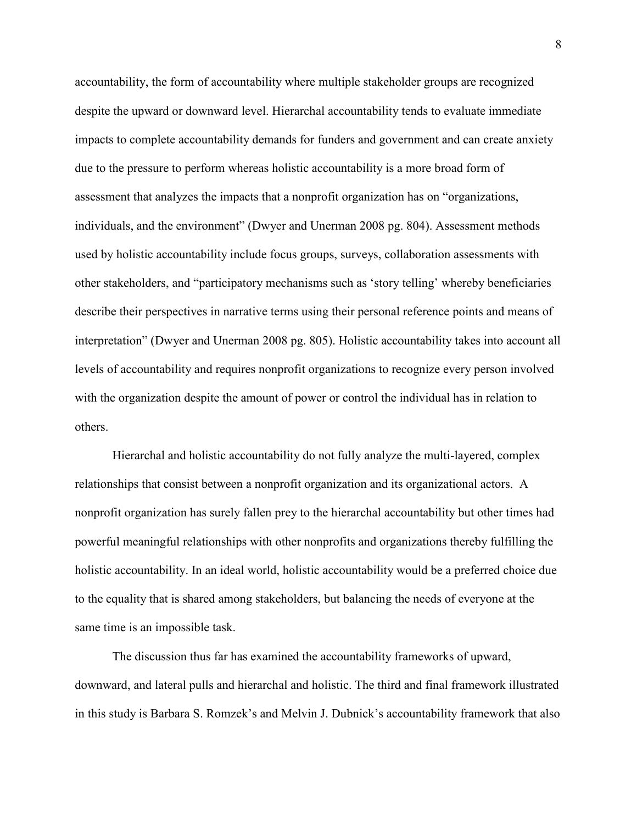accountability, the form of accountability where multiple stakeholder groups are recognized despite the upward or downward level. Hierarchal accountability tends to evaluate immediate impacts to complete accountability demands for funders and government and can create anxiety due to the pressure to perform whereas holistic accountability is a more broad form of assessment that analyzes the impacts that a nonprofit organization has on "organizations, individuals, and the environment" (Dwyer and Unerman 2008 pg. 804). Assessment methods used by holistic accountability include focus groups, surveys, collaboration assessments with other stakeholders, and "participatory mechanisms such as 'story telling' whereby beneficiaries describe their perspectives in narrative terms using their personal reference points and means of interpretation" (Dwyer and Unerman 2008 pg. 805). Holistic accountability takes into account all levels of accountability and requires nonprofit organizations to recognize every person involved with the organization despite the amount of power or control the individual has in relation to others.

Hierarchal and holistic accountability do not fully analyze the multi-layered, complex relationships that consist between a nonprofit organization and its organizational actors. A nonprofit organization has surely fallen prey to the hierarchal accountability but other times had powerful meaningful relationships with other nonprofits and organizations thereby fulfilling the holistic accountability. In an ideal world, holistic accountability would be a preferred choice due to the equality that is shared among stakeholders, but balancing the needs of everyone at the same time is an impossible task.

 The discussion thus far has examined the accountability frameworks of upward, downward, and lateral pulls and hierarchal and holistic. The third and final framework illustrated in this study is Barbara S. Romzek's and Melvin J. Dubnick's accountability framework that also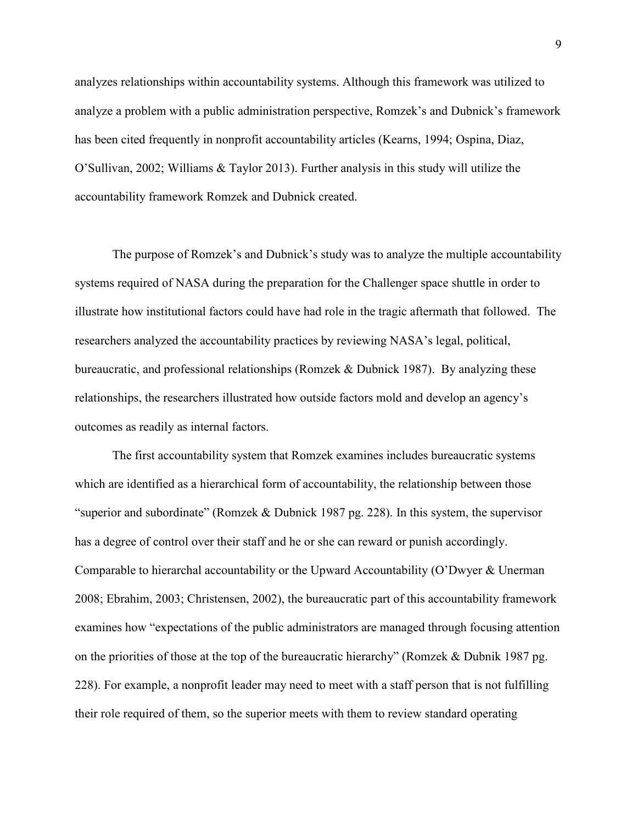analyzes relationships within accountability systems. Although this framework was utilized to analyze a problem with a public administration perspective, Romzek's and Dubnick's framework has been cited frequently in nonprofit accountability articles (Kearns, 1994; Ospina, Diaz, O'Sullivan, 2002; Williams & Taylor 2013). Further analysis in this study will utilize the accountability framework Romzek and Dubnick created.

The purpose of Romzek's and Dubnick's study was to analyze the multiple accountability systems required of NASA during the preparation for the Challenger space shuttle in order to illustrate how institutional factors could have had role in the tragic aftermath that followed. The researchers analyzed the accountability practices by reviewing NASA's legal, political, bureaucratic, and professional relationships (Romzek & Dubnick 1987). By analyzing these relationships, the researchers illustrated how outside factors mold and develop an agency's outcomes as readily as internal factors.

The first accountability system that Romzek examines includes bureaucratic systems which are identified as a hierarchical form of accountability, the relationship between those "superior and subordinate" (Romzek & Dubnick 1987 pg. 228). In this system, the supervisor has a degree of control over their staff and he or she can reward or punish accordingly. Comparable to hierarchal accountability or the Upward Accountability (O'Dwyer & Unerman 2008; Ebrahim, 2003; Christensen, 2002), the bureaucratic part of this accountability framework examines how "expectations of the public administrators are managed through focusing attention on the priorities of those at the top of the bureaucratic hierarchy" (Romzek & Dubnik 1987 pg. 228). For example, a nonprofit leader may need to meet with a staff person that is not fulfilling their role required of them, so the superior meets with them to review standard operating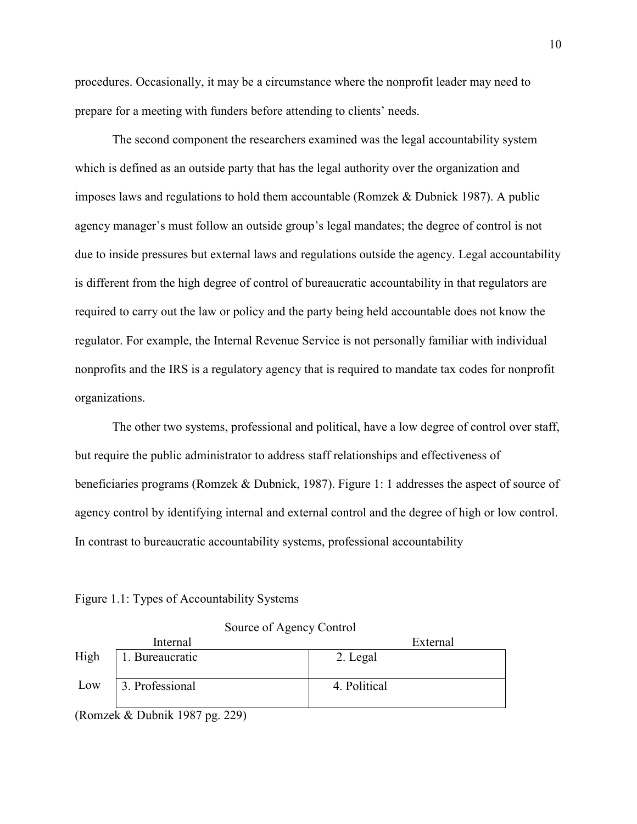procedures. Occasionally, it may be a circumstance where the nonprofit leader may need to prepare for a meeting with funders before attending to clients' needs.

The second component the researchers examined was the legal accountability system which is defined as an outside party that has the legal authority over the organization and imposes laws and regulations to hold them accountable (Romzek & Dubnick 1987). A public agency manager's must follow an outside group's legal mandates; the degree of control is not due to inside pressures but external laws and regulations outside the agency. Legal accountability is different from the high degree of control of bureaucratic accountability in that regulators are required to carry out the law or policy and the party being held accountable does not know the regulator. For example, the Internal Revenue Service is not personally familiar with individual nonprofits and the IRS is a regulatory agency that is required to mandate tax codes for nonprofit organizations.

The other two systems, professional and political, have a low degree of control over staff, but require the public administrator to address staff relationships and effectiveness of beneficiaries programs (Romzek & Dubnick, 1987). Figure 1: 1 addresses the aspect of source of agency control by identifying internal and external control and the degree of high or low control. In contrast to bureaucratic accountability systems, professional accountability

Figure 1.1: Types of Accountability Systems

|      | Internal        | External     |
|------|-----------------|--------------|
| High | 1. Bureaucratic | 2. Legal     |
|      |                 |              |
| Low  | 3. Professional | 4. Political |
|      |                 |              |
|      | .<br>- - - -    |              |

Source of Agency Control

(Romzek & Dubnik 1987 pg. 229)

10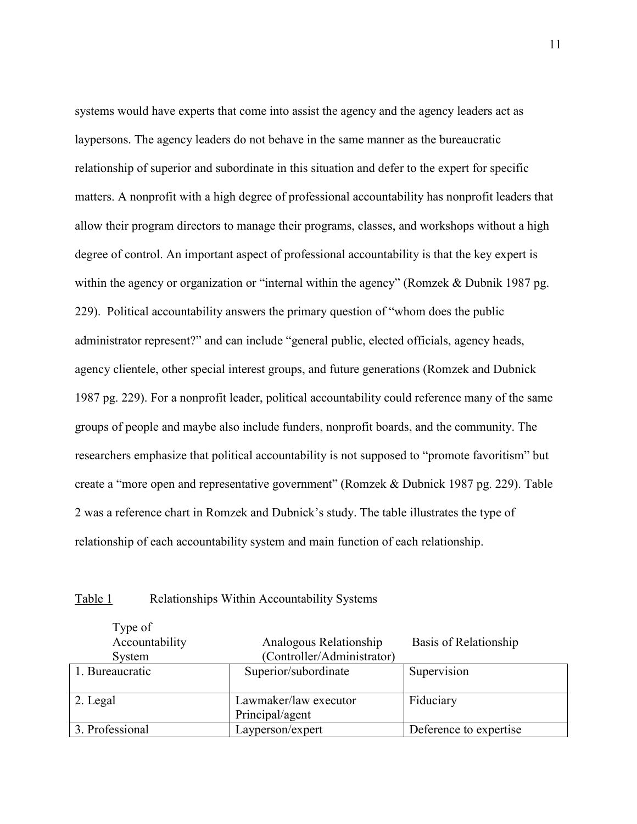systems would have experts that come into assist the agency and the agency leaders act as laypersons. The agency leaders do not behave in the same manner as the bureaucratic relationship of superior and subordinate in this situation and defer to the expert for specific matters. A nonprofit with a high degree of professional accountability has nonprofit leaders that allow their program directors to manage their programs, classes, and workshops without a high degree of control. An important aspect of professional accountability is that the key expert is within the agency or organization or "internal within the agency" (Romzek & Dubnik 1987 pg. 229). Political accountability answers the primary question of "whom does the public administrator represent?" and can include "general public, elected officials, agency heads, agency clientele, other special interest groups, and future generations (Romzek and Dubnick 1987 pg. 229). For a nonprofit leader, political accountability could reference many of the same groups of people and maybe also include funders, nonprofit boards, and the community. The researchers emphasize that political accountability is not supposed to "promote favoritism" but create a "more open and representative government" (Romzek & Dubnick 1987 pg. 229). Table 2 was a reference chart in Romzek and Dubnick's study. The table illustrates the type of relationship of each accountability system and main function of each relationship.

| Table 1 | Relationships Within Accountability Systems |  |
|---------|---------------------------------------------|--|
|         |                                             |  |

 $T_{\text{rms of}}$ 

| I VUU UI<br>Accountability<br>System | Analogous Relationship<br>(Controller/Administrator) | Basis of Relationship  |
|--------------------------------------|------------------------------------------------------|------------------------|
| 1. Bureaucratic                      | Superior/subordinate                                 | Supervision            |
| 2. Legal                             | Lawmaker/law executor<br>Principal/agent             | Fiduciary              |
| 3. Professional                      | Layperson/expert                                     | Deference to expertise |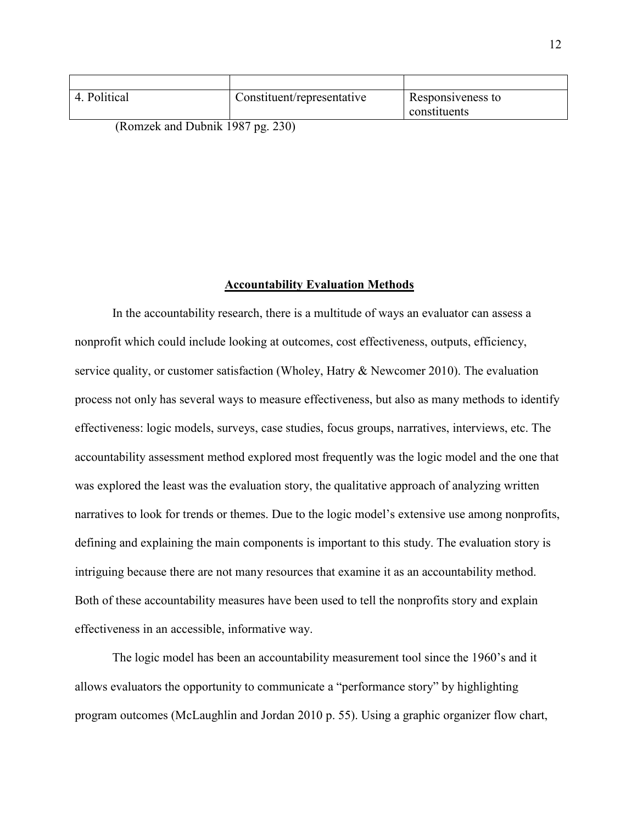| 4. Political | Constituent/representative                   | Responsiveness to |
|--------------|----------------------------------------------|-------------------|
|              |                                              | constituents      |
|              | $(D_{\text{onzolv and Duhnik}} 1087$ ng 220) |                   |

(Romzek and Dubnik 1987 pg. 230)

#### **Accountability Evaluation Methods**

In the accountability research, there is a multitude of ways an evaluator can assess a nonprofit which could include looking at outcomes, cost effectiveness, outputs, efficiency, service quality, or customer satisfaction (Wholey, Hatry & Newcomer 2010). The evaluation process not only has several ways to measure effectiveness, but also as many methods to identify effectiveness: logic models, surveys, case studies, focus groups, narratives, interviews, etc. The accountability assessment method explored most frequently was the logic model and the one that was explored the least was the evaluation story, the qualitative approach of analyzing written narratives to look for trends or themes. Due to the logic model's extensive use among nonprofits, defining and explaining the main components is important to this study. The evaluation story is intriguing because there are not many resources that examine it as an accountability method. Both of these accountability measures have been used to tell the nonprofits story and explain effectiveness in an accessible, informative way.

 The logic model has been an accountability measurement tool since the 1960's and it allows evaluators the opportunity to communicate a "performance story" by highlighting program outcomes (McLaughlin and Jordan 2010 p. 55). Using a graphic organizer flow chart,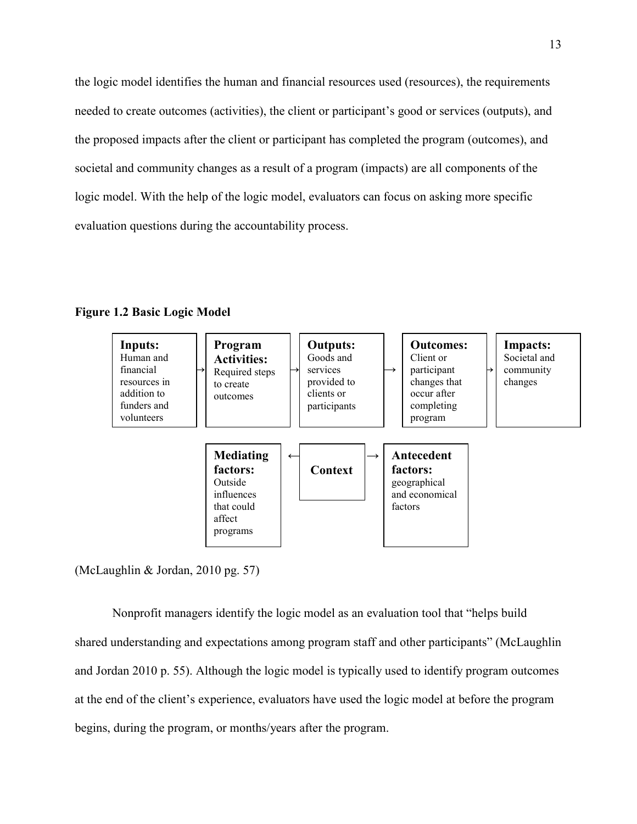the logic model identifies the human and financial resources used (resources), the requirements needed to create outcomes (activities), the client or participant's good or services (outputs), and the proposed impacts after the client or participant has completed the program (outcomes), and societal and community changes as a result of a program (impacts) are all components of the logic model. With the help of the logic model, evaluators can focus on asking more specific evaluation questions during the accountability process.





(McLaughlin & Jordan, 2010 pg. 57)

Nonprofit managers identify the logic model as an evaluation tool that "helps build shared understanding and expectations among program staff and other participants" (McLaughlin and Jordan 2010 p. 55). Although the logic model is typically used to identify program outcomes at the end of the client's experience, evaluators have used the logic model at before the program begins, during the program, or months/years after the program.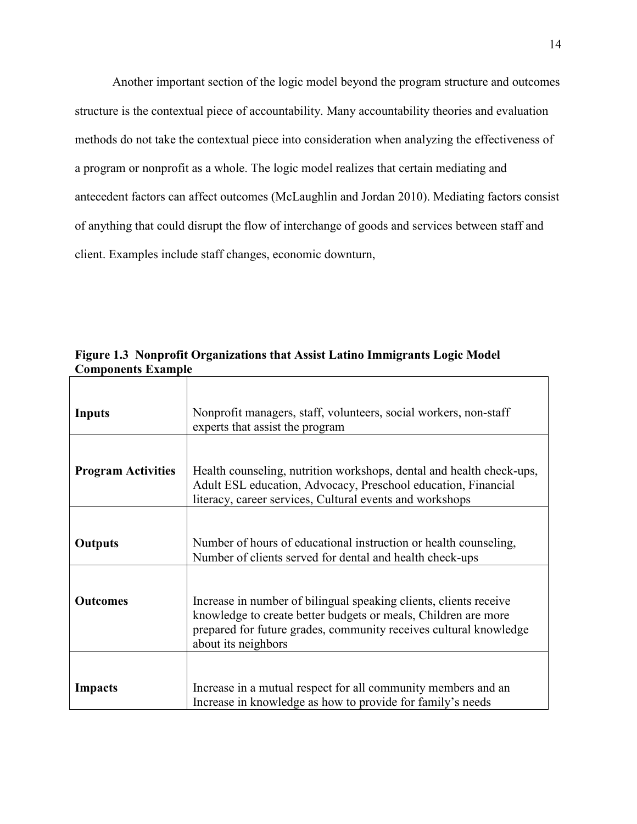Another important section of the logic model beyond the program structure and outcomes structure is the contextual piece of accountability. Many accountability theories and evaluation methods do not take the contextual piece into consideration when analyzing the effectiveness of a program or nonprofit as a whole. The logic model realizes that certain mediating and antecedent factors can affect outcomes (McLaughlin and Jordan 2010). Mediating factors consist of anything that could disrupt the flow of interchange of goods and services between staff and client. Examples include staff changes, economic downturn,

**Figure 1.3 Nonprofit Organizations that Assist Latino Immigrants Logic Model Components Example** 

| Inputs                    | Nonprofit managers, staff, volunteers, social workers, non-staff<br>experts that assist the program                                                                                                                             |  |
|---------------------------|---------------------------------------------------------------------------------------------------------------------------------------------------------------------------------------------------------------------------------|--|
| <b>Program Activities</b> | Health counseling, nutrition workshops, dental and health check-ups,<br>Adult ESL education, Advocacy, Preschool education, Financial<br>literacy, career services, Cultural events and workshops                               |  |
| <b>Outputs</b>            | Number of hours of educational instruction or health counseling,<br>Number of clients served for dental and health check-ups                                                                                                    |  |
| <b>Outcomes</b>           | Increase in number of bilingual speaking clients, clients receive<br>knowledge to create better budgets or meals, Children are more<br>prepared for future grades, community receives cultural knowledge<br>about its neighbors |  |
| Impacts                   | Increase in a mutual respect for all community members and an<br>Increase in knowledge as how to provide for family's needs                                                                                                     |  |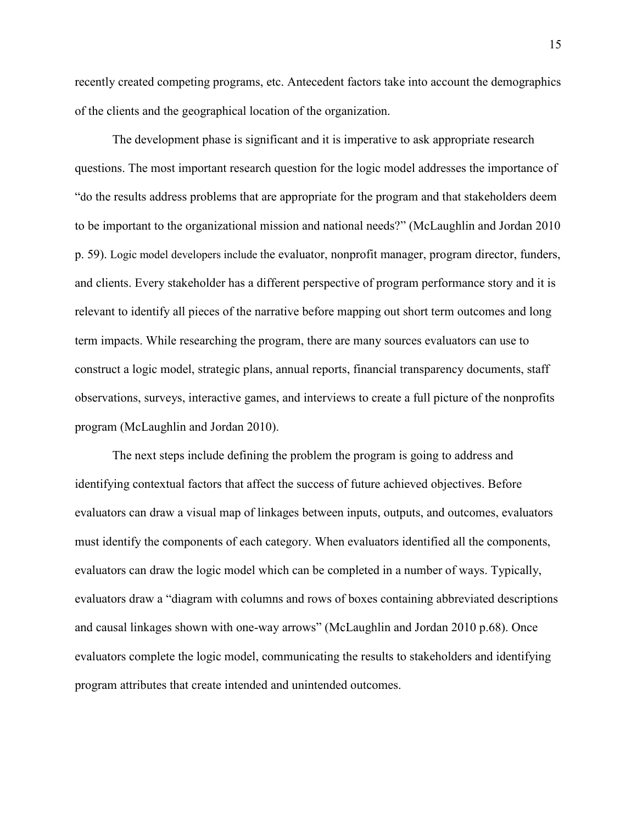recently created competing programs, etc. Antecedent factors take into account the demographics of the clients and the geographical location of the organization.

The development phase is significant and it is imperative to ask appropriate research questions. The most important research question for the logic model addresses the importance of "do the results address problems that are appropriate for the program and that stakeholders deem to be important to the organizational mission and national needs?" (McLaughlin and Jordan 2010 p. 59). Logic model developers include the evaluator, nonprofit manager, program director, funders, and clients. Every stakeholder has a different perspective of program performance story and it is relevant to identify all pieces of the narrative before mapping out short term outcomes and long term impacts. While researching the program, there are many sources evaluators can use to construct a logic model, strategic plans, annual reports, financial transparency documents, staff observations, surveys, interactive games, and interviews to create a full picture of the nonprofits program (McLaughlin and Jordan 2010).

The next steps include defining the problem the program is going to address and identifying contextual factors that affect the success of future achieved objectives. Before evaluators can draw a visual map of linkages between inputs, outputs, and outcomes, evaluators must identify the components of each category. When evaluators identified all the components, evaluators can draw the logic model which can be completed in a number of ways. Typically, evaluators draw a "diagram with columns and rows of boxes containing abbreviated descriptions and causal linkages shown with one-way arrows" (McLaughlin and Jordan 2010 p.68). Once evaluators complete the logic model, communicating the results to stakeholders and identifying program attributes that create intended and unintended outcomes.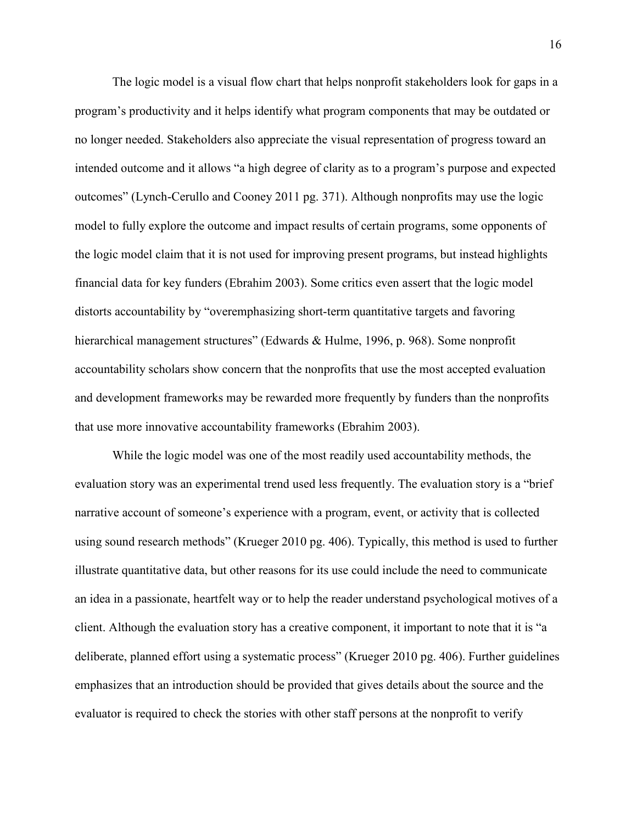The logic model is a visual flow chart that helps nonprofit stakeholders look for gaps in a program's productivity and it helps identify what program components that may be outdated or no longer needed. Stakeholders also appreciate the visual representation of progress toward an intended outcome and it allows "a high degree of clarity as to a program's purpose and expected outcomes" (Lynch-Cerullo and Cooney 2011 pg. 371). Although nonprofits may use the logic model to fully explore the outcome and impact results of certain programs, some opponents of the logic model claim that it is not used for improving present programs, but instead highlights financial data for key funders (Ebrahim 2003). Some critics even assert that the logic model distorts accountability by "overemphasizing short-term quantitative targets and favoring hierarchical management structures" (Edwards & Hulme, 1996, p. 968). Some nonprofit accountability scholars show concern that the nonprofits that use the most accepted evaluation and development frameworks may be rewarded more frequently by funders than the nonprofits that use more innovative accountability frameworks (Ebrahim 2003).

While the logic model was one of the most readily used accountability methods, the evaluation story was an experimental trend used less frequently. The evaluation story is a "brief narrative account of someone's experience with a program, event, or activity that is collected using sound research methods" (Krueger 2010 pg. 406). Typically, this method is used to further illustrate quantitative data, but other reasons for its use could include the need to communicate an idea in a passionate, heartfelt way or to help the reader understand psychological motives of a client. Although the evaluation story has a creative component, it important to note that it is "a deliberate, planned effort using a systematic process" (Krueger 2010 pg. 406). Further guidelines emphasizes that an introduction should be provided that gives details about the source and the evaluator is required to check the stories with other staff persons at the nonprofit to verify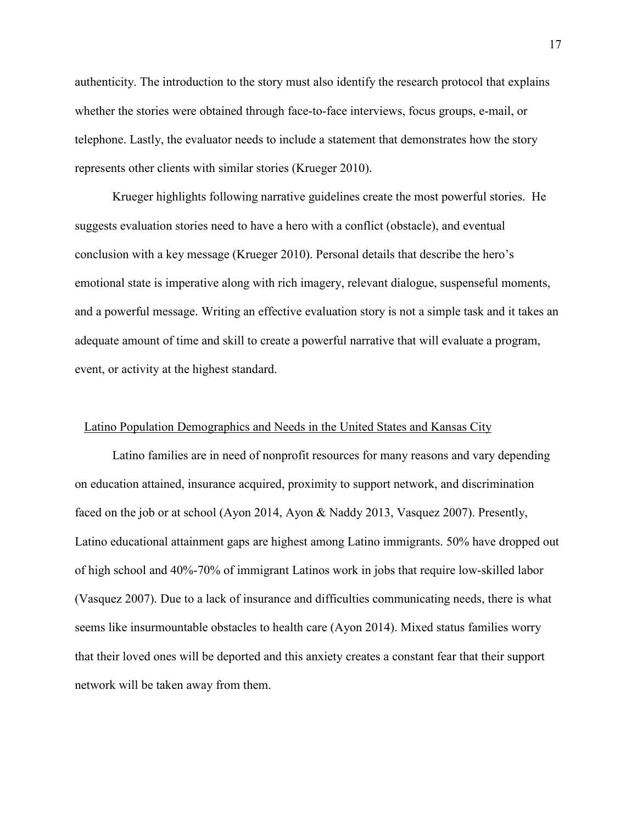authenticity. The introduction to the story must also identify the research protocol that explains whether the stories were obtained through face-to-face interviews, focus groups, e-mail, or telephone. Lastly, the evaluator needs to include a statement that demonstrates how the story represents other clients with similar stories (Krueger 2010).

Krueger highlights following narrative guidelines create the most powerful stories. He suggests evaluation stories need to have a hero with a conflict (obstacle), and eventual conclusion with a key message (Krueger 2010). Personal details that describe the hero's emotional state is imperative along with rich imagery, relevant dialogue, suspenseful moments, and a powerful message. Writing an effective evaluation story is not a simple task and it takes an adequate amount of time and skill to create a powerful narrative that will evaluate a program, event, or activity at the highest standard.

### Latino Population Demographics and Needs in the United States and Kansas City

Latino families are in need of nonprofit resources for many reasons and vary depending on education attained, insurance acquired, proximity to support network, and discrimination faced on the job or at school (Ayon 2014, Ayon & Naddy 2013, Vasquez 2007). Presently, Latino educational attainment gaps are highest among Latino immigrants. 50% have dropped out of high school and 40%-70% of immigrant Latinos work in jobs that require low-skilled labor (Vasquez 2007). Due to a lack of insurance and difficulties communicating needs, there is what seems like insurmountable obstacles to health care (Ayon 2014). Mixed status families worry that their loved ones will be deported and this anxiety creates a constant fear that their support network will be taken away from them.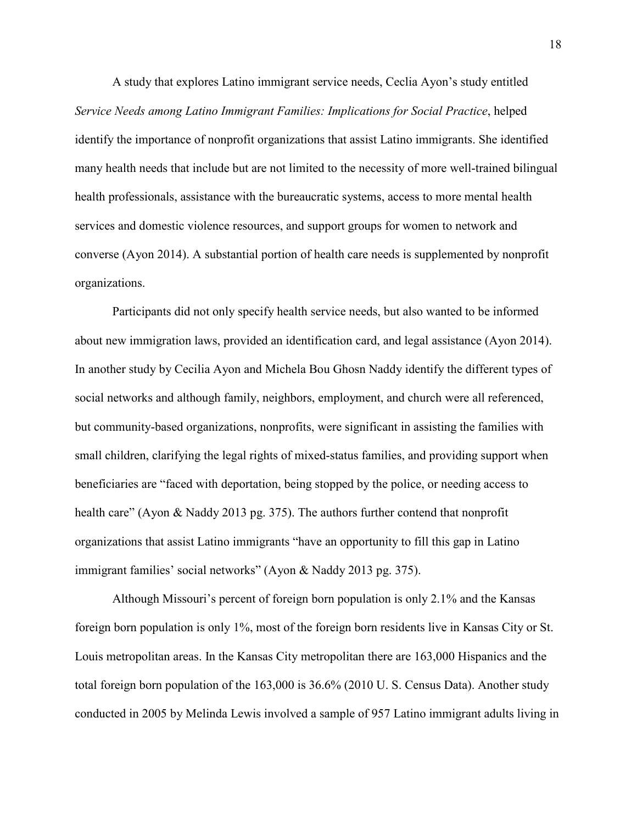A study that explores Latino immigrant service needs, Ceclia Ayon's study entitled *Service Needs among Latino Immigrant Families: Implications for Social Practice*, helped identify the importance of nonprofit organizations that assist Latino immigrants. She identified many health needs that include but are not limited to the necessity of more well-trained bilingual health professionals, assistance with the bureaucratic systems, access to more mental health services and domestic violence resources, and support groups for women to network and converse (Ayon 2014). A substantial portion of health care needs is supplemented by nonprofit organizations.

Participants did not only specify health service needs, but also wanted to be informed about new immigration laws, provided an identification card, and legal assistance (Ayon 2014). In another study by Cecilia Ayon and Michela Bou Ghosn Naddy identify the different types of social networks and although family, neighbors, employment, and church were all referenced, but community-based organizations, nonprofits, were significant in assisting the families with small children, clarifying the legal rights of mixed-status families, and providing support when beneficiaries are "faced with deportation, being stopped by the police, or needing access to health care" (Ayon & Naddy 2013 pg. 375). The authors further contend that nonprofit organizations that assist Latino immigrants "have an opportunity to fill this gap in Latino immigrant families' social networks" (Ayon & Naddy 2013 pg. 375).

Although Missouri's percent of foreign born population is only 2.1% and the Kansas foreign born population is only 1%, most of the foreign born residents live in Kansas City or St. Louis metropolitan areas. In the Kansas City metropolitan there are 163,000 Hispanics and the total foreign born population of the 163,000 is 36.6% (2010 U. S. Census Data). Another study conducted in 2005 by Melinda Lewis involved a sample of 957 Latino immigrant adults living in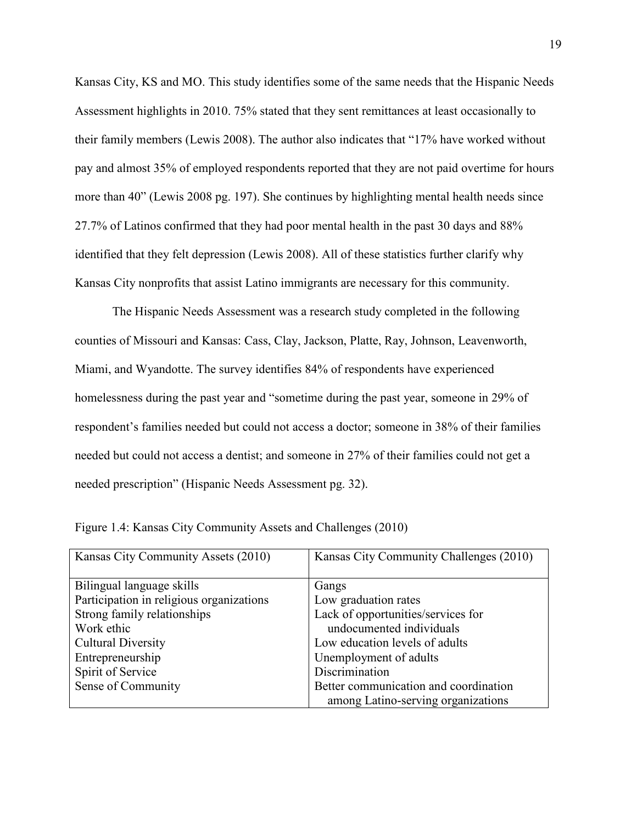Kansas City, KS and MO. This study identifies some of the same needs that the Hispanic Needs Assessment highlights in 2010. 75% stated that they sent remittances at least occasionally to their family members (Lewis 2008). The author also indicates that "17% have worked without pay and almost 35% of employed respondents reported that they are not paid overtime for hours more than 40" (Lewis 2008 pg. 197). She continues by highlighting mental health needs since 27.7% of Latinos confirmed that they had poor mental health in the past 30 days and 88% identified that they felt depression (Lewis 2008). All of these statistics further clarify why Kansas City nonprofits that assist Latino immigrants are necessary for this community.

The Hispanic Needs Assessment was a research study completed in the following counties of Missouri and Kansas: Cass, Clay, Jackson, Platte, Ray, Johnson, Leavenworth, Miami, and Wyandotte. The survey identifies 84% of respondents have experienced homelessness during the past year and "sometime during the past year, someone in 29% of respondent's families needed but could not access a doctor; someone in 38% of their families needed but could not access a dentist; and someone in 27% of their families could not get a needed prescription" (Hispanic Needs Assessment pg. 32).

| Kansas City Community Assets (2010)      | Kansas City Community Challenges (2010) |
|------------------------------------------|-----------------------------------------|
|                                          |                                         |
| Bilingual language skills                | Gangs                                   |
| Participation in religious organizations | Low graduation rates                    |
| Strong family relationships              | Lack of opportunities/services for      |
| Work ethic                               | undocumented individuals                |
| <b>Cultural Diversity</b>                | Low education levels of adults          |
| Entrepreneurship                         | Unemployment of adults                  |
| Spirit of Service                        | Discrimination                          |
| Sense of Community                       | Better communication and coordination   |
|                                          | among Latino-serving organizations      |

Figure 1.4: Kansas City Community Assets and Challenges (2010)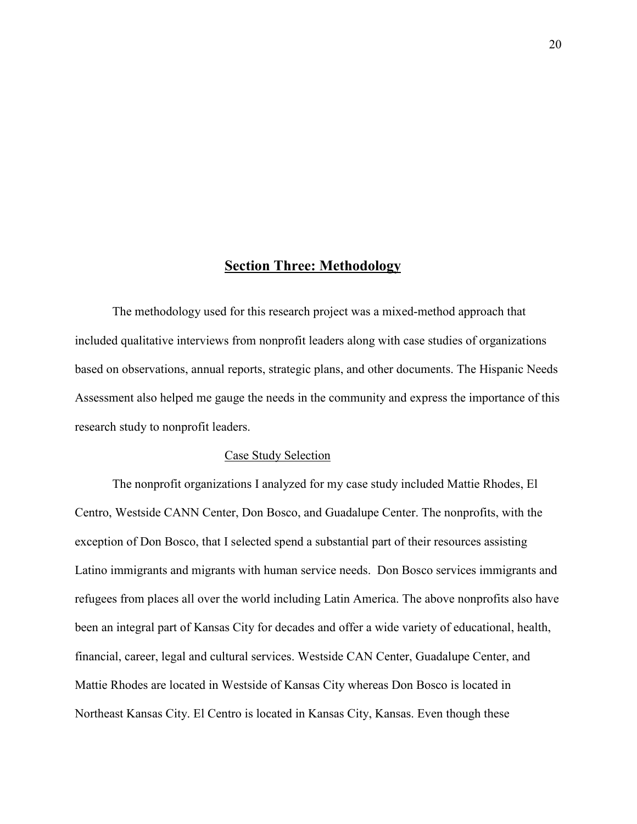## **Section Three: Methodology**

 The methodology used for this research project was a mixed-method approach that included qualitative interviews from nonprofit leaders along with case studies of organizations based on observations, annual reports, strategic plans, and other documents. The Hispanic Needs Assessment also helped me gauge the needs in the community and express the importance of this research study to nonprofit leaders.

#### Case Study Selection

The nonprofit organizations I analyzed for my case study included Mattie Rhodes, El Centro, Westside CANN Center, Don Bosco, and Guadalupe Center. The nonprofits, with the exception of Don Bosco, that I selected spend a substantial part of their resources assisting Latino immigrants and migrants with human service needs. Don Bosco services immigrants and refugees from places all over the world including Latin America. The above nonprofits also have been an integral part of Kansas City for decades and offer a wide variety of educational, health, financial, career, legal and cultural services. Westside CAN Center, Guadalupe Center, and Mattie Rhodes are located in Westside of Kansas City whereas Don Bosco is located in Northeast Kansas City. El Centro is located in Kansas City, Kansas. Even though these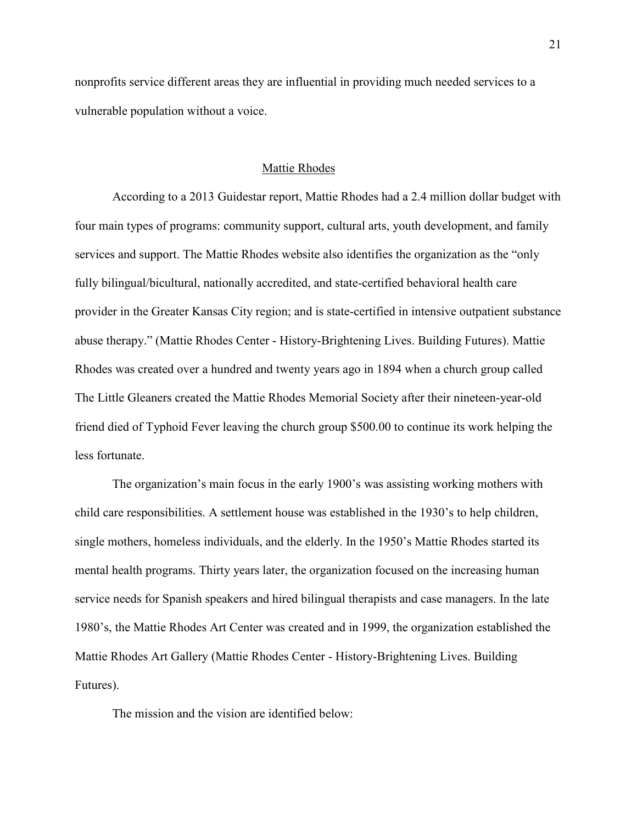nonprofits service different areas they are influential in providing much needed services to a vulnerable population without a voice.

### Mattie Rhodes

According to a 2013 Guidestar report, Mattie Rhodes had a 2.4 million dollar budget with four main types of programs: community support, cultural arts, youth development, and family services and support. The Mattie Rhodes website also identifies the organization as the "only fully bilingual/bicultural, nationally accredited, and state-certified behavioral health care provider in the Greater Kansas City region; and is state-certified in intensive outpatient substance abuse therapy." (Mattie Rhodes Center - History-Brightening Lives. Building Futures). Mattie Rhodes was created over a hundred and twenty years ago in 1894 when a church group called The Little Gleaners created the Mattie Rhodes Memorial Society after their nineteen-year-old friend died of Typhoid Fever leaving the church group \$500.00 to continue its work helping the less fortunate.

The organization's main focus in the early 1900's was assisting working mothers with child care responsibilities. A settlement house was established in the 1930's to help children, single mothers, homeless individuals, and the elderly. In the 1950's Mattie Rhodes started its mental health programs. Thirty years later, the organization focused on the increasing human service needs for Spanish speakers and hired bilingual therapists and case managers. In the late 1980's, the Mattie Rhodes Art Center was created and in 1999, the organization established the Mattie Rhodes Art Gallery (Mattie Rhodes Center - History-Brightening Lives. Building Futures).

The mission and the vision are identified below: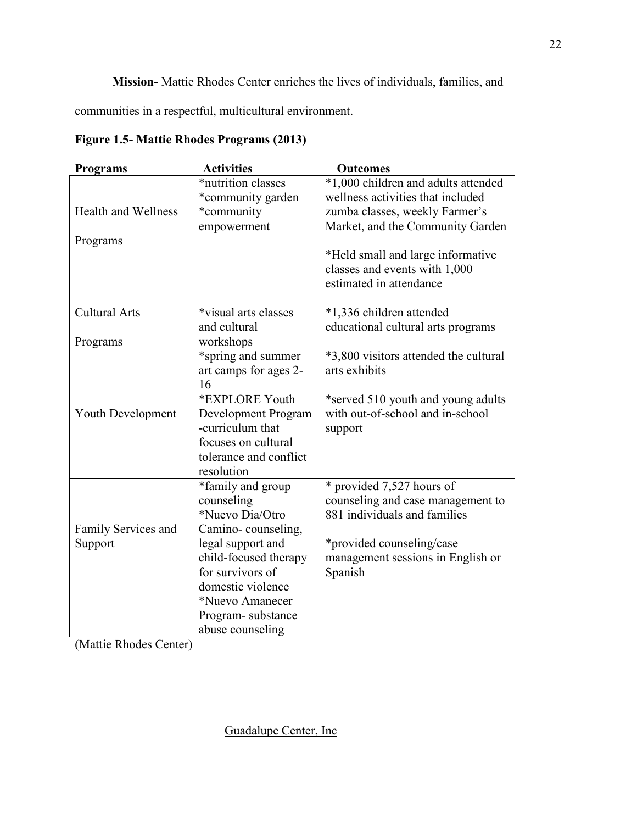**Mission-** Mattie Rhodes Center enriches the lives of individuals, families, and

communities in a respectful, multicultural environment.

**Figure 1.5- Mattie Rhodes Programs (2013)** 

| <b>Programs</b>            | <b>Activities</b>      | <b>Outcomes</b>                       |
|----------------------------|------------------------|---------------------------------------|
|                            | *nutrition classes     | *1,000 children and adults attended   |
|                            | *community garden      | wellness activities that included     |
| <b>Health and Wellness</b> | *community             | zumba classes, weekly Farmer's        |
|                            | empowerment            | Market, and the Community Garden      |
| Programs                   |                        |                                       |
|                            |                        | *Held small and large informative     |
|                            |                        | classes and events with 1,000         |
|                            |                        | estimated in attendance               |
|                            |                        |                                       |
| <b>Cultural Arts</b>       | *visual arts classes   | *1,336 children attended              |
|                            | and cultural           | educational cultural arts programs    |
| Programs                   | workshops              |                                       |
|                            | *spring and summer     | *3,800 visitors attended the cultural |
|                            | art camps for ages 2-  | arts exhibits                         |
|                            | 16                     |                                       |
|                            | *EXPLORE Youth         | *served 510 youth and young adults    |
| <b>Youth Development</b>   | Development Program    | with out-of-school and in-school      |
|                            | -curriculum that       | support                               |
|                            | focuses on cultural    |                                       |
|                            | tolerance and conflict |                                       |
|                            | resolution             |                                       |
|                            | *family and group      | * provided 7,527 hours of             |
|                            | counseling             | counseling and case management to     |
|                            | *Nuevo Dia/Otro        | 881 individuals and families          |
| Family Services and        | Camino-counseling,     |                                       |
| Support                    | legal support and      | *provided counseling/case             |
|                            | child-focused therapy  | management sessions in English or     |
|                            | for survivors of       | Spanish                               |
|                            | domestic violence      |                                       |
|                            | *Nuevo Amanecer        |                                       |
|                            | Program-substance      |                                       |
|                            | abuse counseling       |                                       |

(Mattie Rhodes Center)

Guadalupe Center, Inc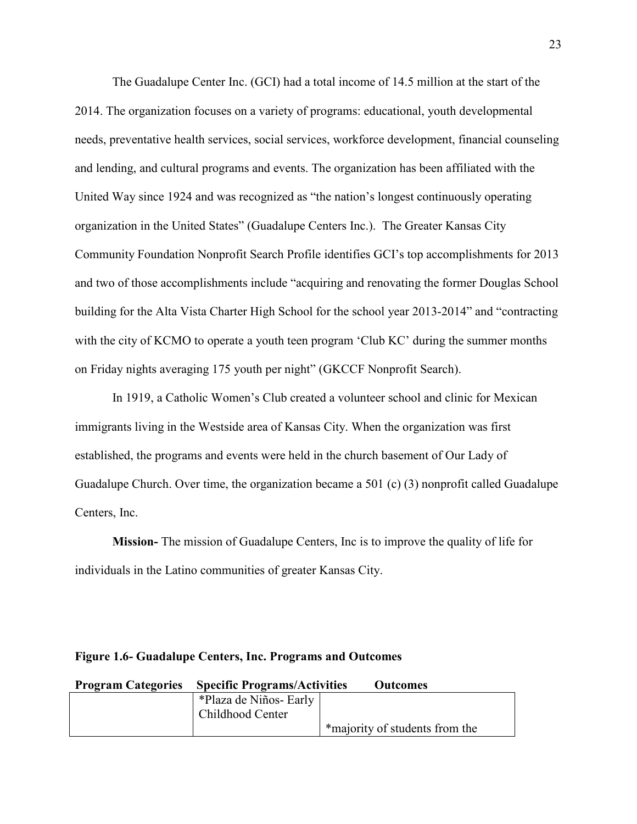The Guadalupe Center Inc. (GCI) had a total income of 14.5 million at the start of the 2014. The organization focuses on a variety of programs: educational, youth developmental needs, preventative health services, social services, workforce development, financial counseling and lending, and cultural programs and events. The organization has been affiliated with the United Way since 1924 and was recognized as "the nation's longest continuously operating organization in the United States" (Guadalupe Centers Inc.). The Greater Kansas City Community Foundation Nonprofit Search Profile identifies GCI's top accomplishments for 2013 and two of those accomplishments include "acquiring and renovating the former Douglas School building for the Alta Vista Charter High School for the school year 2013-2014" and "contracting with the city of KCMO to operate a youth teen program 'Club KC' during the summer months on Friday nights averaging 175 youth per night" (GKCCF Nonprofit Search).

In 1919, a Catholic Women's Club created a volunteer school and clinic for Mexican immigrants living in the Westside area of Kansas City. When the organization was first established, the programs and events were held in the church basement of Our Lady of Guadalupe Church. Over time, the organization became a 501 (c) (3) nonprofit called Guadalupe Centers, Inc.

**Mission-** The mission of Guadalupe Centers, Inc is to improve the quality of life for individuals in the Latino communities of greater Kansas City.

| <b>Program Categories</b> | <b>Specific Programs/Activities</b> | <b>Outcomes</b>                |
|---------------------------|-------------------------------------|--------------------------------|
|                           | *Plaza de Niños- Early              |                                |
|                           | Childhood Center                    |                                |
|                           |                                     | *majority of students from the |

## **Figure 1.6- Guadalupe Centers, Inc. Programs and Outcomes**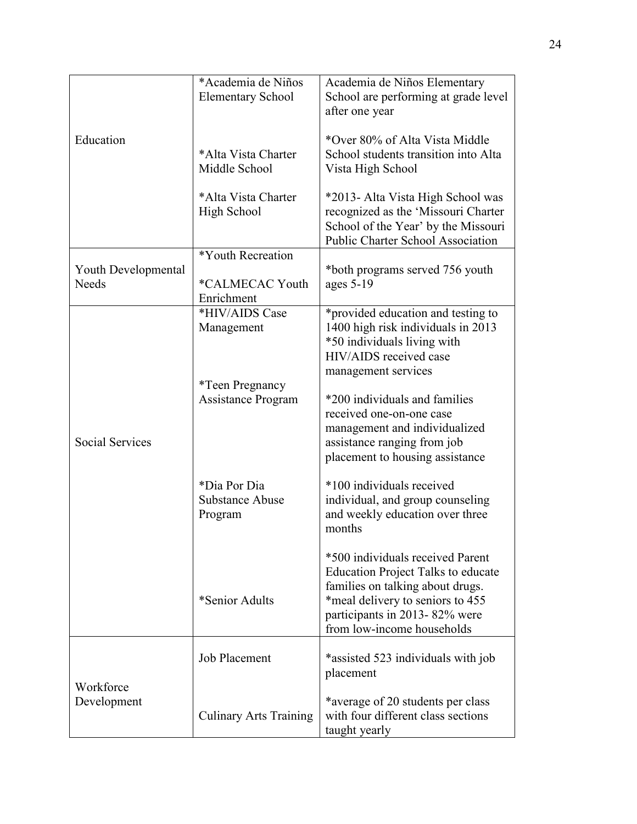|                        | *Academia de Niños            | Academia de Niños Elementary                                   |
|------------------------|-------------------------------|----------------------------------------------------------------|
|                        | <b>Elementary School</b>      | School are performing at grade level                           |
|                        |                               | after one year                                                 |
|                        |                               |                                                                |
| Education              |                               | *Over 80% of Alta Vista Middle                                 |
|                        | *Alta Vista Charter           | School students transition into Alta                           |
|                        | Middle School                 | Vista High School                                              |
|                        |                               |                                                                |
|                        | *Alta Vista Charter           | *2013- Alta Vista High School was                              |
|                        | <b>High School</b>            | recognized as the 'Missouri Charter                            |
|                        |                               | School of the Year' by the Missouri                            |
|                        |                               | <b>Public Charter School Association</b>                       |
|                        | *Youth Recreation             |                                                                |
| Youth Developmental    |                               | *both programs served 756 youth                                |
| Needs                  | *CALMECAC Youth               | ages $5-19$                                                    |
|                        | Enrichment                    |                                                                |
|                        | *HIV/AIDS Case                | *provided education and testing to                             |
|                        | Management                    | 1400 high risk individuals in 2013                             |
|                        |                               | *50 individuals living with                                    |
|                        |                               | HIV/AIDS received case                                         |
|                        |                               | management services                                            |
|                        | <i>*Teen Pregnancy</i>        |                                                                |
|                        | Assistance Program            | *200 individuals and families                                  |
|                        |                               | received one-on-one case                                       |
| <b>Social Services</b> |                               | management and individualized                                  |
|                        |                               | assistance ranging from job<br>placement to housing assistance |
|                        |                               |                                                                |
|                        | *Dia Por Dia                  | *100 individuals received                                      |
|                        | <b>Substance Abuse</b>        | individual, and group counseling                               |
|                        | Program                       | and weekly education over three                                |
|                        |                               | months                                                         |
|                        |                               |                                                                |
|                        |                               | *500 individuals received Parent                               |
|                        |                               | <b>Education Project Talks to educate</b>                      |
|                        |                               | families on talking about drugs.                               |
|                        | *Senior Adults                | *meal delivery to seniors to 455                               |
|                        |                               | participants in 2013-82% were                                  |
|                        |                               | from low-income households                                     |
|                        |                               |                                                                |
|                        | <b>Job Placement</b>          | *assisted 523 individuals with job                             |
|                        |                               | placement                                                      |
| Workforce              |                               |                                                                |
| Development            |                               | *average of 20 students per class                              |
|                        | <b>Culinary Arts Training</b> | with four different class sections                             |
|                        |                               | taught yearly                                                  |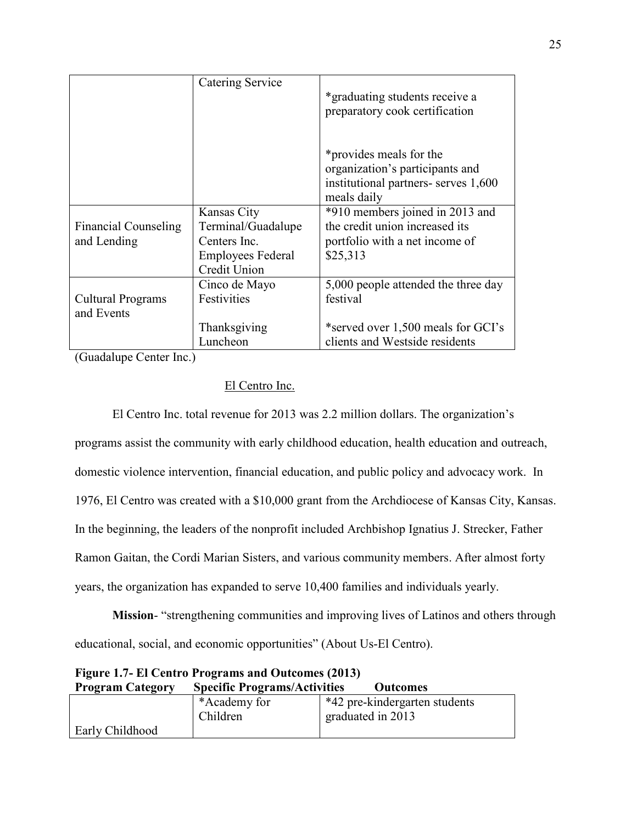|                             | <b>Catering Service</b>  | *graduating students receive a<br>preparatory cook certification                                                  |
|-----------------------------|--------------------------|-------------------------------------------------------------------------------------------------------------------|
|                             |                          | *provides meals for the<br>organization's participants and<br>institutional partners- serves 1,600<br>meals daily |
|                             | Kansas City              | *910 members joined in 2013 and                                                                                   |
| <b>Financial Counseling</b> | Terminal/Guadalupe       | the credit union increased its                                                                                    |
| and Lending                 | Centers Inc.             | portfolio with a net income of                                                                                    |
|                             | <b>Employees Federal</b> | \$25,313                                                                                                          |
|                             | Credit Union             |                                                                                                                   |
|                             | Cinco de Mayo            | 5,000 people attended the three day                                                                               |
| <b>Cultural Programs</b>    | Festivities              | festival                                                                                                          |
| and Events                  |                          |                                                                                                                   |
|                             | Thanksgiving             | *served over 1,500 meals for GCI's                                                                                |
|                             | Luncheon                 | clients and Westside residents                                                                                    |

(Guadalupe Center Inc.)

## El Centro Inc.

 El Centro Inc. total revenue for 2013 was 2.2 million dollars. The organization's programs assist the community with early childhood education, health education and outreach, domestic violence intervention, financial education, and public policy and advocacy work. In 1976, El Centro was created with a \$10,000 grant from the Archdiocese of Kansas City, Kansas. In the beginning, the leaders of the nonprofit included Archbishop Ignatius J. Strecker, Father Ramon Gaitan, the Cordi Marian Sisters, and various community members. After almost forty years, the organization has expanded to serve 10,400 families and individuals yearly.

**Mission**- "strengthening communities and improving lives of Latinos and others through educational, social, and economic opportunities" (About Us-El Centro).

| <b>Program Category</b> | <b>Specific Programs/Activities</b> | <b>Outcomes</b>               |
|-------------------------|-------------------------------------|-------------------------------|
|                         | *Academy for                        | *42 pre-kindergarten students |
|                         | Children                            | graduated in 2013             |
| <b>Early Childhood</b>  |                                     |                               |

# **Figure 1.7- El Centro Programs and Outcomes (2013)**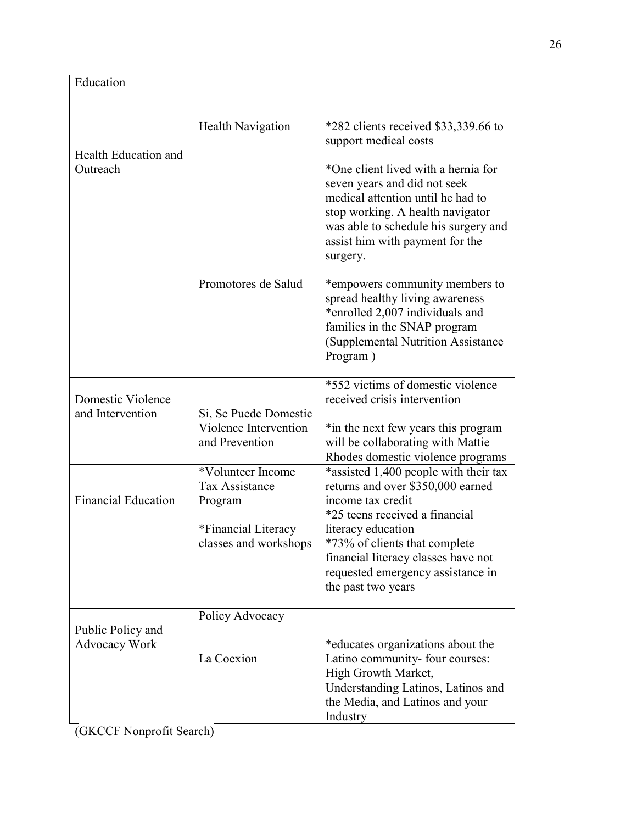| Education                                 |                                                                  |                                                                                                                                                                                                                                     |
|-------------------------------------------|------------------------------------------------------------------|-------------------------------------------------------------------------------------------------------------------------------------------------------------------------------------------------------------------------------------|
|                                           |                                                                  |                                                                                                                                                                                                                                     |
| Health Education and<br>Outreach          | <b>Health Navigation</b>                                         | *282 clients received \$33,339.66 to<br>support medical costs                                                                                                                                                                       |
|                                           |                                                                  | *One client lived with a hernia for<br>seven years and did not seek<br>medical attention until he had to<br>stop working. A health navigator<br>was able to schedule his surgery and<br>assist him with payment for the<br>surgery. |
|                                           | Promotores de Salud                                              | *empowers community members to<br>spread healthy living awareness<br>*enrolled 2,007 individuals and<br>families in the SNAP program<br>(Supplemental Nutrition Assistance)<br>Program)                                             |
| Domestic Violence                         |                                                                  | *552 victims of domestic violence<br>received crisis intervention                                                                                                                                                                   |
| and Intervention                          | Si, Se Puede Domestic<br>Violence Intervention<br>and Prevention | *in the next few years this program<br>will be collaborating with Mattie<br>Rhodes domestic violence programs                                                                                                                       |
| <b>Financial Education</b>                | *Volunteer Income<br><b>Tax Assistance</b><br>Program            | *assisted 1,400 people with their tax<br>returns and over \$350,000 earned<br>income tax credit<br>*25 teens received a financial                                                                                                   |
|                                           | *Financial Literacy<br>classes and workshops                     | literacy education<br>*73% of clients that complete<br>financial literacy classes have not<br>requested emergency assistance in<br>the past two years                                                                               |
|                                           | Policy Advocacy                                                  |                                                                                                                                                                                                                                     |
| Public Policy and<br><b>Advocacy Work</b> | La Coexion                                                       | *educates organizations about the<br>Latino community- four courses:<br>High Growth Market,<br>Understanding Latinos, Latinos and<br>the Media, and Latinos and your<br>Industry                                                    |

(GKCCF Nonprofit Search)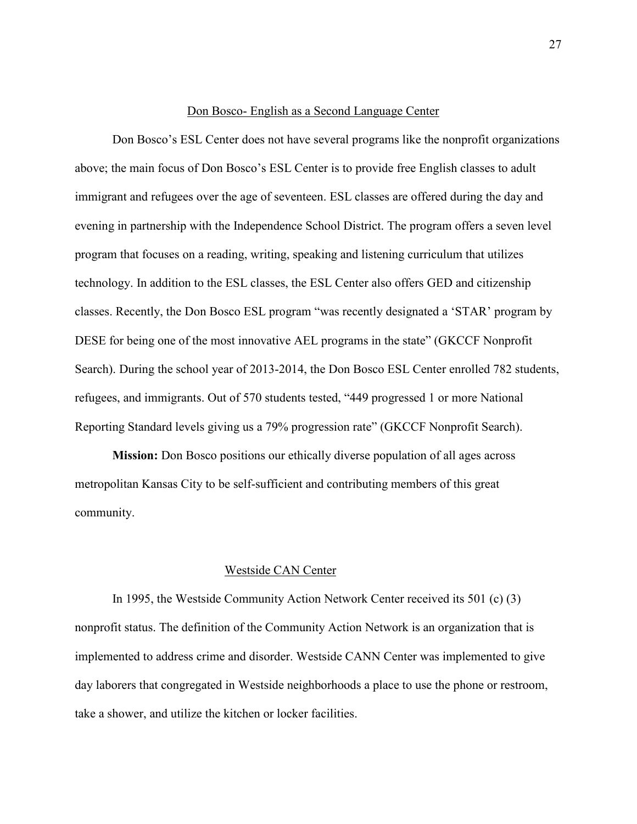#### Don Bosco- English as a Second Language Center

 Don Bosco's ESL Center does not have several programs like the nonprofit organizations above; the main focus of Don Bosco's ESL Center is to provide free English classes to adult immigrant and refugees over the age of seventeen. ESL classes are offered during the day and evening in partnership with the Independence School District. The program offers a seven level program that focuses on a reading, writing, speaking and listening curriculum that utilizes technology. In addition to the ESL classes, the ESL Center also offers GED and citizenship classes. Recently, the Don Bosco ESL program "was recently designated a 'STAR' program by DESE for being one of the most innovative AEL programs in the state" (GKCCF Nonprofit Search). During the school year of 2013-2014, the Don Bosco ESL Center enrolled 782 students, refugees, and immigrants. Out of 570 students tested, "449 progressed 1 or more National Reporting Standard levels giving us a 79% progression rate" (GKCCF Nonprofit Search).

**Mission:** Don Bosco positions our ethically diverse population of all ages across metropolitan Kansas City to be self-sufficient and contributing members of this great community.

## Westside CAN Center

In 1995, the Westside Community Action Network Center received its 501 (c) (3) nonprofit status. The definition of the Community Action Network is an organization that is implemented to address crime and disorder. Westside CANN Center was implemented to give day laborers that congregated in Westside neighborhoods a place to use the phone or restroom, take a shower, and utilize the kitchen or locker facilities.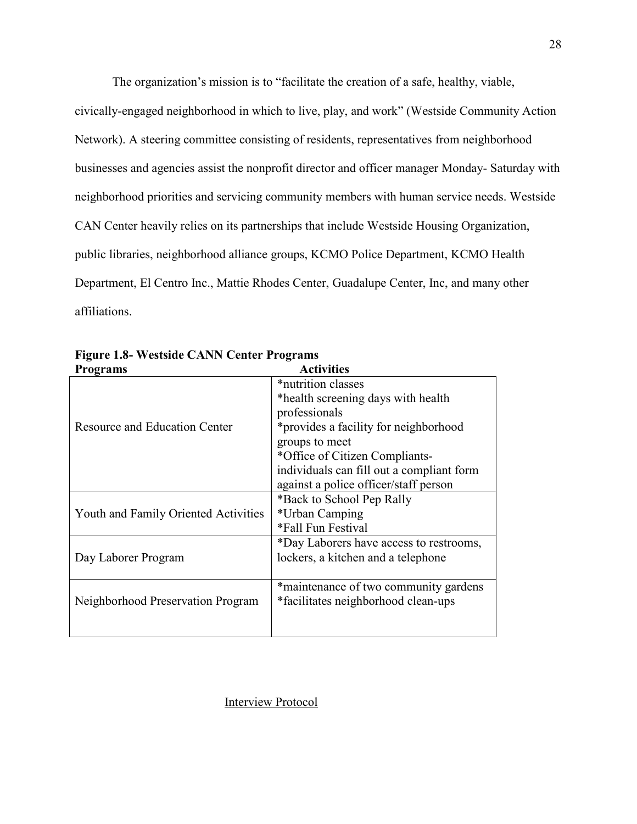The organization's mission is to "facilitate the creation of a safe, healthy, viable,

civically-engaged neighborhood in which to live, play, and work" (Westside Community Action Network). A steering committee consisting of residents, representatives from neighborhood businesses and agencies assist the nonprofit director and officer manager Monday- Saturday with neighborhood priorities and servicing community members with human service needs. Westside CAN Center heavily relies on its partnerships that include Westside Housing Organization, public libraries, neighborhood alliance groups, KCMO Police Department, KCMO Health Department, El Centro Inc., Mattie Rhodes Center, Guadalupe Center, Inc, and many other affiliations.

| <b>Programs</b>                      | <b>Activities</b>                         |
|--------------------------------------|-------------------------------------------|
|                                      | *nutrition classes                        |
|                                      | *health screening days with health        |
|                                      | professionals                             |
| <b>Resource and Education Center</b> | *provides a facility for neighborhood     |
|                                      | groups to meet                            |
|                                      | *Office of Citizen Compliants-            |
|                                      | individuals can fill out a compliant form |
|                                      | against a police officer/staff person     |
|                                      | *Back to School Pep Rally                 |
| Youth and Family Oriented Activities | *Urban Camping                            |
|                                      | *Fall Fun Festival                        |
|                                      | *Day Laborers have access to restrooms,   |
| Day Laborer Program                  | lockers, a kitchen and a telephone        |
|                                      |                                           |
|                                      | *maintenance of two community gardens     |
| Neighborhood Preservation Program    | *facilitates neighborhood clean-ups       |
|                                      |                                           |
|                                      |                                           |

**Figure 1.8- Westside CANN Center Programs** 

## Interview Protocol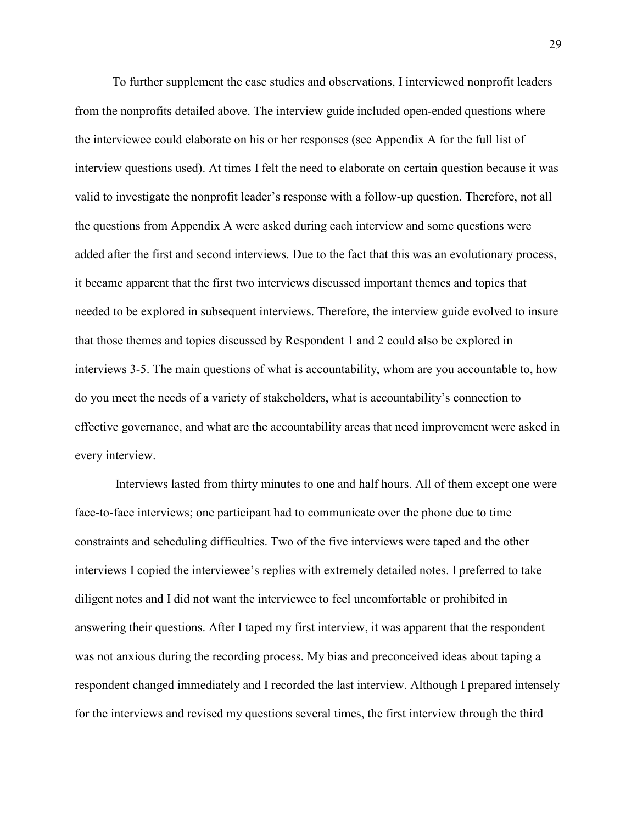To further supplement the case studies and observations, I interviewed nonprofit leaders from the nonprofits detailed above. The interview guide included open-ended questions where the interviewee could elaborate on his or her responses (see Appendix A for the full list of interview questions used). At times I felt the need to elaborate on certain question because it was valid to investigate the nonprofit leader's response with a follow-up question. Therefore, not all the questions from Appendix A were asked during each interview and some questions were added after the first and second interviews. Due to the fact that this was an evolutionary process, it became apparent that the first two interviews discussed important themes and topics that needed to be explored in subsequent interviews. Therefore, the interview guide evolved to insure that those themes and topics discussed by Respondent 1 and 2 could also be explored in interviews 3-5. The main questions of what is accountability, whom are you accountable to, how do you meet the needs of a variety of stakeholders, what is accountability's connection to effective governance, and what are the accountability areas that need improvement were asked in every interview.

 Interviews lasted from thirty minutes to one and half hours. All of them except one were face-to-face interviews; one participant had to communicate over the phone due to time constraints and scheduling difficulties. Two of the five interviews were taped and the other interviews I copied the interviewee's replies with extremely detailed notes. I preferred to take diligent notes and I did not want the interviewee to feel uncomfortable or prohibited in answering their questions. After I taped my first interview, it was apparent that the respondent was not anxious during the recording process. My bias and preconceived ideas about taping a respondent changed immediately and I recorded the last interview. Although I prepared intensely for the interviews and revised my questions several times, the first interview through the third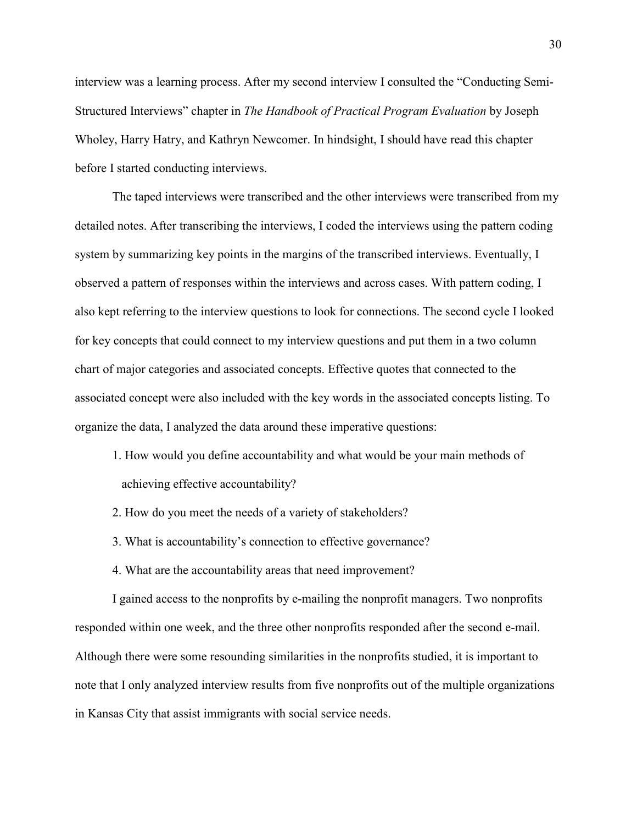interview was a learning process. After my second interview I consulted the "Conducting Semi-Structured Interviews" chapter in *The Handbook of Practical Program Evaluation* by Joseph Wholey, Harry Hatry, and Kathryn Newcomer. In hindsight, I should have read this chapter before I started conducting interviews.

The taped interviews were transcribed and the other interviews were transcribed from my detailed notes. After transcribing the interviews, I coded the interviews using the pattern coding system by summarizing key points in the margins of the transcribed interviews. Eventually, I observed a pattern of responses within the interviews and across cases. With pattern coding, I also kept referring to the interview questions to look for connections. The second cycle I looked for key concepts that could connect to my interview questions and put them in a two column chart of major categories and associated concepts. Effective quotes that connected to the associated concept were also included with the key words in the associated concepts listing. To organize the data, I analyzed the data around these imperative questions:

- 1. How would you define accountability and what would be your main methods of achieving effective accountability?
- 2. How do you meet the needs of a variety of stakeholders?
- 3. What is accountability's connection to effective governance?
- 4. What are the accountability areas that need improvement?

I gained access to the nonprofits by e-mailing the nonprofit managers. Two nonprofits responded within one week, and the three other nonprofits responded after the second e-mail. Although there were some resounding similarities in the nonprofits studied, it is important to note that I only analyzed interview results from five nonprofits out of the multiple organizations in Kansas City that assist immigrants with social service needs.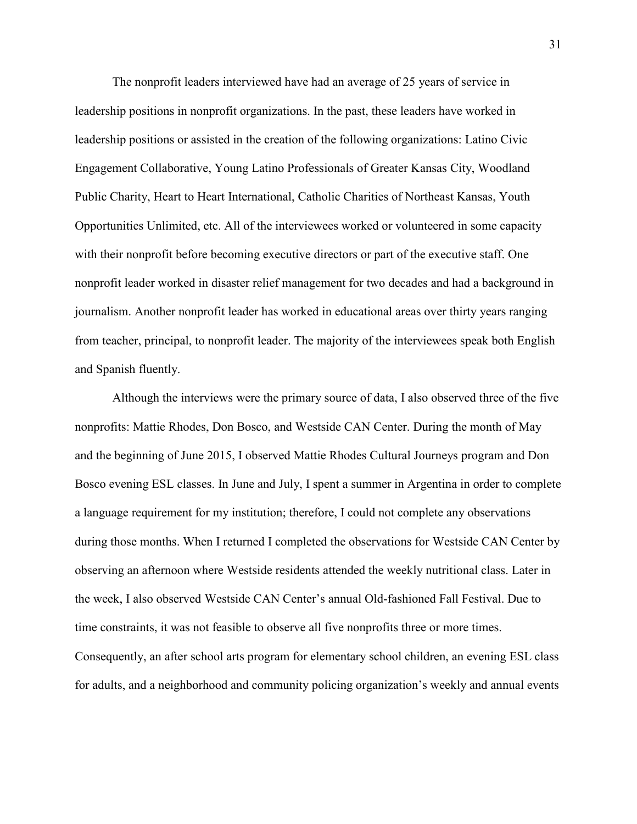The nonprofit leaders interviewed have had an average of 25 years of service in leadership positions in nonprofit organizations. In the past, these leaders have worked in leadership positions or assisted in the creation of the following organizations: Latino Civic Engagement Collaborative, Young Latino Professionals of Greater Kansas City, Woodland Public Charity, Heart to Heart International, Catholic Charities of Northeast Kansas, Youth Opportunities Unlimited, etc. All of the interviewees worked or volunteered in some capacity with their nonprofit before becoming executive directors or part of the executive staff. One nonprofit leader worked in disaster relief management for two decades and had a background in journalism. Another nonprofit leader has worked in educational areas over thirty years ranging from teacher, principal, to nonprofit leader. The majority of the interviewees speak both English and Spanish fluently.

Although the interviews were the primary source of data, I also observed three of the five nonprofits: Mattie Rhodes, Don Bosco, and Westside CAN Center. During the month of May and the beginning of June 2015, I observed Mattie Rhodes Cultural Journeys program and Don Bosco evening ESL classes. In June and July, I spent a summer in Argentina in order to complete a language requirement for my institution; therefore, I could not complete any observations during those months. When I returned I completed the observations for Westside CAN Center by observing an afternoon where Westside residents attended the weekly nutritional class. Later in the week, I also observed Westside CAN Center's annual Old-fashioned Fall Festival. Due to time constraints, it was not feasible to observe all five nonprofits three or more times. Consequently, an after school arts program for elementary school children, an evening ESL class for adults, and a neighborhood and community policing organization's weekly and annual events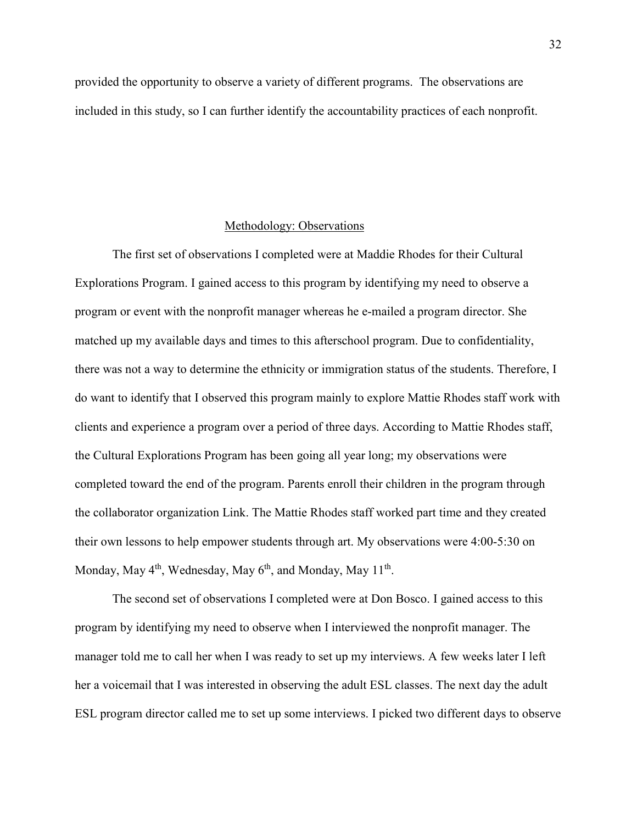provided the opportunity to observe a variety of different programs. The observations are included in this study, so I can further identify the accountability practices of each nonprofit.

#### Methodology: Observations

The first set of observations I completed were at Maddie Rhodes for their Cultural Explorations Program. I gained access to this program by identifying my need to observe a program or event with the nonprofit manager whereas he e-mailed a program director. She matched up my available days and times to this afterschool program. Due to confidentiality, there was not a way to determine the ethnicity or immigration status of the students. Therefore, I do want to identify that I observed this program mainly to explore Mattie Rhodes staff work with clients and experience a program over a period of three days. According to Mattie Rhodes staff, the Cultural Explorations Program has been going all year long; my observations were completed toward the end of the program. Parents enroll their children in the program through the collaborator organization Link. The Mattie Rhodes staff worked part time and they created their own lessons to help empower students through art. My observations were 4:00-5:30 on Monday, May 4<sup>th</sup>, Wednesday, May 6<sup>th</sup>, and Monday, May 11<sup>th</sup>.

The second set of observations I completed were at Don Bosco. I gained access to this program by identifying my need to observe when I interviewed the nonprofit manager. The manager told me to call her when I was ready to set up my interviews. A few weeks later I left her a voicemail that I was interested in observing the adult ESL classes. The next day the adult ESL program director called me to set up some interviews. I picked two different days to observe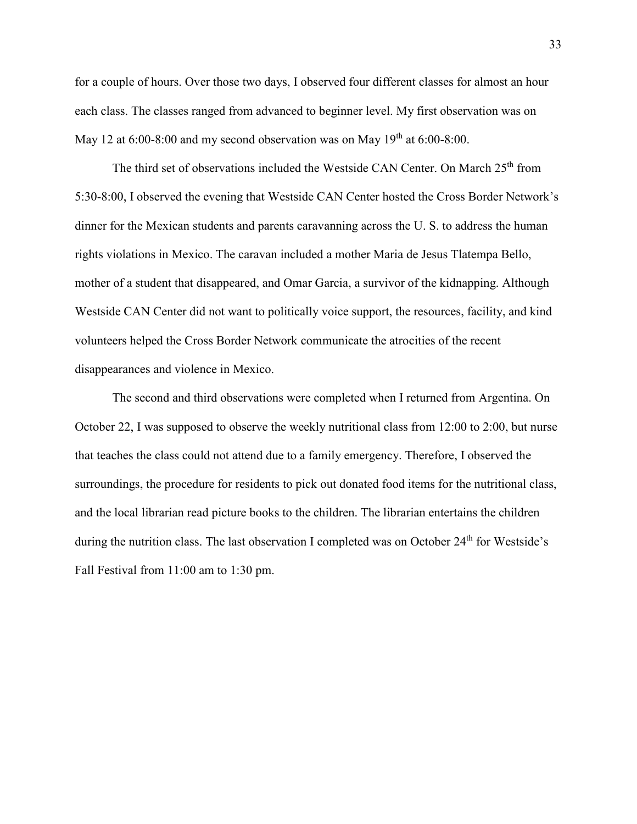for a couple of hours. Over those two days, I observed four different classes for almost an hour each class. The classes ranged from advanced to beginner level. My first observation was on May 12 at  $6:00-8:00$  and my second observation was on May  $19<sup>th</sup>$  at  $6:00-8:00$ .

The third set of observations included the Westside CAN Center. On March  $25<sup>th</sup>$  from 5:30-8:00, I observed the evening that Westside CAN Center hosted the Cross Border Network's dinner for the Mexican students and parents caravanning across the U. S. to address the human rights violations in Mexico. The caravan included a mother Maria de Jesus Tlatempa Bello, mother of a student that disappeared, and Omar Garcia, a survivor of the kidnapping. Although Westside CAN Center did not want to politically voice support, the resources, facility, and kind volunteers helped the Cross Border Network communicate the atrocities of the recent disappearances and violence in Mexico.

The second and third observations were completed when I returned from Argentina. On October 22, I was supposed to observe the weekly nutritional class from 12:00 to 2:00, but nurse that teaches the class could not attend due to a family emergency. Therefore, I observed the surroundings, the procedure for residents to pick out donated food items for the nutritional class, and the local librarian read picture books to the children. The librarian entertains the children during the nutrition class. The last observation I completed was on October 24<sup>th</sup> for Westside's Fall Festival from 11:00 am to 1:30 pm.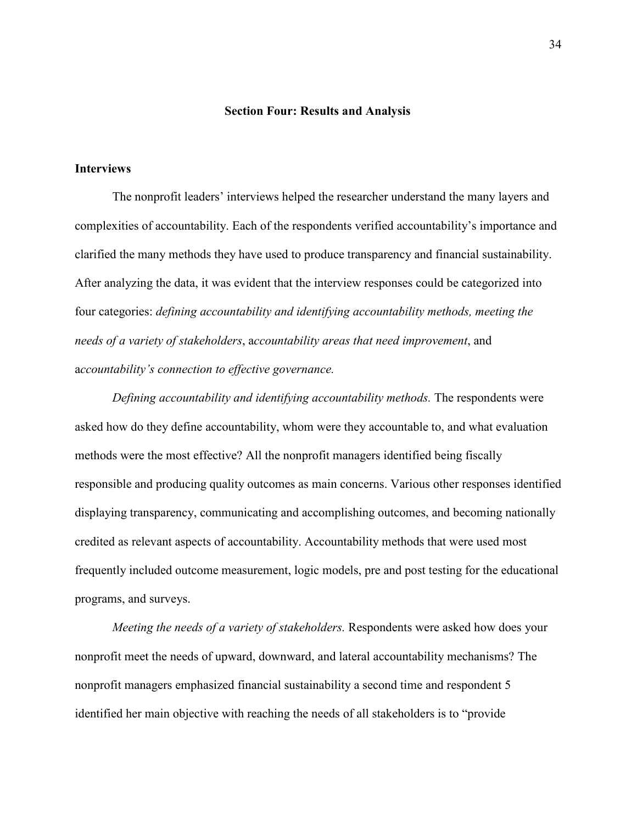### **Section Four: Results and Analysis**

## **Interviews**

 The nonprofit leaders' interviews helped the researcher understand the many layers and complexities of accountability. Each of the respondents verified accountability's importance and clarified the many methods they have used to produce transparency and financial sustainability. After analyzing the data, it was evident that the interview responses could be categorized into four categories: *defining accountability and identifying accountability methods, meeting the needs of a variety of stakeholders*, a*ccountability areas that need improvement*, and a*ccountability's connection to effective governance.*

*Defining accountability and identifying accountability methods.* The respondents were asked how do they define accountability, whom were they accountable to, and what evaluation methods were the most effective? All the nonprofit managers identified being fiscally responsible and producing quality outcomes as main concerns. Various other responses identified displaying transparency, communicating and accomplishing outcomes, and becoming nationally credited as relevant aspects of accountability. Accountability methods that were used most frequently included outcome measurement, logic models, pre and post testing for the educational programs, and surveys.

*Meeting the needs of a variety of stakeholders.* Respondents were asked how does your nonprofit meet the needs of upward, downward, and lateral accountability mechanisms? The nonprofit managers emphasized financial sustainability a second time and respondent 5 identified her main objective with reaching the needs of all stakeholders is to "provide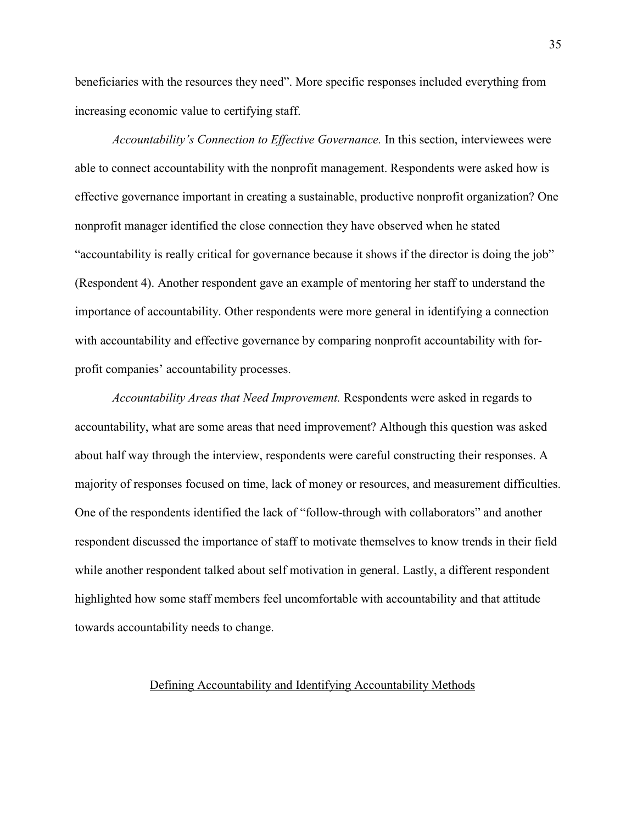beneficiaries with the resources they need". More specific responses included everything from increasing economic value to certifying staff.

*Accountability's Connection to Effective Governance.* In this section, interviewees were able to connect accountability with the nonprofit management. Respondents were asked how is effective governance important in creating a sustainable, productive nonprofit organization? One nonprofit manager identified the close connection they have observed when he stated "accountability is really critical for governance because it shows if the director is doing the job" (Respondent 4). Another respondent gave an example of mentoring her staff to understand the importance of accountability. Other respondents were more general in identifying a connection with accountability and effective governance by comparing nonprofit accountability with forprofit companies' accountability processes.

*Accountability Areas that Need Improvement.* Respondents were asked in regards to accountability, what are some areas that need improvement? Although this question was asked about half way through the interview, respondents were careful constructing their responses. A majority of responses focused on time, lack of money or resources, and measurement difficulties. One of the respondents identified the lack of "follow-through with collaborators" and another respondent discussed the importance of staff to motivate themselves to know trends in their field while another respondent talked about self motivation in general. Lastly, a different respondent highlighted how some staff members feel uncomfortable with accountability and that attitude towards accountability needs to change.

# Defining Accountability and Identifying Accountability Methods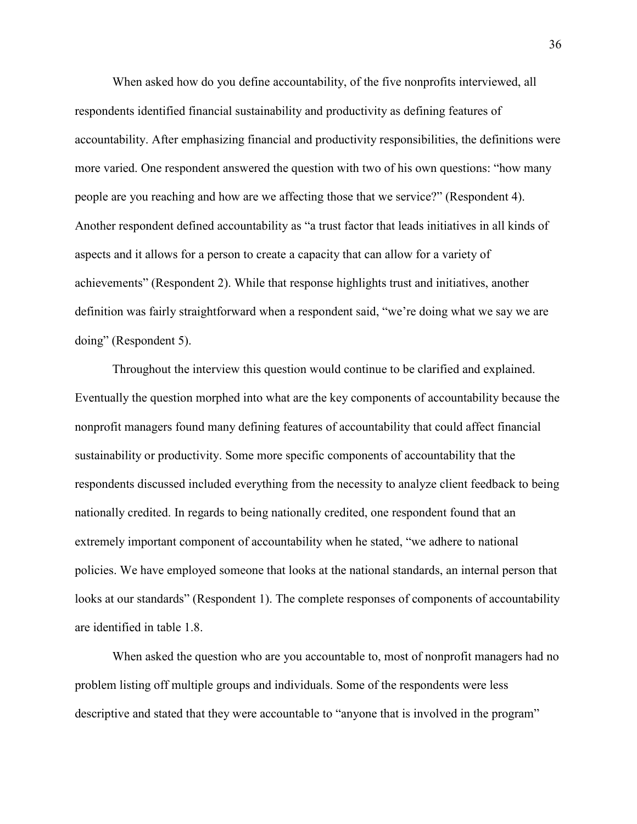When asked how do you define accountability, of the five nonprofits interviewed, all respondents identified financial sustainability and productivity as defining features of accountability. After emphasizing financial and productivity responsibilities, the definitions were more varied. One respondent answered the question with two of his own questions: "how many people are you reaching and how are we affecting those that we service?" (Respondent 4). Another respondent defined accountability as "a trust factor that leads initiatives in all kinds of aspects and it allows for a person to create a capacity that can allow for a variety of achievements" (Respondent 2). While that response highlights trust and initiatives, another definition was fairly straightforward when a respondent said, "we're doing what we say we are doing" (Respondent 5).

Throughout the interview this question would continue to be clarified and explained. Eventually the question morphed into what are the key components of accountability because the nonprofit managers found many defining features of accountability that could affect financial sustainability or productivity. Some more specific components of accountability that the respondents discussed included everything from the necessity to analyze client feedback to being nationally credited. In regards to being nationally credited, one respondent found that an extremely important component of accountability when he stated, "we adhere to national policies. We have employed someone that looks at the national standards, an internal person that looks at our standards" (Respondent 1). The complete responses of components of accountability are identified in table 1.8.

When asked the question who are you accountable to, most of nonprofit managers had no problem listing off multiple groups and individuals. Some of the respondents were less descriptive and stated that they were accountable to "anyone that is involved in the program"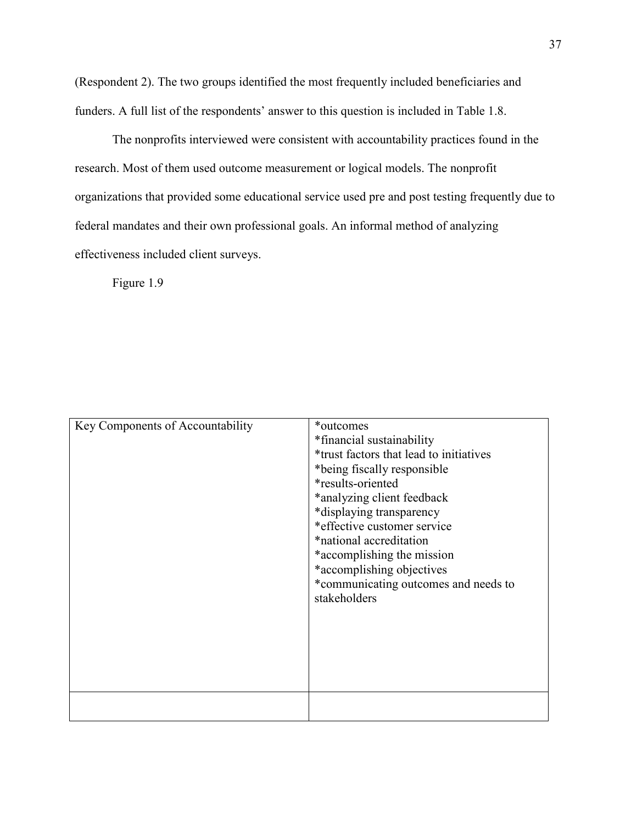(Respondent 2). The two groups identified the most frequently included beneficiaries and funders. A full list of the respondents' answer to this question is included in Table 1.8.

The nonprofits interviewed were consistent with accountability practices found in the research. Most of them used outcome measurement or logical models. The nonprofit organizations that provided some educational service used pre and post testing frequently due to federal mandates and their own professional goals. An informal method of analyzing effectiveness included client surveys.

Figure 1.9

| Key Components of Accountability | *outcomes<br>*financial sustainability<br>*trust factors that lead to initiatives<br>*being fiscally responsible<br>*results-oriented<br>*analyzing client feedback<br>*displaying transparency<br>*effective customer service<br>*national accreditation<br>*accomplishing the mission<br>*accomplishing objectives<br>*communicating outcomes and needs to<br>stakeholders |
|----------------------------------|------------------------------------------------------------------------------------------------------------------------------------------------------------------------------------------------------------------------------------------------------------------------------------------------------------------------------------------------------------------------------|
|                                  |                                                                                                                                                                                                                                                                                                                                                                              |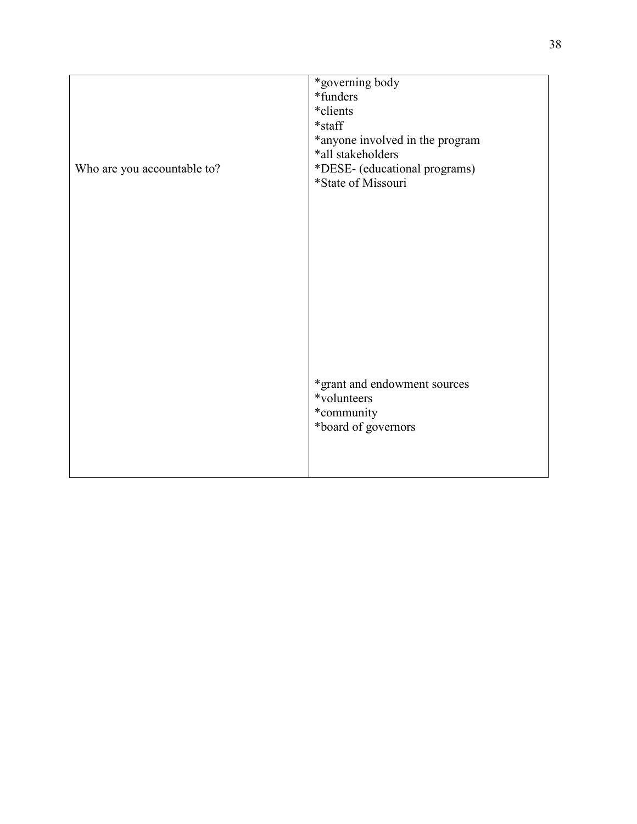| Who are you accountable to? | *governing body<br>*funders<br>*clients<br>*staff<br>*anyone involved in the program<br>*all stakeholders<br>*DESE- (educational programs)<br>*State of Missouri |  |
|-----------------------------|------------------------------------------------------------------------------------------------------------------------------------------------------------------|--|
|                             |                                                                                                                                                                  |  |
|                             | *grant and endowment sources<br>*volunteers<br>*community<br>*board of governors                                                                                 |  |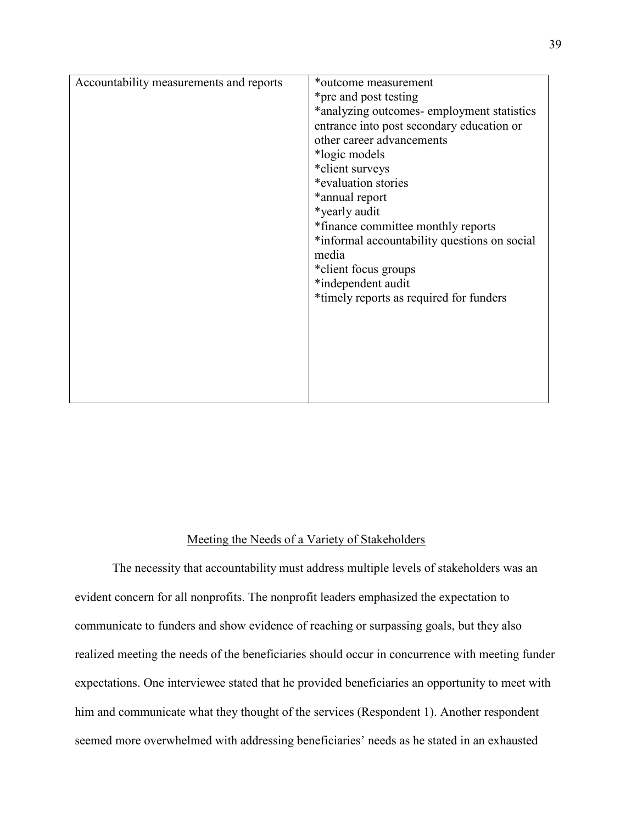| Accountability measurements and reports | *outcome measurement<br>*pre and post testing<br>*analyzing outcomes- employment statistics<br>entrance into post secondary education or<br>other career advancements<br>*logic models<br>*client surveys<br>*evaluation stories |
|-----------------------------------------|----------------------------------------------------------------------------------------------------------------------------------------------------------------------------------------------------------------------------------|
|                                         | *annual report<br>*yearly audit<br>*finance committee monthly reports<br>*informal accountability questions on social<br>media<br>*client focus groups<br>*independent audit<br>*timely reports as required for funders          |
|                                         |                                                                                                                                                                                                                                  |

## Meeting the Needs of a Variety of Stakeholders

 The necessity that accountability must address multiple levels of stakeholders was an evident concern for all nonprofits. The nonprofit leaders emphasized the expectation to communicate to funders and show evidence of reaching or surpassing goals, but they also realized meeting the needs of the beneficiaries should occur in concurrence with meeting funder expectations. One interviewee stated that he provided beneficiaries an opportunity to meet with him and communicate what they thought of the services (Respondent 1). Another respondent seemed more overwhelmed with addressing beneficiaries' needs as he stated in an exhausted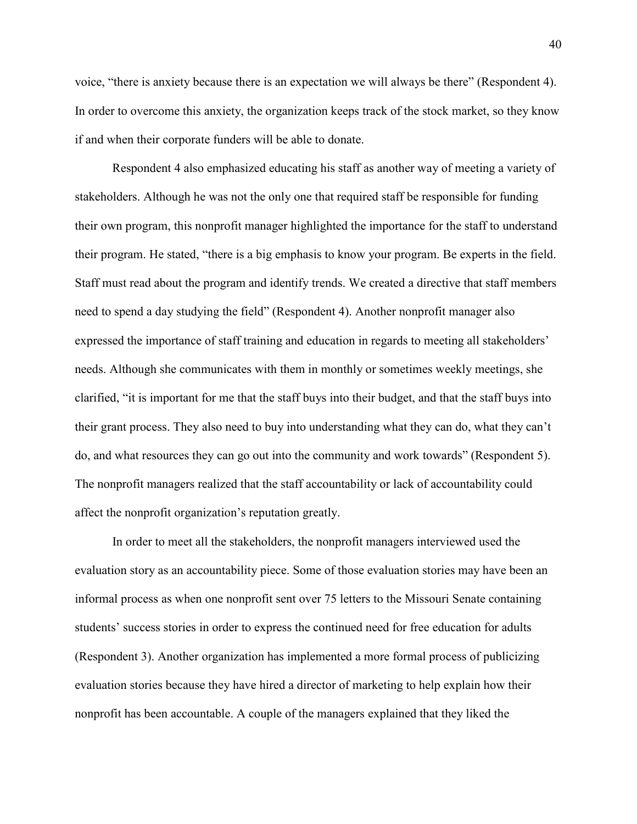voice, "there is anxiety because there is an expectation we will always be there" (Respondent 4). In order to overcome this anxiety, the organization keeps track of the stock market, so they know if and when their corporate funders will be able to donate.

Respondent 4 also emphasized educating his staff as another way of meeting a variety of stakeholders. Although he was not the only one that required staff be responsible for funding their own program, this nonprofit manager highlighted the importance for the staff to understand their program. He stated, "there is a big emphasis to know your program. Be experts in the field. Staff must read about the program and identify trends. We created a directive that staff members need to spend a day studying the field" (Respondent 4). Another nonprofit manager also expressed the importance of staff training and education in regards to meeting all stakeholders' needs. Although she communicates with them in monthly or sometimes weekly meetings, she clarified, "it is important for me that the staff buys into their budget, and that the staff buys into their grant process. They also need to buy into understanding what they can do, what they can't do, and what resources they can go out into the community and work towards" (Respondent 5). The nonprofit managers realized that the staff accountability or lack of accountability could affect the nonprofit organization's reputation greatly.

 In order to meet all the stakeholders, the nonprofit managers interviewed used the evaluation story as an accountability piece. Some of those evaluation stories may have been an informal process as when one nonprofit sent over 75 letters to the Missouri Senate containing students' success stories in order to express the continued need for free education for adults (Respondent 3). Another organization has implemented a more formal process of publicizing evaluation stories because they have hired a director of marketing to help explain how their nonprofit has been accountable. A couple of the managers explained that they liked the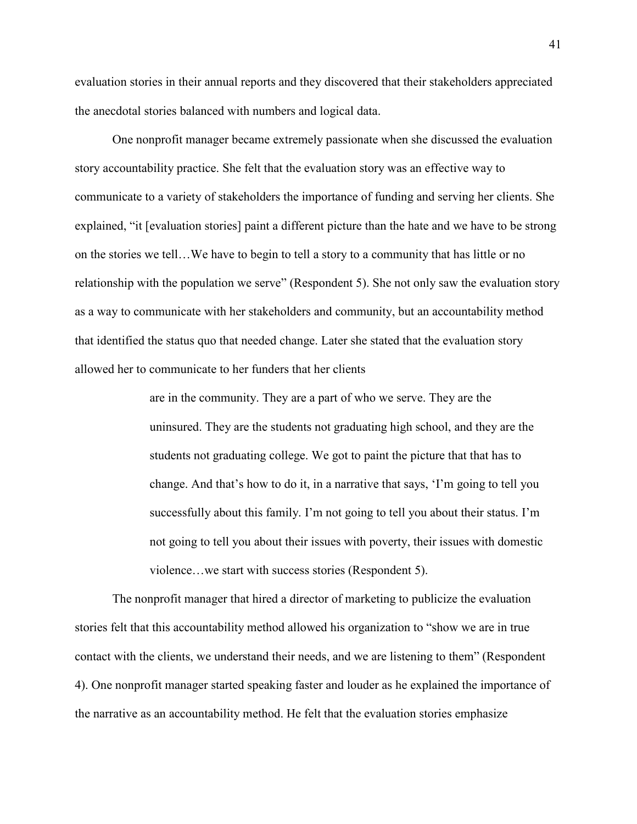evaluation stories in their annual reports and they discovered that their stakeholders appreciated the anecdotal stories balanced with numbers and logical data.

 One nonprofit manager became extremely passionate when she discussed the evaluation story accountability practice. She felt that the evaluation story was an effective way to communicate to a variety of stakeholders the importance of funding and serving her clients. She explained, "it [evaluation stories] paint a different picture than the hate and we have to be strong on the stories we tell…We have to begin to tell a story to a community that has little or no relationship with the population we serve" (Respondent 5). She not only saw the evaluation story as a way to communicate with her stakeholders and community, but an accountability method that identified the status quo that needed change. Later she stated that the evaluation story allowed her to communicate to her funders that her clients

> are in the community. They are a part of who we serve. They are the uninsured. They are the students not graduating high school, and they are the students not graduating college. We got to paint the picture that that has to change. And that's how to do it, in a narrative that says, 'I'm going to tell you successfully about this family. I'm not going to tell you about their status. I'm not going to tell you about their issues with poverty, their issues with domestic violence…we start with success stories (Respondent 5).

 The nonprofit manager that hired a director of marketing to publicize the evaluation stories felt that this accountability method allowed his organization to "show we are in true contact with the clients, we understand their needs, and we are listening to them" (Respondent 4). One nonprofit manager started speaking faster and louder as he explained the importance of the narrative as an accountability method. He felt that the evaluation stories emphasize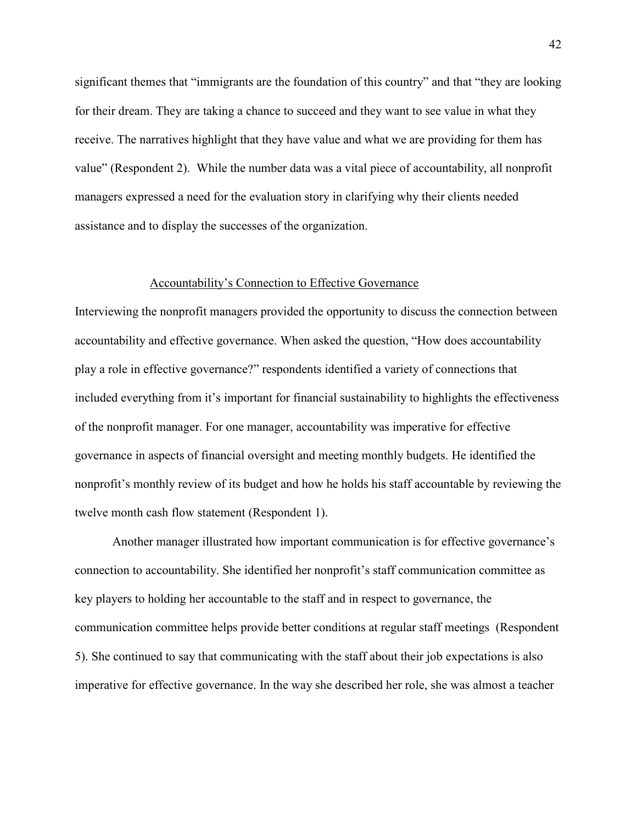significant themes that "immigrants are the foundation of this country" and that "they are looking for their dream. They are taking a chance to succeed and they want to see value in what they receive. The narratives highlight that they have value and what we are providing for them has value" (Respondent 2). While the number data was a vital piece of accountability, all nonprofit managers expressed a need for the evaluation story in clarifying why their clients needed assistance and to display the successes of the organization.

#### Accountability's Connection to Effective Governance

Interviewing the nonprofit managers provided the opportunity to discuss the connection between accountability and effective governance. When asked the question, "How does accountability play a role in effective governance?" respondents identified a variety of connections that included everything from it's important for financial sustainability to highlights the effectiveness of the nonprofit manager. For one manager, accountability was imperative for effective governance in aspects of financial oversight and meeting monthly budgets. He identified the nonprofit's monthly review of its budget and how he holds his staff accountable by reviewing the twelve month cash flow statement (Respondent 1).

 Another manager illustrated how important communication is for effective governance's connection to accountability. She identified her nonprofit's staff communication committee as key players to holding her accountable to the staff and in respect to governance, the communication committee helps provide better conditions at regular staff meetings (Respondent 5). She continued to say that communicating with the staff about their job expectations is also imperative for effective governance. In the way she described her role, she was almost a teacher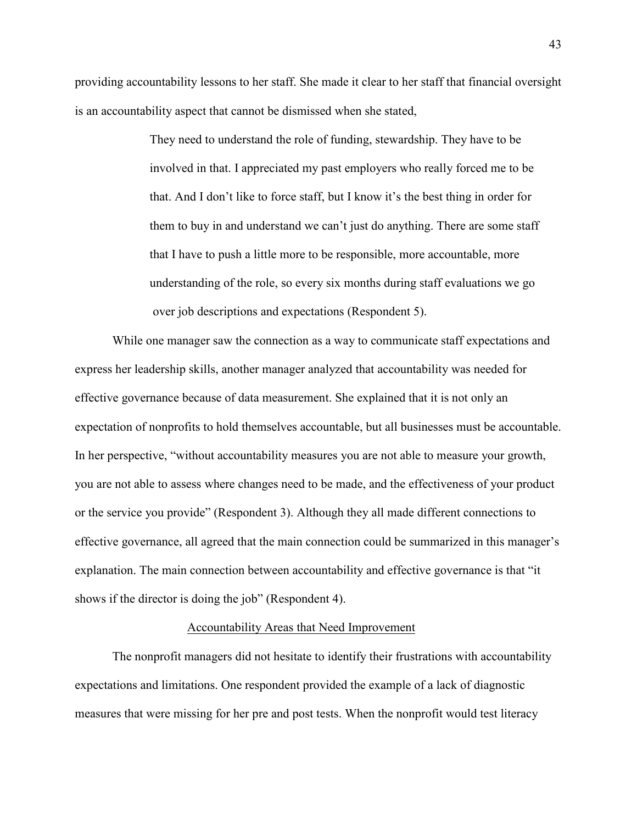providing accountability lessons to her staff. She made it clear to her staff that financial oversight is an accountability aspect that cannot be dismissed when she stated,

> They need to understand the role of funding, stewardship. They have to be involved in that. I appreciated my past employers who really forced me to be that. And I don't like to force staff, but I know it's the best thing in order for them to buy in and understand we can't just do anything. There are some staff that I have to push a little more to be responsible, more accountable, more understanding of the role, so every six months during staff evaluations we go over job descriptions and expectations (Respondent 5).

 While one manager saw the connection as a way to communicate staff expectations and express her leadership skills, another manager analyzed that accountability was needed for effective governance because of data measurement. She explained that it is not only an expectation of nonprofits to hold themselves accountable, but all businesses must be accountable. In her perspective, "without accountability measures you are not able to measure your growth, you are not able to assess where changes need to be made, and the effectiveness of your product or the service you provide" (Respondent 3). Although they all made different connections to effective governance, all agreed that the main connection could be summarized in this manager's explanation. The main connection between accountability and effective governance is that "it shows if the director is doing the job" (Respondent 4).

## Accountability Areas that Need Improvement

The nonprofit managers did not hesitate to identify their frustrations with accountability expectations and limitations. One respondent provided the example of a lack of diagnostic measures that were missing for her pre and post tests. When the nonprofit would test literacy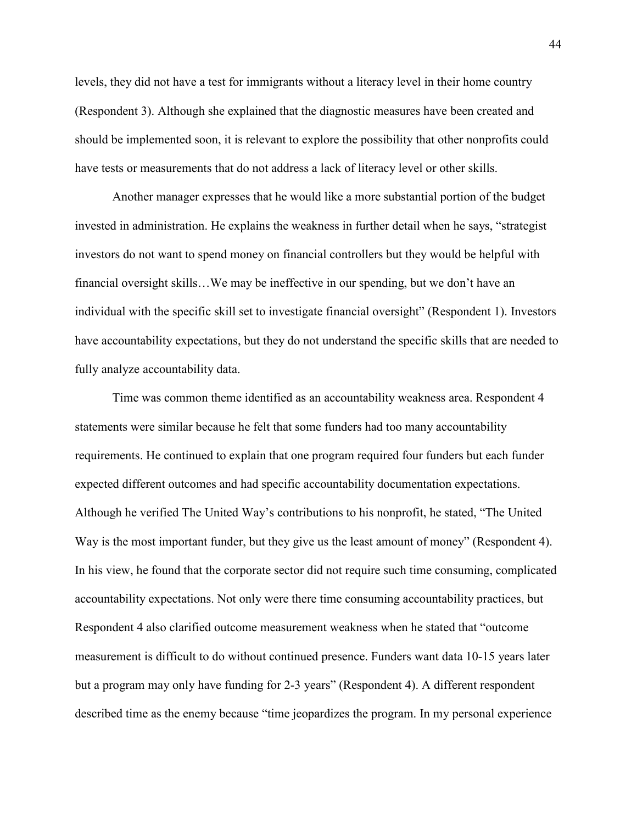levels, they did not have a test for immigrants without a literacy level in their home country (Respondent 3). Although she explained that the diagnostic measures have been created and should be implemented soon, it is relevant to explore the possibility that other nonprofits could have tests or measurements that do not address a lack of literacy level or other skills.

Another manager expresses that he would like a more substantial portion of the budget invested in administration. He explains the weakness in further detail when he says, "strategist investors do not want to spend money on financial controllers but they would be helpful with financial oversight skills…We may be ineffective in our spending, but we don't have an individual with the specific skill set to investigate financial oversight" (Respondent 1). Investors have accountability expectations, but they do not understand the specific skills that are needed to fully analyze accountability data.

Time was common theme identified as an accountability weakness area. Respondent 4 statements were similar because he felt that some funders had too many accountability requirements. He continued to explain that one program required four funders but each funder expected different outcomes and had specific accountability documentation expectations. Although he verified The United Way's contributions to his nonprofit, he stated, "The United Way is the most important funder, but they give us the least amount of money" (Respondent 4). In his view, he found that the corporate sector did not require such time consuming, complicated accountability expectations. Not only were there time consuming accountability practices, but Respondent 4 also clarified outcome measurement weakness when he stated that "outcome measurement is difficult to do without continued presence. Funders want data 10-15 years later but a program may only have funding for 2-3 years" (Respondent 4). A different respondent described time as the enemy because "time jeopardizes the program. In my personal experience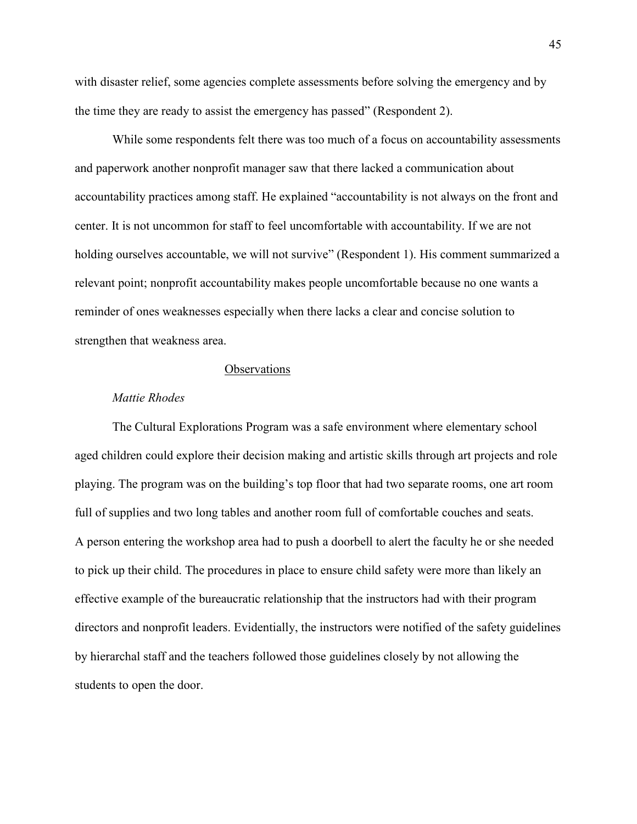with disaster relief, some agencies complete assessments before solving the emergency and by the time they are ready to assist the emergency has passed" (Respondent 2).

While some respondents felt there was too much of a focus on accountability assessments and paperwork another nonprofit manager saw that there lacked a communication about accountability practices among staff. He explained "accountability is not always on the front and center. It is not uncommon for staff to feel uncomfortable with accountability. If we are not holding ourselves accountable, we will not survive" (Respondent 1). His comment summarized a relevant point; nonprofit accountability makes people uncomfortable because no one wants a reminder of ones weaknesses especially when there lacks a clear and concise solution to strengthen that weakness area.

## **Observations**

### *Mattie Rhodes*

 The Cultural Explorations Program was a safe environment where elementary school aged children could explore their decision making and artistic skills through art projects and role playing. The program was on the building's top floor that had two separate rooms, one art room full of supplies and two long tables and another room full of comfortable couches and seats. A person entering the workshop area had to push a doorbell to alert the faculty he or she needed to pick up their child. The procedures in place to ensure child safety were more than likely an effective example of the bureaucratic relationship that the instructors had with their program directors and nonprofit leaders. Evidentially, the instructors were notified of the safety guidelines by hierarchal staff and the teachers followed those guidelines closely by not allowing the students to open the door.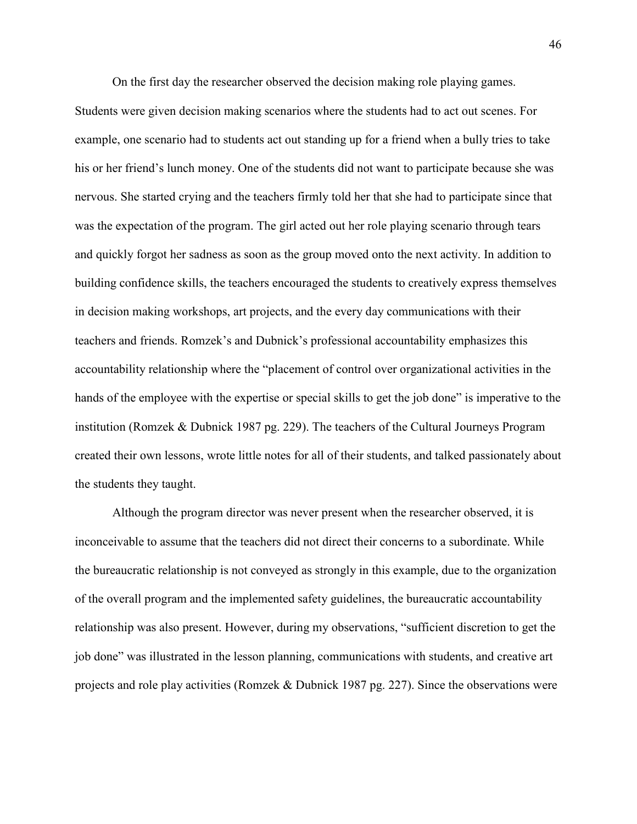On the first day the researcher observed the decision making role playing games.

Students were given decision making scenarios where the students had to act out scenes. For example, one scenario had to students act out standing up for a friend when a bully tries to take his or her friend's lunch money. One of the students did not want to participate because she was nervous. She started crying and the teachers firmly told her that she had to participate since that was the expectation of the program. The girl acted out her role playing scenario through tears and quickly forgot her sadness as soon as the group moved onto the next activity. In addition to building confidence skills, the teachers encouraged the students to creatively express themselves in decision making workshops, art projects, and the every day communications with their teachers and friends. Romzek's and Dubnick's professional accountability emphasizes this accountability relationship where the "placement of control over organizational activities in the hands of the employee with the expertise or special skills to get the job done" is imperative to the institution (Romzek & Dubnick 1987 pg. 229). The teachers of the Cultural Journeys Program created their own lessons, wrote little notes for all of their students, and talked passionately about the students they taught.

Although the program director was never present when the researcher observed, it is inconceivable to assume that the teachers did not direct their concerns to a subordinate. While the bureaucratic relationship is not conveyed as strongly in this example, due to the organization of the overall program and the implemented safety guidelines, the bureaucratic accountability relationship was also present. However, during my observations, "sufficient discretion to get the job done" was illustrated in the lesson planning, communications with students, and creative art projects and role play activities (Romzek & Dubnick 1987 pg. 227). Since the observations were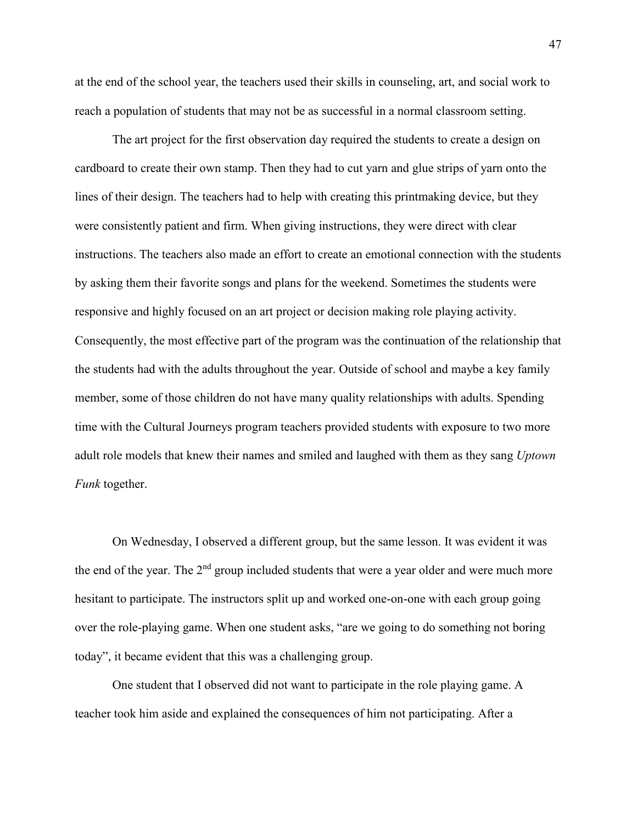at the end of the school year, the teachers used their skills in counseling, art, and social work to reach a population of students that may not be as successful in a normal classroom setting.

The art project for the first observation day required the students to create a design on cardboard to create their own stamp. Then they had to cut yarn and glue strips of yarn onto the lines of their design. The teachers had to help with creating this printmaking device, but they were consistently patient and firm. When giving instructions, they were direct with clear instructions. The teachers also made an effort to create an emotional connection with the students by asking them their favorite songs and plans for the weekend. Sometimes the students were responsive and highly focused on an art project or decision making role playing activity. Consequently, the most effective part of the program was the continuation of the relationship that the students had with the adults throughout the year. Outside of school and maybe a key family member, some of those children do not have many quality relationships with adults. Spending time with the Cultural Journeys program teachers provided students with exposure to two more adult role models that knew their names and smiled and laughed with them as they sang *Uptown Funk* together.

On Wednesday, I observed a different group, but the same lesson. It was evident it was the end of the year. The 2<sup>nd</sup> group included students that were a year older and were much more hesitant to participate. The instructors split up and worked one-on-one with each group going over the role-playing game. When one student asks, "are we going to do something not boring today", it became evident that this was a challenging group.

One student that I observed did not want to participate in the role playing game. A teacher took him aside and explained the consequences of him not participating. After a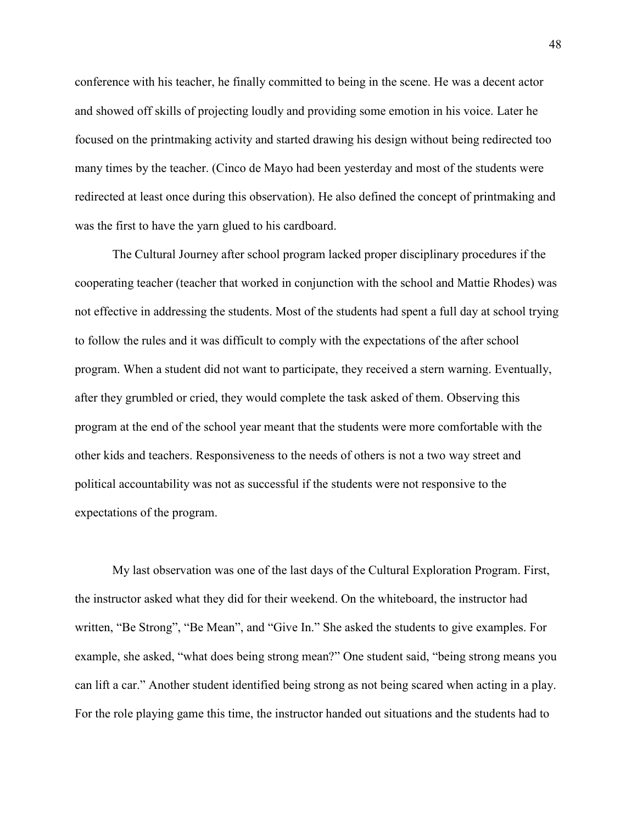conference with his teacher, he finally committed to being in the scene. He was a decent actor and showed off skills of projecting loudly and providing some emotion in his voice. Later he focused on the printmaking activity and started drawing his design without being redirected too many times by the teacher. (Cinco de Mayo had been yesterday and most of the students were redirected at least once during this observation). He also defined the concept of printmaking and was the first to have the yarn glued to his cardboard.

The Cultural Journey after school program lacked proper disciplinary procedures if the cooperating teacher (teacher that worked in conjunction with the school and Mattie Rhodes) was not effective in addressing the students. Most of the students had spent a full day at school trying to follow the rules and it was difficult to comply with the expectations of the after school program. When a student did not want to participate, they received a stern warning. Eventually, after they grumbled or cried, they would complete the task asked of them. Observing this program at the end of the school year meant that the students were more comfortable with the other kids and teachers. Responsiveness to the needs of others is not a two way street and political accountability was not as successful if the students were not responsive to the expectations of the program.

My last observation was one of the last days of the Cultural Exploration Program. First, the instructor asked what they did for their weekend. On the whiteboard, the instructor had written, "Be Strong", "Be Mean", and "Give In." She asked the students to give examples. For example, she asked, "what does being strong mean?" One student said, "being strong means you can lift a car." Another student identified being strong as not being scared when acting in a play. For the role playing game this time, the instructor handed out situations and the students had to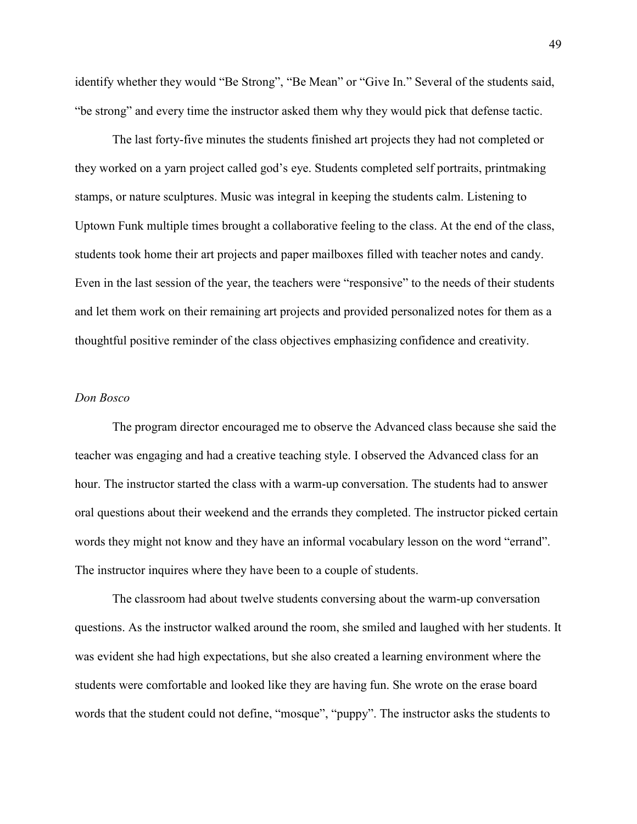identify whether they would "Be Strong", "Be Mean" or "Give In." Several of the students said, "be strong" and every time the instructor asked them why they would pick that defense tactic.

The last forty-five minutes the students finished art projects they had not completed or they worked on a yarn project called god's eye. Students completed self portraits, printmaking stamps, or nature sculptures. Music was integral in keeping the students calm. Listening to Uptown Funk multiple times brought a collaborative feeling to the class. At the end of the class, students took home their art projects and paper mailboxes filled with teacher notes and candy. Even in the last session of the year, the teachers were "responsive" to the needs of their students and let them work on their remaining art projects and provided personalized notes for them as a thoughtful positive reminder of the class objectives emphasizing confidence and creativity.

## *Don Bosco*

The program director encouraged me to observe the Advanced class because she said the teacher was engaging and had a creative teaching style. I observed the Advanced class for an hour. The instructor started the class with a warm-up conversation. The students had to answer oral questions about their weekend and the errands they completed. The instructor picked certain words they might not know and they have an informal vocabulary lesson on the word "errand". The instructor inquires where they have been to a couple of students.

 The classroom had about twelve students conversing about the warm-up conversation questions. As the instructor walked around the room, she smiled and laughed with her students. It was evident she had high expectations, but she also created a learning environment where the students were comfortable and looked like they are having fun. She wrote on the erase board words that the student could not define, "mosque", "puppy". The instructor asks the students to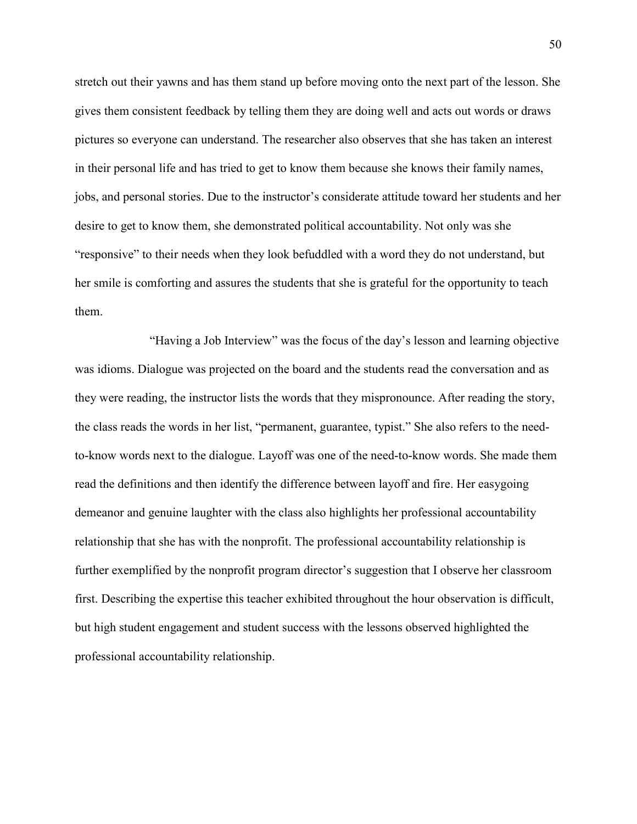stretch out their yawns and has them stand up before moving onto the next part of the lesson. She gives them consistent feedback by telling them they are doing well and acts out words or draws pictures so everyone can understand. The researcher also observes that she has taken an interest in their personal life and has tried to get to know them because she knows their family names, jobs, and personal stories. Due to the instructor's considerate attitude toward her students and her desire to get to know them, she demonstrated political accountability. Not only was she "responsive" to their needs when they look befuddled with a word they do not understand, but her smile is comforting and assures the students that she is grateful for the opportunity to teach them.

 "Having a Job Interview" was the focus of the day's lesson and learning objective was idioms. Dialogue was projected on the board and the students read the conversation and as they were reading, the instructor lists the words that they mispronounce. After reading the story, the class reads the words in her list, "permanent, guarantee, typist." She also refers to the needto-know words next to the dialogue. Layoff was one of the need-to-know words. She made them read the definitions and then identify the difference between layoff and fire. Her easygoing demeanor and genuine laughter with the class also highlights her professional accountability relationship that she has with the nonprofit. The professional accountability relationship is further exemplified by the nonprofit program director's suggestion that I observe her classroom first. Describing the expertise this teacher exhibited throughout the hour observation is difficult, but high student engagement and student success with the lessons observed highlighted the professional accountability relationship.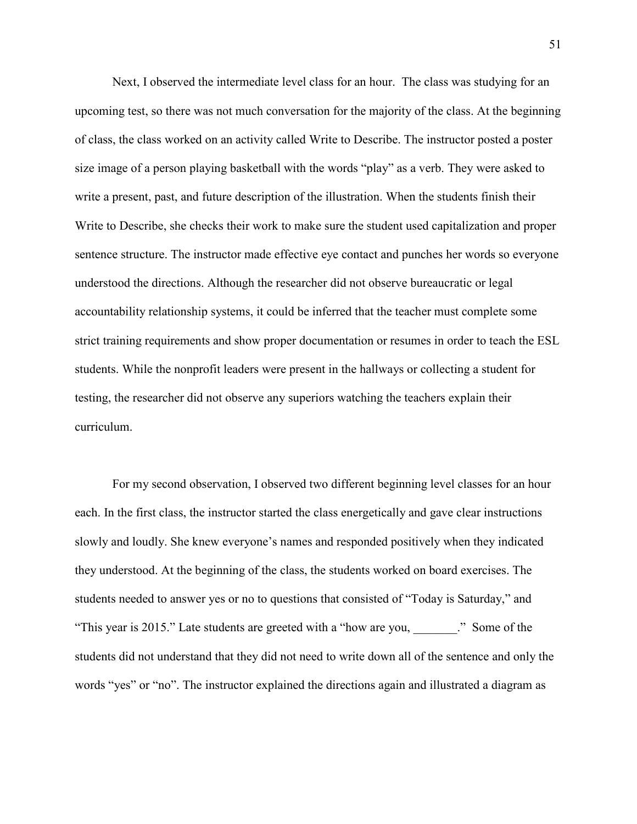Next, I observed the intermediate level class for an hour. The class was studying for an upcoming test, so there was not much conversation for the majority of the class. At the beginning of class, the class worked on an activity called Write to Describe. The instructor posted a poster size image of a person playing basketball with the words "play" as a verb. They were asked to write a present, past, and future description of the illustration. When the students finish their Write to Describe, she checks their work to make sure the student used capitalization and proper sentence structure. The instructor made effective eye contact and punches her words so everyone understood the directions. Although the researcher did not observe bureaucratic or legal accountability relationship systems, it could be inferred that the teacher must complete some strict training requirements and show proper documentation or resumes in order to teach the ESL students. While the nonprofit leaders were present in the hallways or collecting a student for testing, the researcher did not observe any superiors watching the teachers explain their curriculum.

 For my second observation, I observed two different beginning level classes for an hour each. In the first class, the instructor started the class energetically and gave clear instructions slowly and loudly. She knew everyone's names and responded positively when they indicated they understood. At the beginning of the class, the students worked on board exercises. The students needed to answer yes or no to questions that consisted of "Today is Saturday," and "This year is 2015." Late students are greeted with a "how are you, \_\_\_\_\_\_\_." Some of the students did not understand that they did not need to write down all of the sentence and only the words "yes" or "no". The instructor explained the directions again and illustrated a diagram as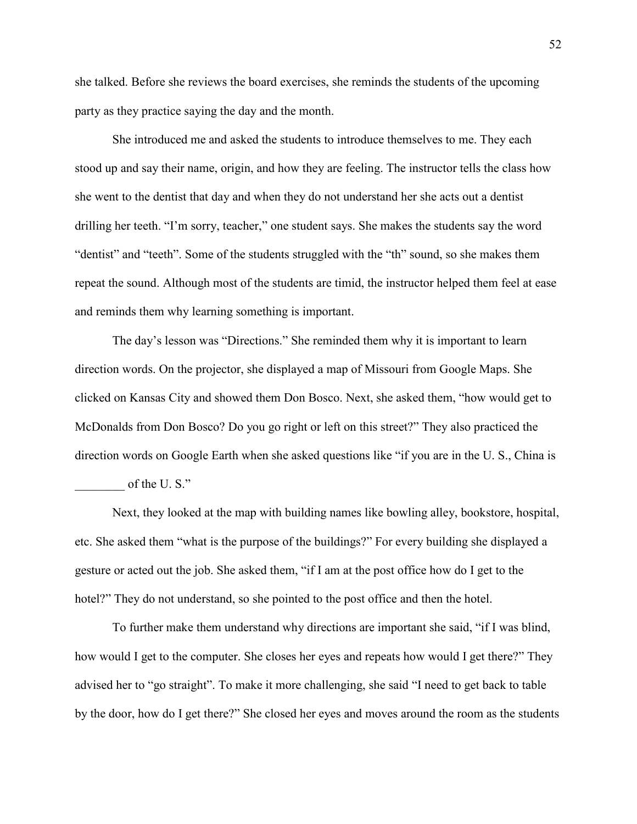she talked. Before she reviews the board exercises, she reminds the students of the upcoming party as they practice saying the day and the month.

 She introduced me and asked the students to introduce themselves to me. They each stood up and say their name, origin, and how they are feeling. The instructor tells the class how she went to the dentist that day and when they do not understand her she acts out a dentist drilling her teeth. "I'm sorry, teacher," one student says. She makes the students say the word "dentist" and "teeth". Some of the students struggled with the "th" sound, so she makes them repeat the sound. Although most of the students are timid, the instructor helped them feel at ease and reminds them why learning something is important.

 The day's lesson was "Directions." She reminded them why it is important to learn direction words. On the projector, she displayed a map of Missouri from Google Maps. She clicked on Kansas City and showed them Don Bosco. Next, she asked them, "how would get to McDonalds from Don Bosco? Do you go right or left on this street?" They also practiced the direction words on Google Earth when she asked questions like "if you are in the U. S., China is of the U.S."

 Next, they looked at the map with building names like bowling alley, bookstore, hospital, etc. She asked them "what is the purpose of the buildings?" For every building she displayed a gesture or acted out the job. She asked them, "if I am at the post office how do I get to the hotel?" They do not understand, so she pointed to the post office and then the hotel.

 To further make them understand why directions are important she said, "if I was blind, how would I get to the computer. She closes her eyes and repeats how would I get there?" They advised her to "go straight". To make it more challenging, she said "I need to get back to table by the door, how do I get there?" She closed her eyes and moves around the room as the students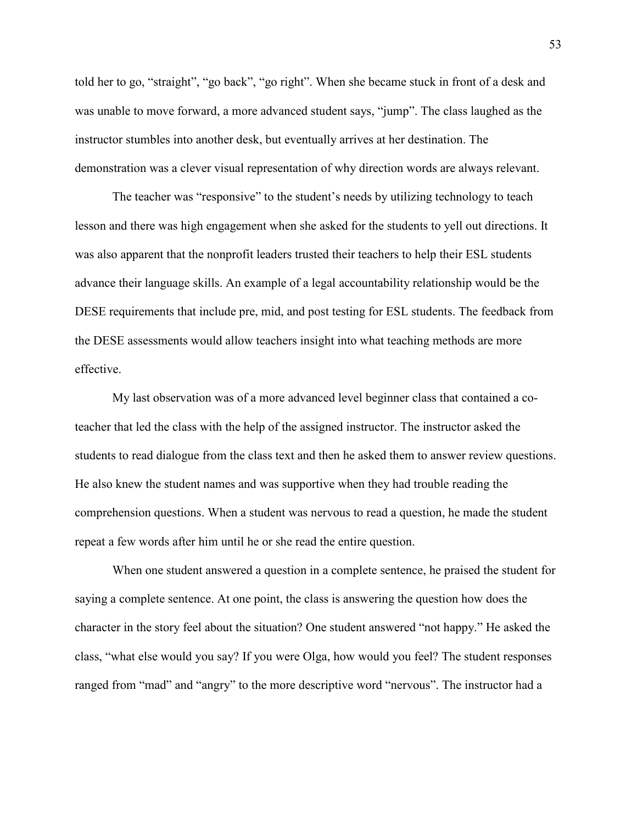told her to go, "straight", "go back", "go right". When she became stuck in front of a desk and was unable to move forward, a more advanced student says, "jump". The class laughed as the instructor stumbles into another desk, but eventually arrives at her destination. The demonstration was a clever visual representation of why direction words are always relevant.

 The teacher was "responsive" to the student's needs by utilizing technology to teach lesson and there was high engagement when she asked for the students to yell out directions. It was also apparent that the nonprofit leaders trusted their teachers to help their ESL students advance their language skills. An example of a legal accountability relationship would be the DESE requirements that include pre, mid, and post testing for ESL students. The feedback from the DESE assessments would allow teachers insight into what teaching methods are more effective.

 My last observation was of a more advanced level beginner class that contained a coteacher that led the class with the help of the assigned instructor. The instructor asked the students to read dialogue from the class text and then he asked them to answer review questions. He also knew the student names and was supportive when they had trouble reading the comprehension questions. When a student was nervous to read a question, he made the student repeat a few words after him until he or she read the entire question.

 When one student answered a question in a complete sentence, he praised the student for saying a complete sentence. At one point, the class is answering the question how does the character in the story feel about the situation? One student answered "not happy." He asked the class, "what else would you say? If you were Olga, how would you feel? The student responses ranged from "mad" and "angry" to the more descriptive word "nervous". The instructor had a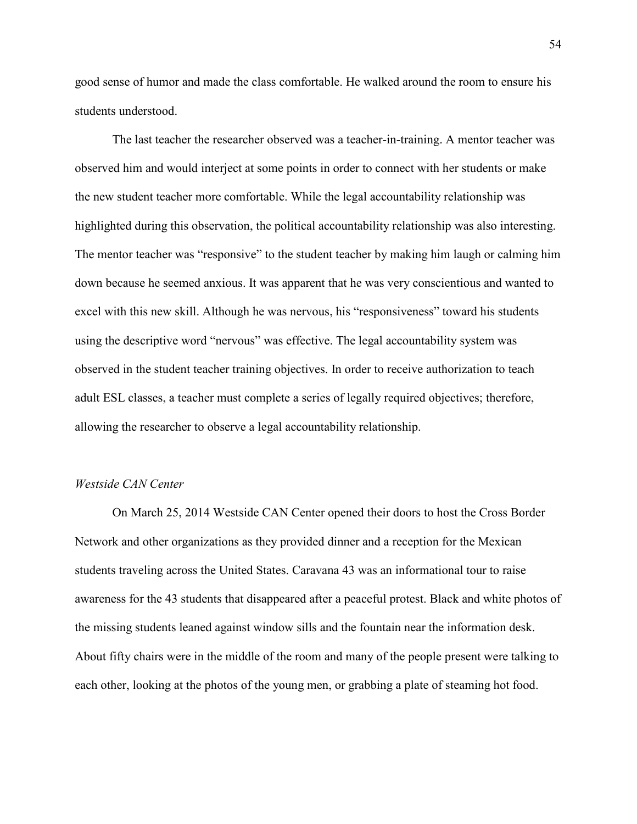good sense of humor and made the class comfortable. He walked around the room to ensure his students understood.

 The last teacher the researcher observed was a teacher-in-training. A mentor teacher was observed him and would interject at some points in order to connect with her students or make the new student teacher more comfortable. While the legal accountability relationship was highlighted during this observation, the political accountability relationship was also interesting. The mentor teacher was "responsive" to the student teacher by making him laugh or calming him down because he seemed anxious. It was apparent that he was very conscientious and wanted to excel with this new skill. Although he was nervous, his "responsiveness" toward his students using the descriptive word "nervous" was effective. The legal accountability system was observed in the student teacher training objectives. In order to receive authorization to teach adult ESL classes, a teacher must complete a series of legally required objectives; therefore, allowing the researcher to observe a legal accountability relationship.

### *Westside CAN Center*

 On March 25, 2014 Westside CAN Center opened their doors to host the Cross Border Network and other organizations as they provided dinner and a reception for the Mexican students traveling across the United States. Caravana 43 was an informational tour to raise awareness for the 43 students that disappeared after a peaceful protest. Black and white photos of the missing students leaned against window sills and the fountain near the information desk. About fifty chairs were in the middle of the room and many of the people present were talking to each other, looking at the photos of the young men, or grabbing a plate of steaming hot food.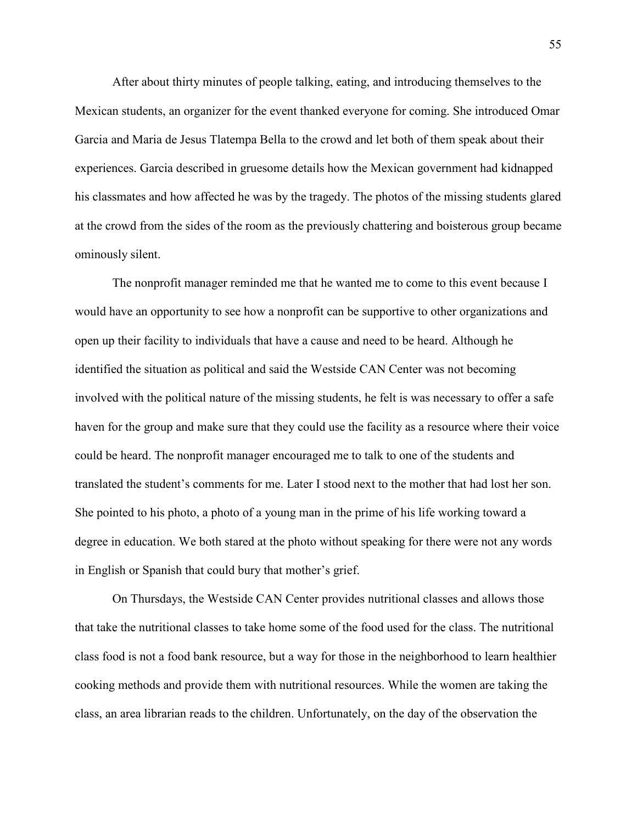After about thirty minutes of people talking, eating, and introducing themselves to the Mexican students, an organizer for the event thanked everyone for coming. She introduced Omar Garcia and Maria de Jesus Tlatempa Bella to the crowd and let both of them speak about their experiences. Garcia described in gruesome details how the Mexican government had kidnapped his classmates and how affected he was by the tragedy. The photos of the missing students glared at the crowd from the sides of the room as the previously chattering and boisterous group became ominously silent.

 The nonprofit manager reminded me that he wanted me to come to this event because I would have an opportunity to see how a nonprofit can be supportive to other organizations and open up their facility to individuals that have a cause and need to be heard. Although he identified the situation as political and said the Westside CAN Center was not becoming involved with the political nature of the missing students, he felt is was necessary to offer a safe haven for the group and make sure that they could use the facility as a resource where their voice could be heard. The nonprofit manager encouraged me to talk to one of the students and translated the student's comments for me. Later I stood next to the mother that had lost her son. She pointed to his photo, a photo of a young man in the prime of his life working toward a degree in education. We both stared at the photo without speaking for there were not any words in English or Spanish that could bury that mother's grief.

 On Thursdays, the Westside CAN Center provides nutritional classes and allows those that take the nutritional classes to take home some of the food used for the class. The nutritional class food is not a food bank resource, but a way for those in the neighborhood to learn healthier cooking methods and provide them with nutritional resources. While the women are taking the class, an area librarian reads to the children. Unfortunately, on the day of the observation the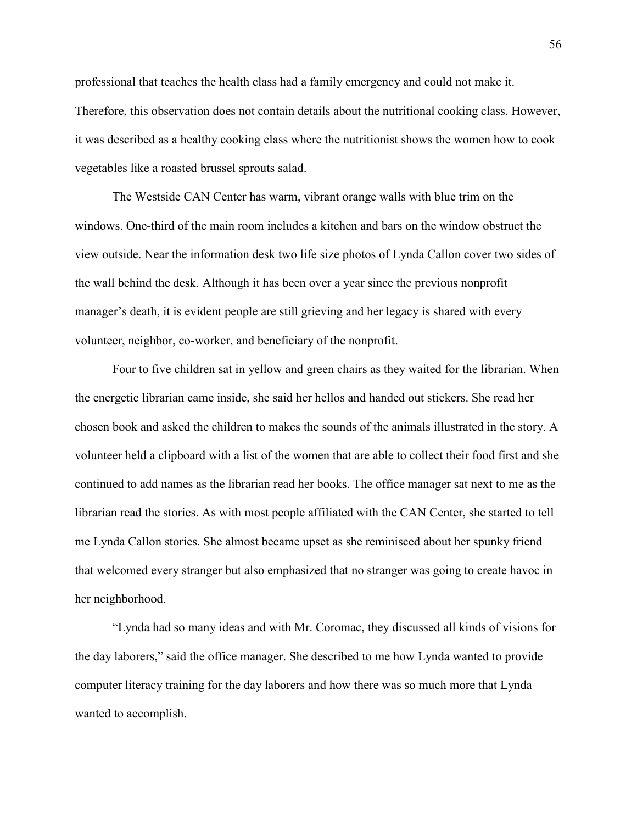professional that teaches the health class had a family emergency and could not make it. Therefore, this observation does not contain details about the nutritional cooking class. However, it was described as a healthy cooking class where the nutritionist shows the women how to cook vegetables like a roasted brussel sprouts salad.

 The Westside CAN Center has warm, vibrant orange walls with blue trim on the windows. One-third of the main room includes a kitchen and bars on the window obstruct the view outside. Near the information desk two life size photos of Lynda Callon cover two sides of the wall behind the desk. Although it has been over a year since the previous nonprofit manager's death, it is evident people are still grieving and her legacy is shared with every volunteer, neighbor, co-worker, and beneficiary of the nonprofit.

 Four to five children sat in yellow and green chairs as they waited for the librarian. When the energetic librarian came inside, she said her hellos and handed out stickers. She read her chosen book and asked the children to makes the sounds of the animals illustrated in the story. A volunteer held a clipboard with a list of the women that are able to collect their food first and she continued to add names as the librarian read her books. The office manager sat next to me as the librarian read the stories. As with most people affiliated with the CAN Center, she started to tell me Lynda Callon stories. She almost became upset as she reminisced about her spunky friend that welcomed every stranger but also emphasized that no stranger was going to create havoc in her neighborhood.

 "Lynda had so many ideas and with Mr. Coromac, they discussed all kinds of visions for the day laborers," said the office manager. She described to me how Lynda wanted to provide computer literacy training for the day laborers and how there was so much more that Lynda wanted to accomplish.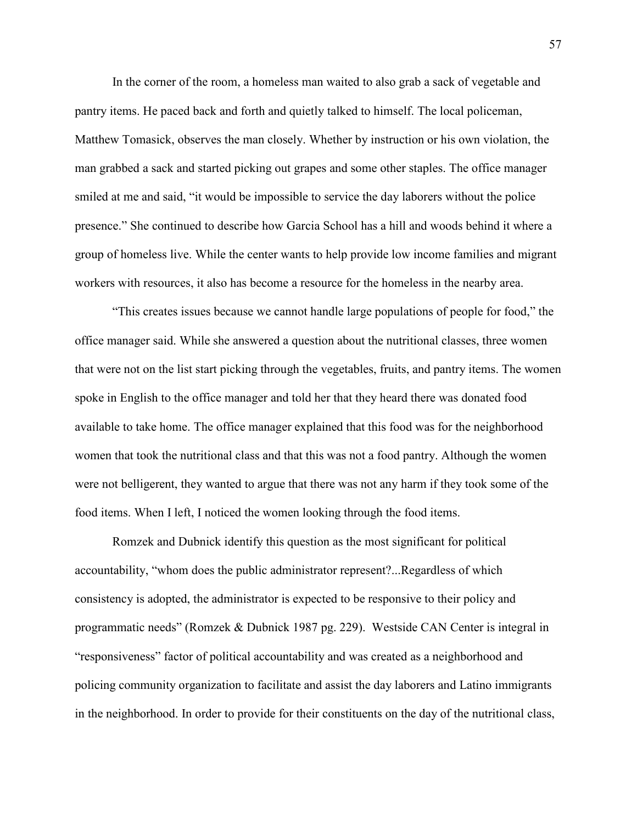In the corner of the room, a homeless man waited to also grab a sack of vegetable and pantry items. He paced back and forth and quietly talked to himself. The local policeman, Matthew Tomasick, observes the man closely. Whether by instruction or his own violation, the man grabbed a sack and started picking out grapes and some other staples. The office manager smiled at me and said, "it would be impossible to service the day laborers without the police presence." She continued to describe how Garcia School has a hill and woods behind it where a group of homeless live. While the center wants to help provide low income families and migrant workers with resources, it also has become a resource for the homeless in the nearby area.

 "This creates issues because we cannot handle large populations of people for food," the office manager said. While she answered a question about the nutritional classes, three women that were not on the list start picking through the vegetables, fruits, and pantry items. The women spoke in English to the office manager and told her that they heard there was donated food available to take home. The office manager explained that this food was for the neighborhood women that took the nutritional class and that this was not a food pantry. Although the women were not belligerent, they wanted to argue that there was not any harm if they took some of the food items. When I left, I noticed the women looking through the food items.

 Romzek and Dubnick identify this question as the most significant for political accountability, "whom does the public administrator represent?...Regardless of which consistency is adopted, the administrator is expected to be responsive to their policy and programmatic needs" (Romzek & Dubnick 1987 pg. 229). Westside CAN Center is integral in "responsiveness" factor of political accountability and was created as a neighborhood and policing community organization to facilitate and assist the day laborers and Latino immigrants in the neighborhood. In order to provide for their constituents on the day of the nutritional class,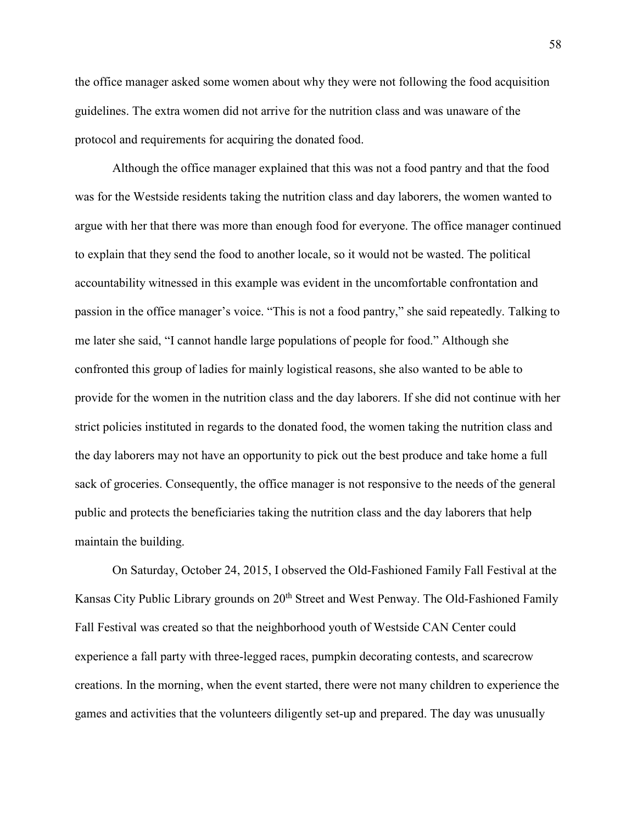the office manager asked some women about why they were not following the food acquisition guidelines. The extra women did not arrive for the nutrition class and was unaware of the protocol and requirements for acquiring the donated food.

Although the office manager explained that this was not a food pantry and that the food was for the Westside residents taking the nutrition class and day laborers, the women wanted to argue with her that there was more than enough food for everyone. The office manager continued to explain that they send the food to another locale, so it would not be wasted. The political accountability witnessed in this example was evident in the uncomfortable confrontation and passion in the office manager's voice. "This is not a food pantry," she said repeatedly. Talking to me later she said, "I cannot handle large populations of people for food." Although she confronted this group of ladies for mainly logistical reasons, she also wanted to be able to provide for the women in the nutrition class and the day laborers. If she did not continue with her strict policies instituted in regards to the donated food, the women taking the nutrition class and the day laborers may not have an opportunity to pick out the best produce and take home a full sack of groceries. Consequently, the office manager is not responsive to the needs of the general public and protects the beneficiaries taking the nutrition class and the day laborers that help maintain the building.

 On Saturday, October 24, 2015, I observed the Old-Fashioned Family Fall Festival at the Kansas City Public Library grounds on 20<sup>th</sup> Street and West Penway. The Old-Fashioned Family Fall Festival was created so that the neighborhood youth of Westside CAN Center could experience a fall party with three-legged races, pumpkin decorating contests, and scarecrow creations. In the morning, when the event started, there were not many children to experience the games and activities that the volunteers diligently set-up and prepared. The day was unusually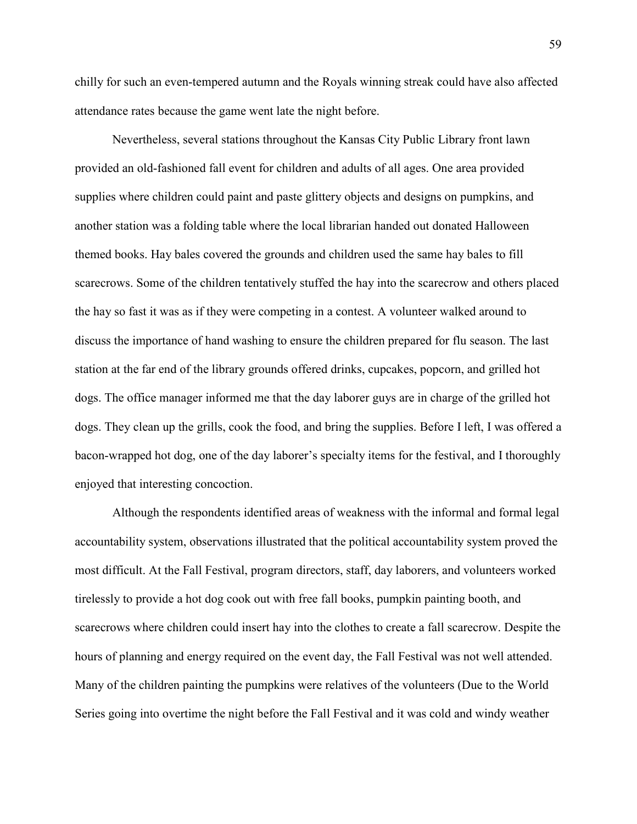chilly for such an even-tempered autumn and the Royals winning streak could have also affected attendance rates because the game went late the night before.

 Nevertheless, several stations throughout the Kansas City Public Library front lawn provided an old-fashioned fall event for children and adults of all ages. One area provided supplies where children could paint and paste glittery objects and designs on pumpkins, and another station was a folding table where the local librarian handed out donated Halloween themed books. Hay bales covered the grounds and children used the same hay bales to fill scarecrows. Some of the children tentatively stuffed the hay into the scarecrow and others placed the hay so fast it was as if they were competing in a contest. A volunteer walked around to discuss the importance of hand washing to ensure the children prepared for flu season. The last station at the far end of the library grounds offered drinks, cupcakes, popcorn, and grilled hot dogs. The office manager informed me that the day laborer guys are in charge of the grilled hot dogs. They clean up the grills, cook the food, and bring the supplies. Before I left, I was offered a bacon-wrapped hot dog, one of the day laborer's specialty items for the festival, and I thoroughly enjoyed that interesting concoction.

Although the respondents identified areas of weakness with the informal and formal legal accountability system, observations illustrated that the political accountability system proved the most difficult. At the Fall Festival, program directors, staff, day laborers, and volunteers worked tirelessly to provide a hot dog cook out with free fall books, pumpkin painting booth, and scarecrows where children could insert hay into the clothes to create a fall scarecrow. Despite the hours of planning and energy required on the event day, the Fall Festival was not well attended. Many of the children painting the pumpkins were relatives of the volunteers (Due to the World Series going into overtime the night before the Fall Festival and it was cold and windy weather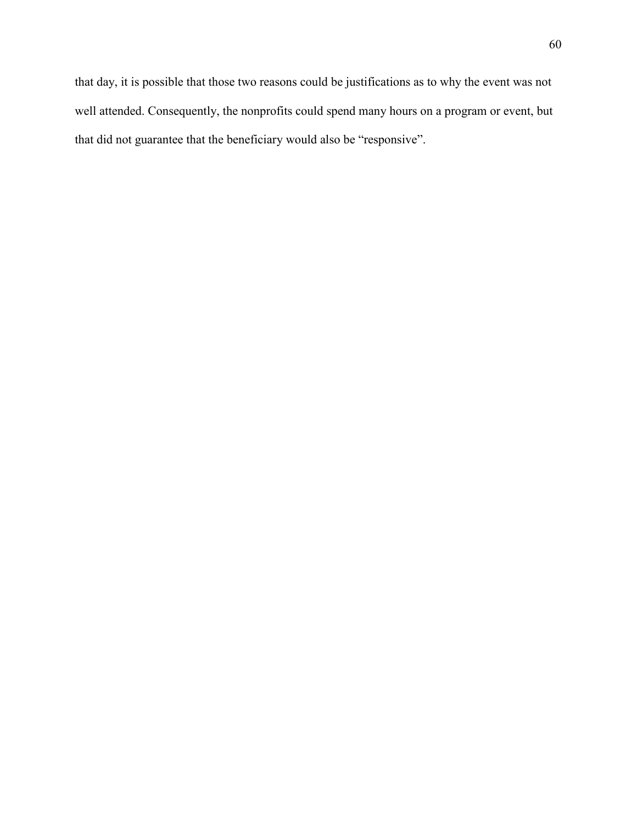that day, it is possible that those two reasons could be justifications as to why the event was not well attended. Consequently, the nonprofits could spend many hours on a program or event, but that did not guarantee that the beneficiary would also be "responsive".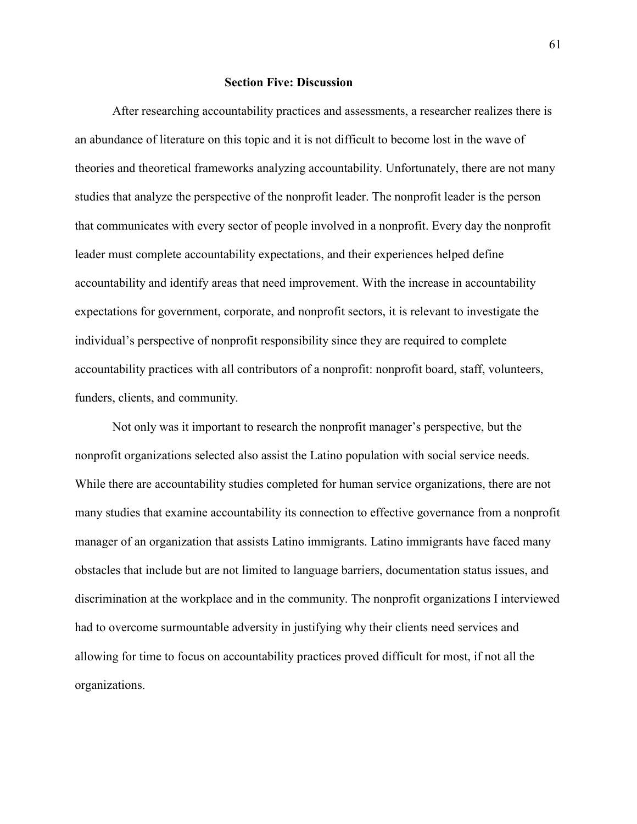#### **Section Five: Discussion**

 After researching accountability practices and assessments, a researcher realizes there is an abundance of literature on this topic and it is not difficult to become lost in the wave of theories and theoretical frameworks analyzing accountability. Unfortunately, there are not many studies that analyze the perspective of the nonprofit leader. The nonprofit leader is the person that communicates with every sector of people involved in a nonprofit. Every day the nonprofit leader must complete accountability expectations, and their experiences helped define accountability and identify areas that need improvement. With the increase in accountability expectations for government, corporate, and nonprofit sectors, it is relevant to investigate the individual's perspective of nonprofit responsibility since they are required to complete accountability practices with all contributors of a nonprofit: nonprofit board, staff, volunteers, funders, clients, and community.

 Not only was it important to research the nonprofit manager's perspective, but the nonprofit organizations selected also assist the Latino population with social service needs. While there are accountability studies completed for human service organizations, there are not many studies that examine accountability its connection to effective governance from a nonprofit manager of an organization that assists Latino immigrants. Latino immigrants have faced many obstacles that include but are not limited to language barriers, documentation status issues, and discrimination at the workplace and in the community. The nonprofit organizations I interviewed had to overcome surmountable adversity in justifying why their clients need services and allowing for time to focus on accountability practices proved difficult for most, if not all the organizations.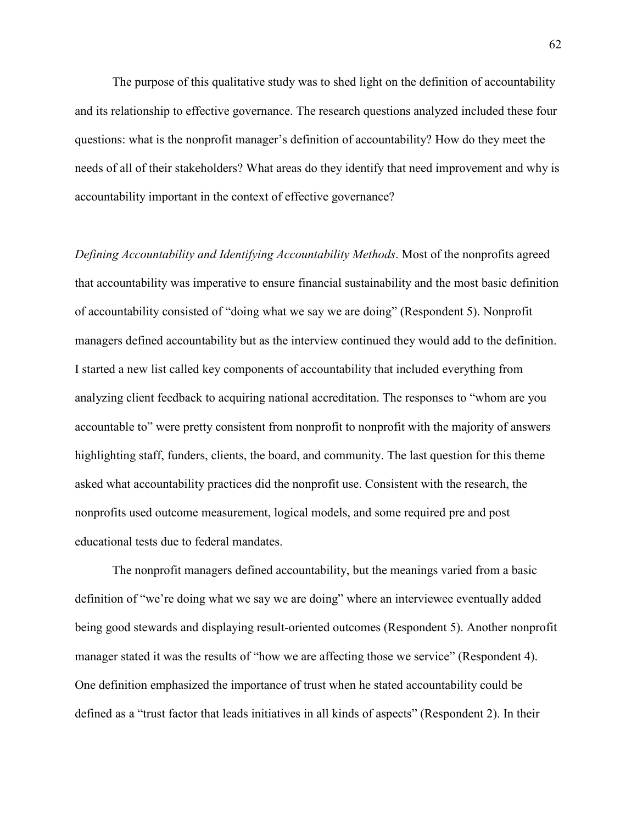The purpose of this qualitative study was to shed light on the definition of accountability and its relationship to effective governance. The research questions analyzed included these four questions: what is the nonprofit manager's definition of accountability? How do they meet the needs of all of their stakeholders? What areas do they identify that need improvement and why is accountability important in the context of effective governance?

*Defining Accountability and Identifying Accountability Methods*. Most of the nonprofits agreed that accountability was imperative to ensure financial sustainability and the most basic definition of accountability consisted of "doing what we say we are doing" (Respondent 5). Nonprofit managers defined accountability but as the interview continued they would add to the definition. I started a new list called key components of accountability that included everything from analyzing client feedback to acquiring national accreditation. The responses to "whom are you accountable to" were pretty consistent from nonprofit to nonprofit with the majority of answers highlighting staff, funders, clients, the board, and community. The last question for this theme asked what accountability practices did the nonprofit use. Consistent with the research, the nonprofits used outcome measurement, logical models, and some required pre and post educational tests due to federal mandates.

 The nonprofit managers defined accountability, but the meanings varied from a basic definition of "we're doing what we say we are doing" where an interviewee eventually added being good stewards and displaying result-oriented outcomes (Respondent 5). Another nonprofit manager stated it was the results of "how we are affecting those we service" (Respondent 4). One definition emphasized the importance of trust when he stated accountability could be defined as a "trust factor that leads initiatives in all kinds of aspects" (Respondent 2). In their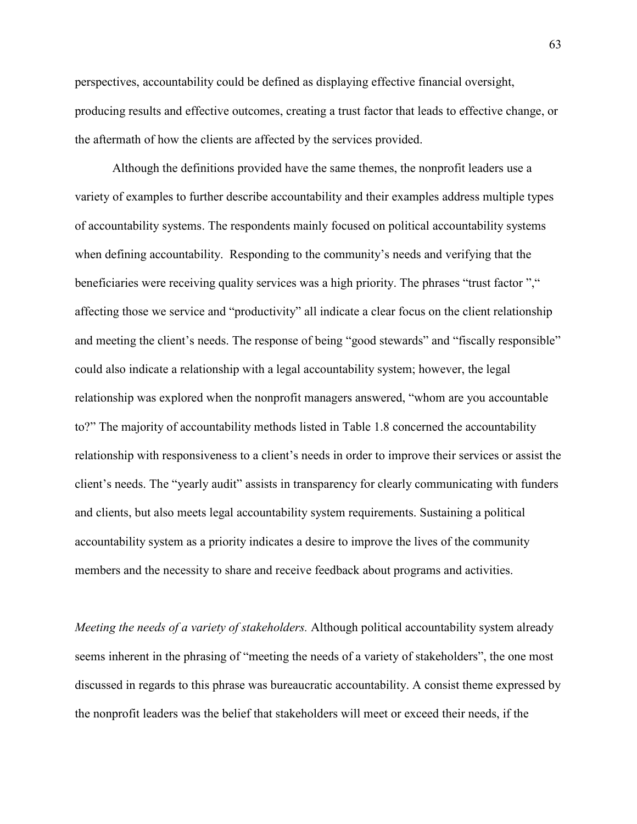perspectives, accountability could be defined as displaying effective financial oversight, producing results and effective outcomes, creating a trust factor that leads to effective change, or the aftermath of how the clients are affected by the services provided.

Although the definitions provided have the same themes, the nonprofit leaders use a variety of examples to further describe accountability and their examples address multiple types of accountability systems. The respondents mainly focused on political accountability systems when defining accountability. Responding to the community's needs and verifying that the beneficiaries were receiving quality services was a high priority. The phrases "trust factor"," affecting those we service and "productivity" all indicate a clear focus on the client relationship and meeting the client's needs. The response of being "good stewards" and "fiscally responsible" could also indicate a relationship with a legal accountability system; however, the legal relationship was explored when the nonprofit managers answered, "whom are you accountable to?" The majority of accountability methods listed in Table 1.8 concerned the accountability relationship with responsiveness to a client's needs in order to improve their services or assist the client's needs. The "yearly audit" assists in transparency for clearly communicating with funders and clients, but also meets legal accountability system requirements. Sustaining a political accountability system as a priority indicates a desire to improve the lives of the community members and the necessity to share and receive feedback about programs and activities.

*Meeting the needs of a variety of stakeholders.* Although political accountability system already seems inherent in the phrasing of "meeting the needs of a variety of stakeholders", the one most discussed in regards to this phrase was bureaucratic accountability. A consist theme expressed by the nonprofit leaders was the belief that stakeholders will meet or exceed their needs, if the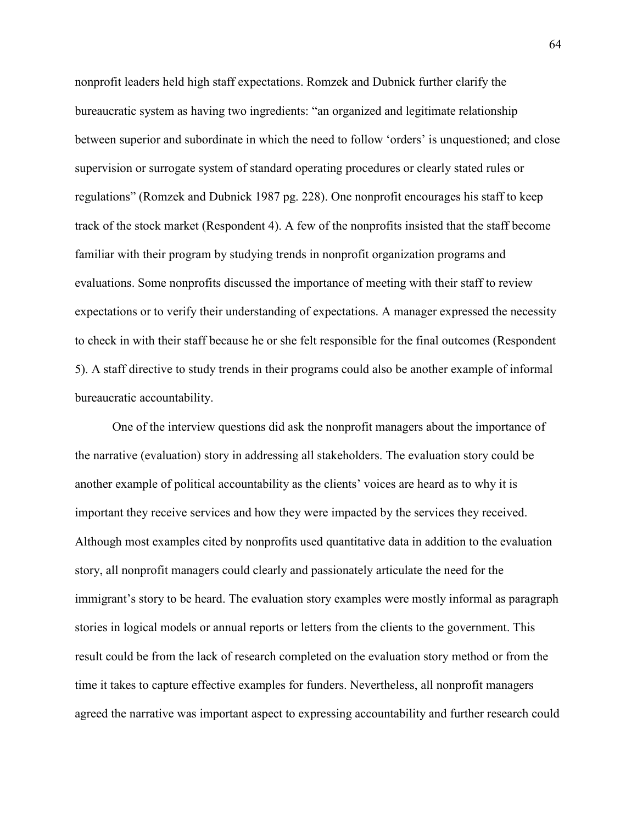nonprofit leaders held high staff expectations. Romzek and Dubnick further clarify the bureaucratic system as having two ingredients: "an organized and legitimate relationship between superior and subordinate in which the need to follow 'orders' is unquestioned; and close supervision or surrogate system of standard operating procedures or clearly stated rules or regulations" (Romzek and Dubnick 1987 pg. 228). One nonprofit encourages his staff to keep track of the stock market (Respondent 4). A few of the nonprofits insisted that the staff become familiar with their program by studying trends in nonprofit organization programs and evaluations. Some nonprofits discussed the importance of meeting with their staff to review expectations or to verify their understanding of expectations. A manager expressed the necessity to check in with their staff because he or she felt responsible for the final outcomes (Respondent 5). A staff directive to study trends in their programs could also be another example of informal bureaucratic accountability.

One of the interview questions did ask the nonprofit managers about the importance of the narrative (evaluation) story in addressing all stakeholders. The evaluation story could be another example of political accountability as the clients' voices are heard as to why it is important they receive services and how they were impacted by the services they received. Although most examples cited by nonprofits used quantitative data in addition to the evaluation story, all nonprofit managers could clearly and passionately articulate the need for the immigrant's story to be heard. The evaluation story examples were mostly informal as paragraph stories in logical models or annual reports or letters from the clients to the government. This result could be from the lack of research completed on the evaluation story method or from the time it takes to capture effective examples for funders. Nevertheless, all nonprofit managers agreed the narrative was important aspect to expressing accountability and further research could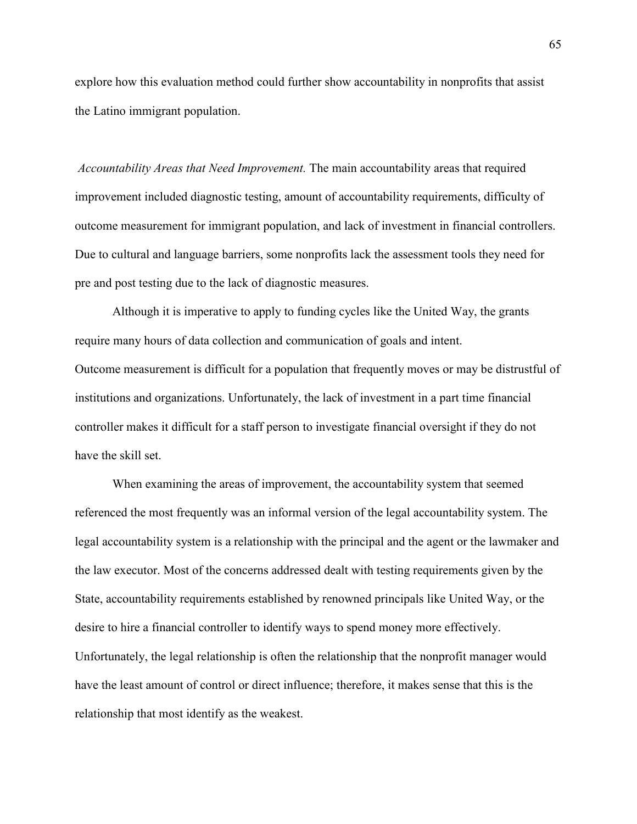explore how this evaluation method could further show accountability in nonprofits that assist the Latino immigrant population.

*Accountability Areas that Need Improvement.* The main accountability areas that required improvement included diagnostic testing, amount of accountability requirements, difficulty of outcome measurement for immigrant population, and lack of investment in financial controllers. Due to cultural and language barriers, some nonprofits lack the assessment tools they need for pre and post testing due to the lack of diagnostic measures.

Although it is imperative to apply to funding cycles like the United Way, the grants require many hours of data collection and communication of goals and intent. Outcome measurement is difficult for a population that frequently moves or may be distrustful of institutions and organizations. Unfortunately, the lack of investment in a part time financial controller makes it difficult for a staff person to investigate financial oversight if they do not have the skill set.

 When examining the areas of improvement, the accountability system that seemed referenced the most frequently was an informal version of the legal accountability system. The legal accountability system is a relationship with the principal and the agent or the lawmaker and the law executor. Most of the concerns addressed dealt with testing requirements given by the State, accountability requirements established by renowned principals like United Way, or the desire to hire a financial controller to identify ways to spend money more effectively. Unfortunately, the legal relationship is often the relationship that the nonprofit manager would have the least amount of control or direct influence; therefore, it makes sense that this is the relationship that most identify as the weakest.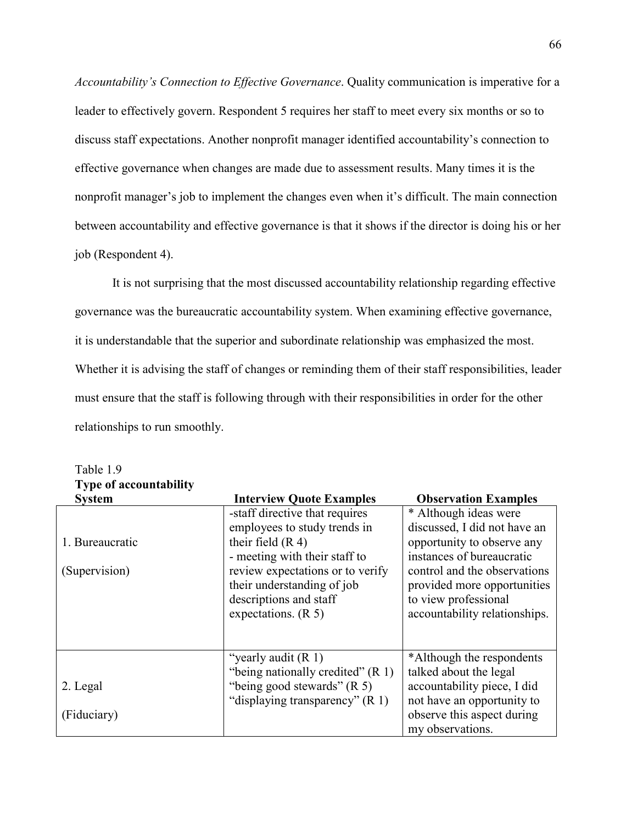*Accountability's Connection to Effective Governance*. Quality communication is imperative for a leader to effectively govern. Respondent 5 requires her staff to meet every six months or so to discuss staff expectations. Another nonprofit manager identified accountability's connection to effective governance when changes are made due to assessment results. Many times it is the nonprofit manager's job to implement the changes even when it's difficult. The main connection between accountability and effective governance is that it shows if the director is doing his or her job (Respondent 4).

It is not surprising that the most discussed accountability relationship regarding effective governance was the bureaucratic accountability system. When examining effective governance, it is understandable that the superior and subordinate relationship was emphasized the most. Whether it is advising the staff of changes or reminding them of their staff responsibilities, leader must ensure that the staff is following through with their responsibilities in order for the other relationships to run smoothly.

| т урс от ассойншилне |                                     |                               |
|----------------------|-------------------------------------|-------------------------------|
| <b>System</b>        | <b>Interview Quote Examples</b>     | <b>Observation Examples</b>   |
|                      | -staff directive that requires      | * Although ideas were         |
|                      | employees to study trends in        | discussed, I did not have an  |
| 1. Bureaucratic      | their field $(R 4)$                 | opportunity to observe any    |
|                      | - meeting with their staff to       | instances of bureaucratic     |
| (Supervision)        | review expectations or to verify    | control and the observations  |
|                      | their understanding of job          | provided more opportunities   |
|                      | descriptions and staff              | to view professional          |
|                      | expectations. $(R 5)$               | accountability relationships. |
|                      |                                     |                               |
|                      |                                     |                               |
|                      | "yearly audit $(R 1)$               | *Although the respondents     |
|                      | "being nationally credited" $(R 1)$ | talked about the legal        |
| 2. Legal             | "being good stewards" $(R 5)$       | accountability piece, I did   |
|                      | "displaying transparency" (R 1)     | not have an opportunity to    |
| (Fiduciary)          |                                     | observe this aspect during    |
|                      |                                     | my observations.              |

Table 1.9 **Type of accountability**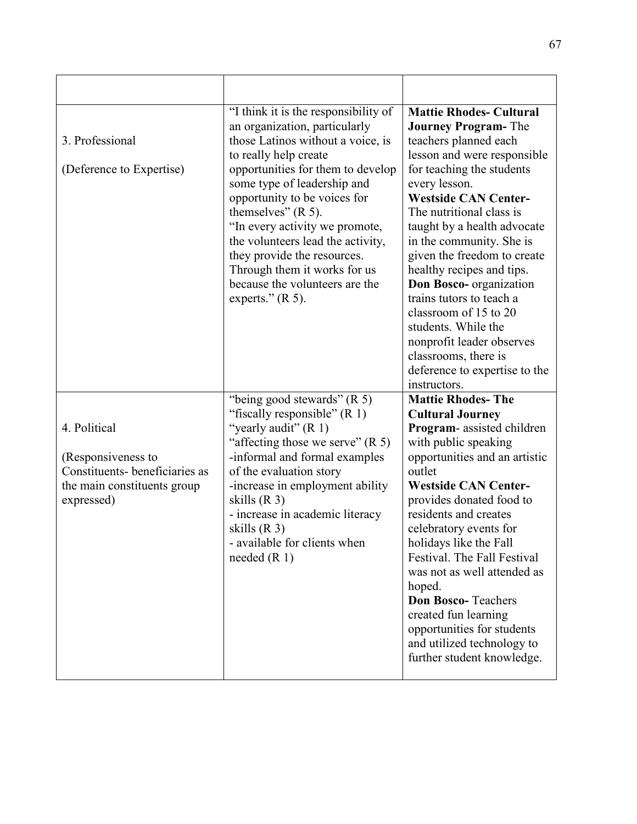| 3. Professional<br>(Deference to Expertise)                                                                      | "I think it is the responsibility of<br>an organization, particularly<br>those Latinos without a voice, is<br>to really help create<br>opportunities for them to develop<br>some type of leadership and<br>opportunity to be voices for<br>themselves" $(R 5)$ .<br>"In every activity we promote,<br>the volunteers lead the activity,<br>they provide the resources.<br>Through them it works for us<br>because the volunteers are the<br>experts." $(R 5)$ . | <b>Mattie Rhodes- Cultural</b><br><b>Journey Program-The</b><br>teachers planned each<br>lesson and were responsible<br>for teaching the students<br>every lesson.<br><b>Westside CAN Center-</b><br>The nutritional class is<br>taught by a health advocate<br>in the community. She is<br>given the freedom to create<br>healthy recipes and tips.<br>Don Bosco- organization<br>trains tutors to teach a<br>classroom of 15 to 20<br>students. While the<br>nonprofit leader observes                    |
|------------------------------------------------------------------------------------------------------------------|-----------------------------------------------------------------------------------------------------------------------------------------------------------------------------------------------------------------------------------------------------------------------------------------------------------------------------------------------------------------------------------------------------------------------------------------------------------------|-------------------------------------------------------------------------------------------------------------------------------------------------------------------------------------------------------------------------------------------------------------------------------------------------------------------------------------------------------------------------------------------------------------------------------------------------------------------------------------------------------------|
|                                                                                                                  |                                                                                                                                                                                                                                                                                                                                                                                                                                                                 | classrooms, there is<br>deference to expertise to the<br>instructors.                                                                                                                                                                                                                                                                                                                                                                                                                                       |
| 4. Political<br>(Responsiveness to<br>Constituents-beneficiaries as<br>the main constituents group<br>expressed) | "being good stewards" $(R 5)$<br>"fiscally responsible" $(R 1)$<br>"yearly audit" $(R 1)$<br>"affecting those we serve" $(R 5)$<br>-informal and formal examples<br>of the evaluation story<br>-increase in employment ability<br>skills $(R3)$<br>- increase in academic literacy<br>skills $(R3)$<br>- available for clients when<br>needed $(R 1)$                                                                                                           | <b>Mattie Rhodes-The</b><br><b>Cultural Journey</b><br>Program-assisted children<br>with public speaking<br>opportunities and an artistic<br>outlet<br><b>Westside CAN Center-</b><br>provides donated food to<br>residents and creates<br>celebratory events for<br>holidays like the Fall<br>Festival. The Fall Festival<br>was not as well attended as<br>hoped.<br>Don Bosco-Teachers<br>created fun learning<br>opportunities for students<br>and utilized technology to<br>further student knowledge. |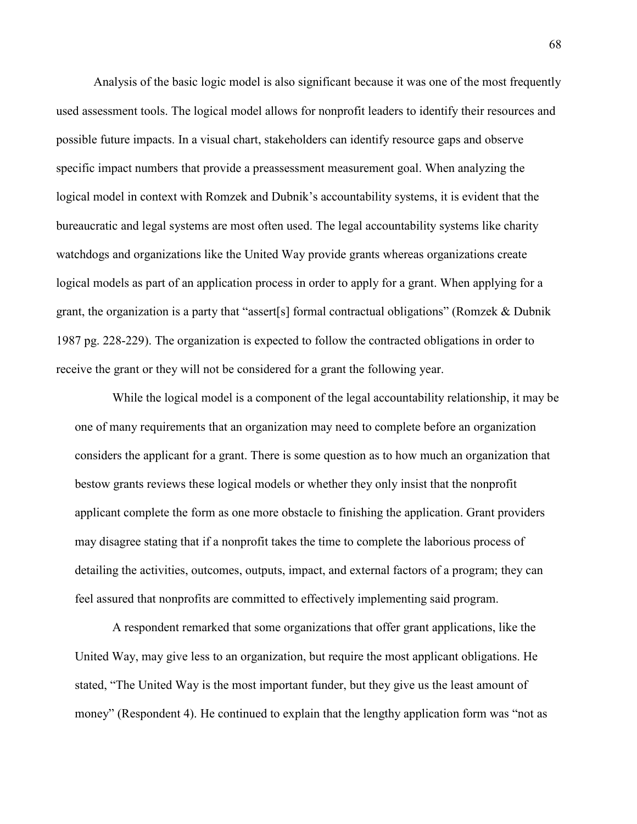Analysis of the basic logic model is also significant because it was one of the most frequently used assessment tools. The logical model allows for nonprofit leaders to identify their resources and possible future impacts. In a visual chart, stakeholders can identify resource gaps and observe specific impact numbers that provide a preassessment measurement goal. When analyzing the logical model in context with Romzek and Dubnik's accountability systems, it is evident that the bureaucratic and legal systems are most often used. The legal accountability systems like charity watchdogs and organizations like the United Way provide grants whereas organizations create logical models as part of an application process in order to apply for a grant. When applying for a grant, the organization is a party that "assert[s] formal contractual obligations" (Romzek & Dubnik 1987 pg. 228-229). The organization is expected to follow the contracted obligations in order to receive the grant or they will not be considered for a grant the following year.

While the logical model is a component of the legal accountability relationship, it may be one of many requirements that an organization may need to complete before an organization considers the applicant for a grant. There is some question as to how much an organization that bestow grants reviews these logical models or whether they only insist that the nonprofit applicant complete the form as one more obstacle to finishing the application. Grant providers may disagree stating that if a nonprofit takes the time to complete the laborious process of detailing the activities, outcomes, outputs, impact, and external factors of a program; they can feel assured that nonprofits are committed to effectively implementing said program.

A respondent remarked that some organizations that offer grant applications, like the United Way, may give less to an organization, but require the most applicant obligations. He stated, "The United Way is the most important funder, but they give us the least amount of money" (Respondent 4). He continued to explain that the lengthy application form was "not as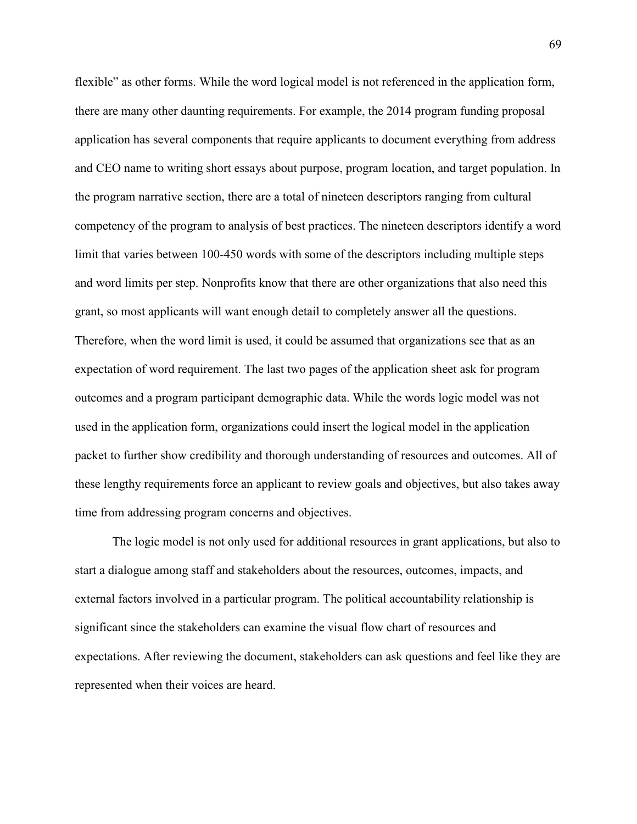flexible" as other forms. While the word logical model is not referenced in the application form, there are many other daunting requirements. For example, the 2014 program funding proposal application has several components that require applicants to document everything from address and CEO name to writing short essays about purpose, program location, and target population. In the program narrative section, there are a total of nineteen descriptors ranging from cultural competency of the program to analysis of best practices. The nineteen descriptors identify a word limit that varies between 100-450 words with some of the descriptors including multiple steps and word limits per step. Nonprofits know that there are other organizations that also need this grant, so most applicants will want enough detail to completely answer all the questions. Therefore, when the word limit is used, it could be assumed that organizations see that as an expectation of word requirement. The last two pages of the application sheet ask for program outcomes and a program participant demographic data. While the words logic model was not used in the application form, organizations could insert the logical model in the application packet to further show credibility and thorough understanding of resources and outcomes. All of these lengthy requirements force an applicant to review goals and objectives, but also takes away time from addressing program concerns and objectives.

The logic model is not only used for additional resources in grant applications, but also to start a dialogue among staff and stakeholders about the resources, outcomes, impacts, and external factors involved in a particular program. The political accountability relationship is significant since the stakeholders can examine the visual flow chart of resources and expectations. After reviewing the document, stakeholders can ask questions and feel like they are represented when their voices are heard.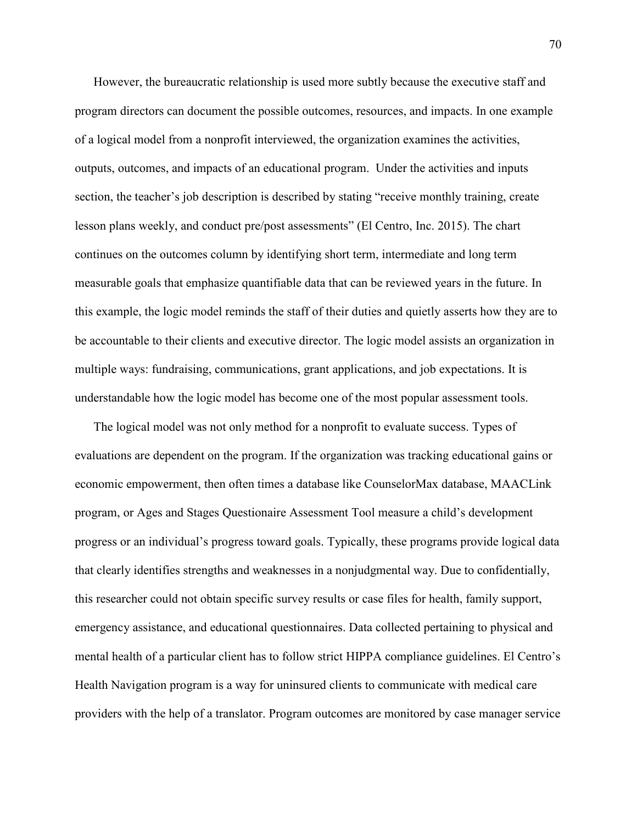However, the bureaucratic relationship is used more subtly because the executive staff and program directors can document the possible outcomes, resources, and impacts. In one example of a logical model from a nonprofit interviewed, the organization examines the activities, outputs, outcomes, and impacts of an educational program. Under the activities and inputs section, the teacher's job description is described by stating "receive monthly training, create lesson plans weekly, and conduct pre/post assessments" (El Centro, Inc. 2015). The chart continues on the outcomes column by identifying short term, intermediate and long term measurable goals that emphasize quantifiable data that can be reviewed years in the future. In this example, the logic model reminds the staff of their duties and quietly asserts how they are to be accountable to their clients and executive director. The logic model assists an organization in multiple ways: fundraising, communications, grant applications, and job expectations. It is understandable how the logic model has become one of the most popular assessment tools.

The logical model was not only method for a nonprofit to evaluate success. Types of evaluations are dependent on the program. If the organization was tracking educational gains or economic empowerment, then often times a database like CounselorMax database, MAACLink program, or Ages and Stages Questionaire Assessment Tool measure a child's development progress or an individual's progress toward goals. Typically, these programs provide logical data that clearly identifies strengths and weaknesses in a nonjudgmental way. Due to confidentially, this researcher could not obtain specific survey results or case files for health, family support, emergency assistance, and educational questionnaires. Data collected pertaining to physical and mental health of a particular client has to follow strict HIPPA compliance guidelines. El Centro's Health Navigation program is a way for uninsured clients to communicate with medical care providers with the help of a translator. Program outcomes are monitored by case manager service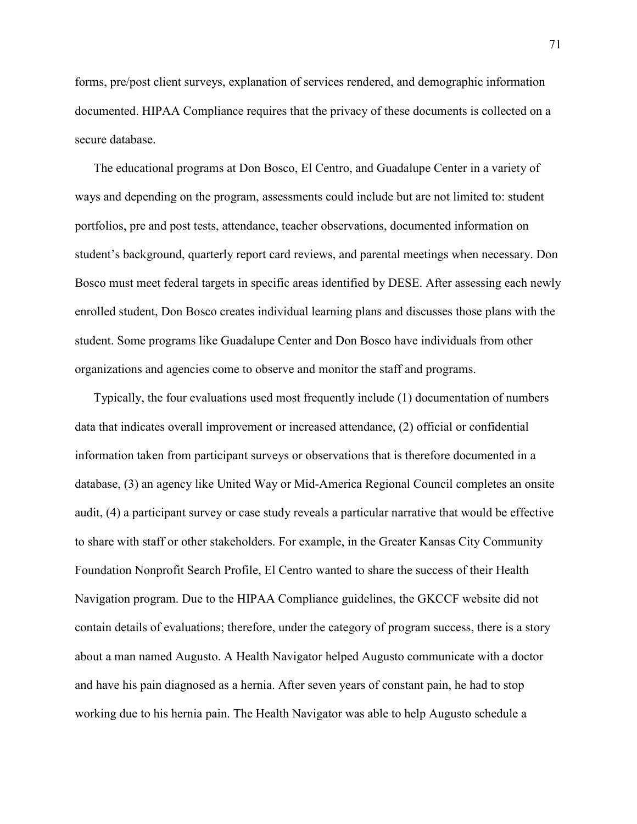forms, pre/post client surveys, explanation of services rendered, and demographic information documented. HIPAA Compliance requires that the privacy of these documents is collected on a secure database.

The educational programs at Don Bosco, El Centro, and Guadalupe Center in a variety of ways and depending on the program, assessments could include but are not limited to: student portfolios, pre and post tests, attendance, teacher observations, documented information on student's background, quarterly report card reviews, and parental meetings when necessary. Don Bosco must meet federal targets in specific areas identified by DESE. After assessing each newly enrolled student, Don Bosco creates individual learning plans and discusses those plans with the student. Some programs like Guadalupe Center and Don Bosco have individuals from other organizations and agencies come to observe and monitor the staff and programs.

Typically, the four evaluations used most frequently include (1) documentation of numbers data that indicates overall improvement or increased attendance, (2) official or confidential information taken from participant surveys or observations that is therefore documented in a database, (3) an agency like United Way or Mid-America Regional Council completes an onsite audit, (4) a participant survey or case study reveals a particular narrative that would be effective to share with staff or other stakeholders. For example, in the Greater Kansas City Community Foundation Nonprofit Search Profile, El Centro wanted to share the success of their Health Navigation program. Due to the HIPAA Compliance guidelines, the GKCCF website did not contain details of evaluations; therefore, under the category of program success, there is a story about a man named Augusto. A Health Navigator helped Augusto communicate with a doctor and have his pain diagnosed as a hernia. After seven years of constant pain, he had to stop working due to his hernia pain. The Health Navigator was able to help Augusto schedule a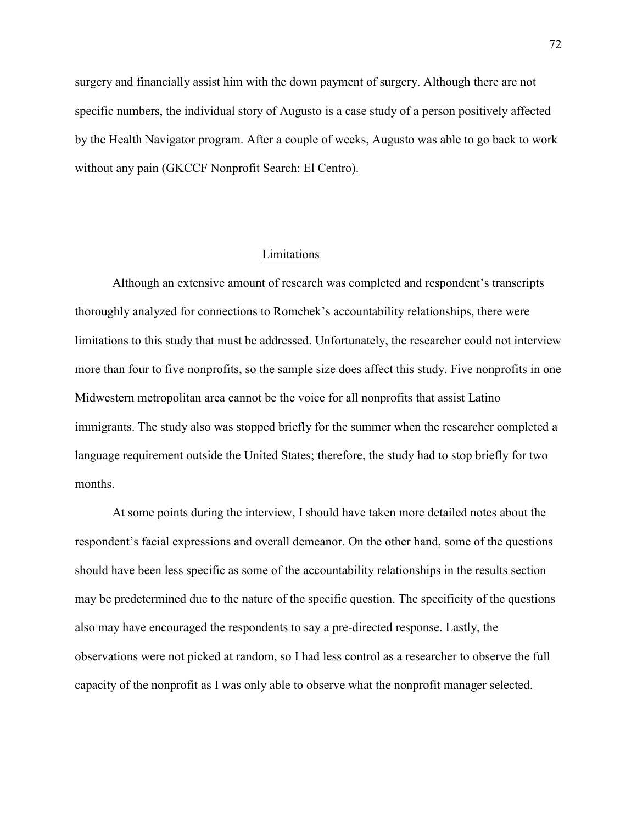surgery and financially assist him with the down payment of surgery. Although there are not specific numbers, the individual story of Augusto is a case study of a person positively affected by the Health Navigator program. After a couple of weeks, Augusto was able to go back to work without any pain (GKCCF Nonprofit Search: El Centro).

# Limitations

 Although an extensive amount of research was completed and respondent's transcripts thoroughly analyzed for connections to Romchek's accountability relationships, there were limitations to this study that must be addressed. Unfortunately, the researcher could not interview more than four to five nonprofits, so the sample size does affect this study. Five nonprofits in one Midwestern metropolitan area cannot be the voice for all nonprofits that assist Latino immigrants. The study also was stopped briefly for the summer when the researcher completed a language requirement outside the United States; therefore, the study had to stop briefly for two months.

At some points during the interview, I should have taken more detailed notes about the respondent's facial expressions and overall demeanor. On the other hand, some of the questions should have been less specific as some of the accountability relationships in the results section may be predetermined due to the nature of the specific question. The specificity of the questions also may have encouraged the respondents to say a pre-directed response. Lastly, the observations were not picked at random, so I had less control as a researcher to observe the full capacity of the nonprofit as I was only able to observe what the nonprofit manager selected.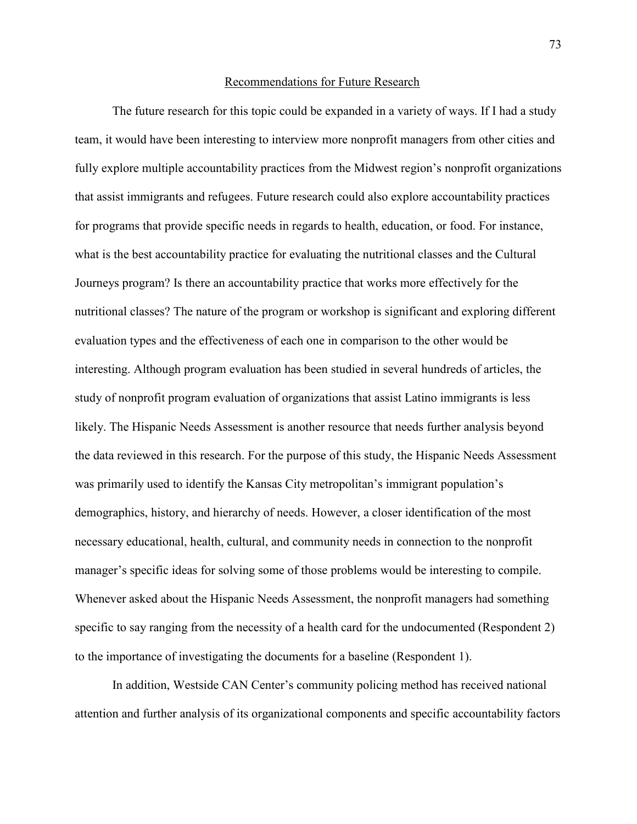#### Recommendations for Future Research

The future research for this topic could be expanded in a variety of ways. If I had a study team, it would have been interesting to interview more nonprofit managers from other cities and fully explore multiple accountability practices from the Midwest region's nonprofit organizations that assist immigrants and refugees. Future research could also explore accountability practices for programs that provide specific needs in regards to health, education, or food. For instance, what is the best accountability practice for evaluating the nutritional classes and the Cultural Journeys program? Is there an accountability practice that works more effectively for the nutritional classes? The nature of the program or workshop is significant and exploring different evaluation types and the effectiveness of each one in comparison to the other would be interesting. Although program evaluation has been studied in several hundreds of articles, the study of nonprofit program evaluation of organizations that assist Latino immigrants is less likely. The Hispanic Needs Assessment is another resource that needs further analysis beyond the data reviewed in this research. For the purpose of this study, the Hispanic Needs Assessment was primarily used to identify the Kansas City metropolitan's immigrant population's demographics, history, and hierarchy of needs. However, a closer identification of the most necessary educational, health, cultural, and community needs in connection to the nonprofit manager's specific ideas for solving some of those problems would be interesting to compile. Whenever asked about the Hispanic Needs Assessment, the nonprofit managers had something specific to say ranging from the necessity of a health card for the undocumented (Respondent 2) to the importance of investigating the documents for a baseline (Respondent 1).

 In addition, Westside CAN Center's community policing method has received national attention and further analysis of its organizational components and specific accountability factors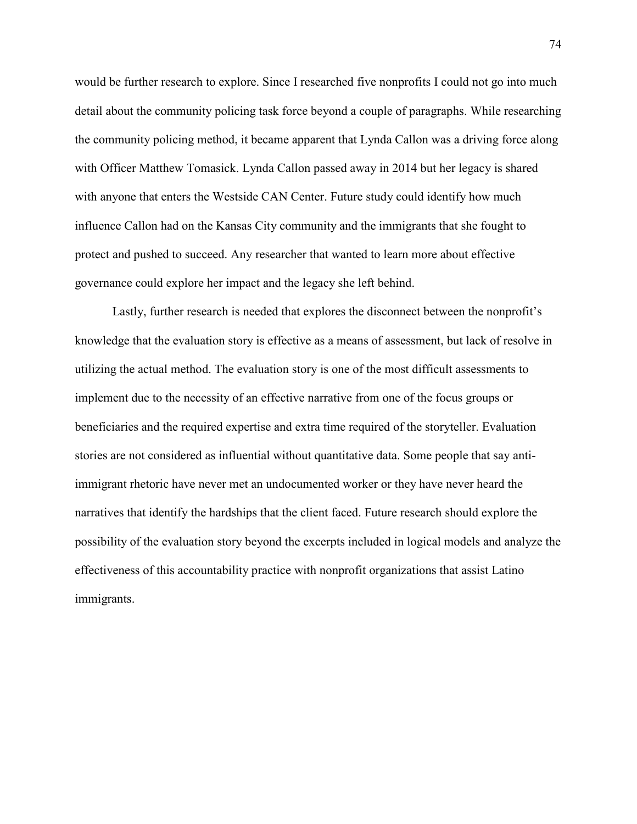would be further research to explore. Since I researched five nonprofits I could not go into much detail about the community policing task force beyond a couple of paragraphs. While researching the community policing method, it became apparent that Lynda Callon was a driving force along with Officer Matthew Tomasick. Lynda Callon passed away in 2014 but her legacy is shared with anyone that enters the Westside CAN Center. Future study could identify how much influence Callon had on the Kansas City community and the immigrants that she fought to protect and pushed to succeed. Any researcher that wanted to learn more about effective governance could explore her impact and the legacy she left behind.

Lastly, further research is needed that explores the disconnect between the nonprofit's knowledge that the evaluation story is effective as a means of assessment, but lack of resolve in utilizing the actual method. The evaluation story is one of the most difficult assessments to implement due to the necessity of an effective narrative from one of the focus groups or beneficiaries and the required expertise and extra time required of the storyteller. Evaluation stories are not considered as influential without quantitative data. Some people that say antiimmigrant rhetoric have never met an undocumented worker or they have never heard the narratives that identify the hardships that the client faced. Future research should explore the possibility of the evaluation story beyond the excerpts included in logical models and analyze the effectiveness of this accountability practice with nonprofit organizations that assist Latino immigrants.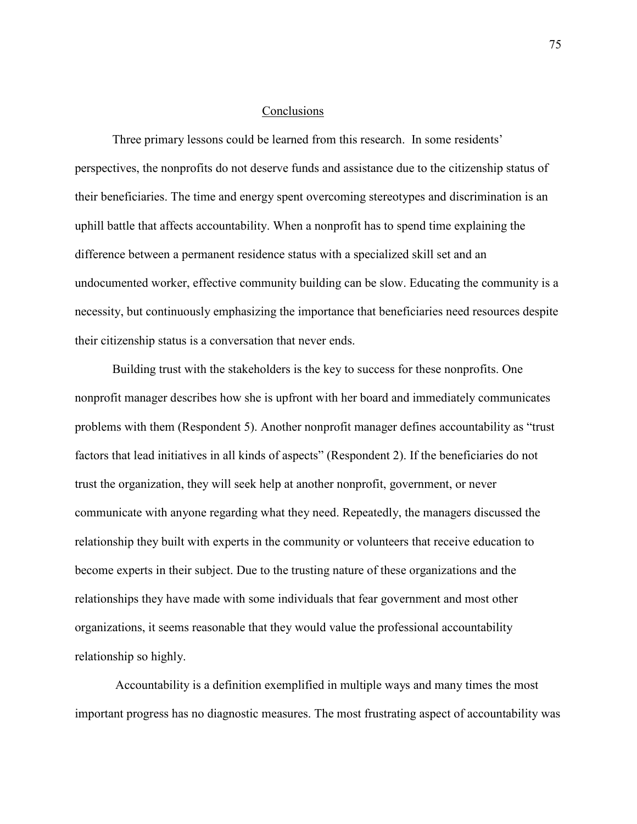# Conclusions

Three primary lessons could be learned from this research. In some residents' perspectives, the nonprofits do not deserve funds and assistance due to the citizenship status of their beneficiaries. The time and energy spent overcoming stereotypes and discrimination is an uphill battle that affects accountability. When a nonprofit has to spend time explaining the difference between a permanent residence status with a specialized skill set and an undocumented worker, effective community building can be slow. Educating the community is a necessity, but continuously emphasizing the importance that beneficiaries need resources despite their citizenship status is a conversation that never ends.

Building trust with the stakeholders is the key to success for these nonprofits. One nonprofit manager describes how she is upfront with her board and immediately communicates problems with them (Respondent 5). Another nonprofit manager defines accountability as "trust factors that lead initiatives in all kinds of aspects" (Respondent 2). If the beneficiaries do not trust the organization, they will seek help at another nonprofit, government, or never communicate with anyone regarding what they need. Repeatedly, the managers discussed the relationship they built with experts in the community or volunteers that receive education to become experts in their subject. Due to the trusting nature of these organizations and the relationships they have made with some individuals that fear government and most other organizations, it seems reasonable that they would value the professional accountability relationship so highly.

 Accountability is a definition exemplified in multiple ways and many times the most important progress has no diagnostic measures. The most frustrating aspect of accountability was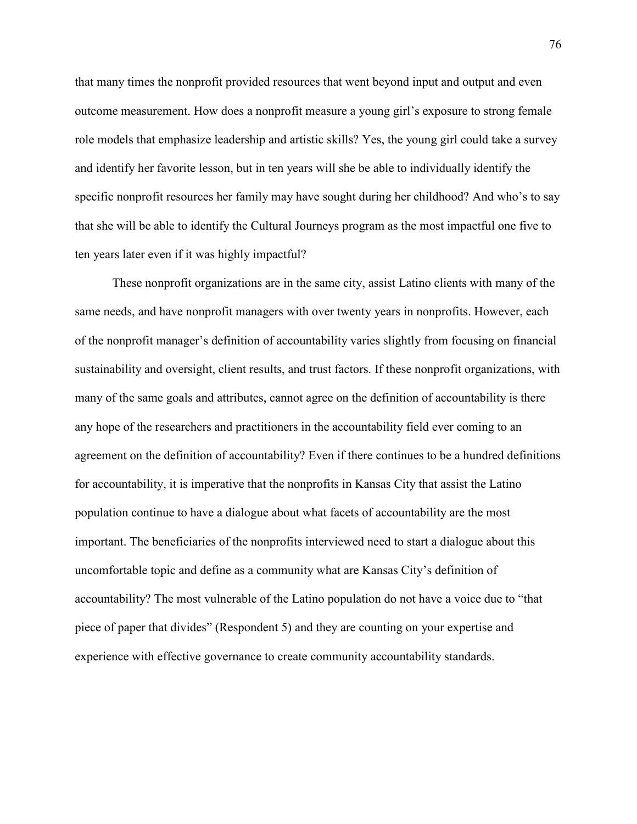that many times the nonprofit provided resources that went beyond input and output and even outcome measurement. How does a nonprofit measure a young girl's exposure to strong female role models that emphasize leadership and artistic skills? Yes, the young girl could take a survey and identify her favorite lesson, but in ten years will she be able to individually identify the specific nonprofit resources her family may have sought during her childhood? And who's to say that she will be able to identify the Cultural Journeys program as the most impactful one five to ten years later even if it was highly impactful?

 These nonprofit organizations are in the same city, assist Latino clients with many of the same needs, and have nonprofit managers with over twenty years in nonprofits. However, each of the nonprofit manager's definition of accountability varies slightly from focusing on financial sustainability and oversight, client results, and trust factors. If these nonprofit organizations, with many of the same goals and attributes, cannot agree on the definition of accountability is there any hope of the researchers and practitioners in the accountability field ever coming to an agreement on the definition of accountability? Even if there continues to be a hundred definitions for accountability, it is imperative that the nonprofits in Kansas City that assist the Latino population continue to have a dialogue about what facets of accountability are the most important. The beneficiaries of the nonprofits interviewed need to start a dialogue about this uncomfortable topic and define as a community what are Kansas City's definition of accountability? The most vulnerable of the Latino population do not have a voice due to "that piece of paper that divides" (Respondent 5) and they are counting on your expertise and experience with effective governance to create community accountability standards.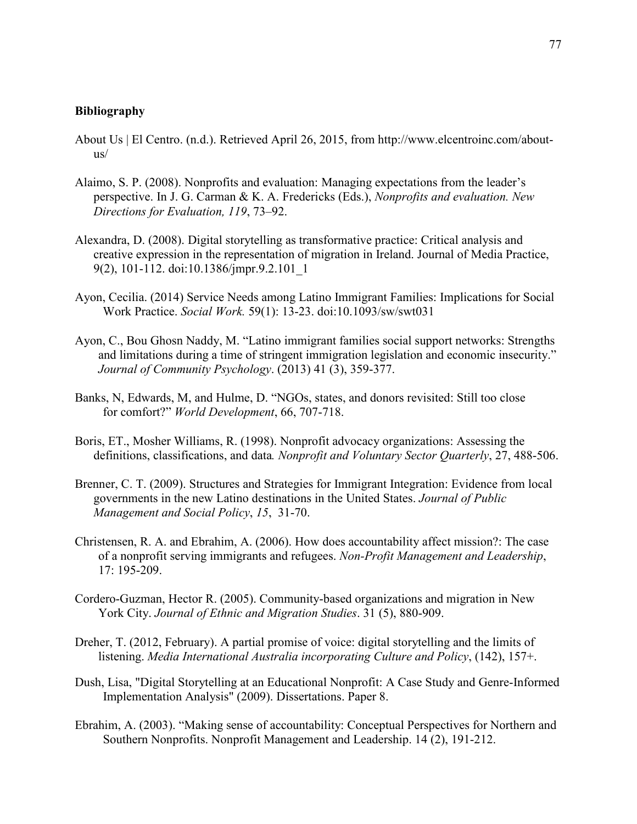# **Bibliography**

- About Us | El Centro. (n.d.). Retrieved April 26, 2015, from http://www.elcentroinc.com/aboutus/
- Alaimo, S. P. (2008). Nonprofits and evaluation: Managing expectations from the leader's perspective. In J. G. Carman & K. A. Fredericks (Eds.), *Nonprofits and evaluation. New Directions for Evaluation, 119*, 73–92.
- Alexandra, D. (2008). Digital storytelling as transformative practice: Critical analysis and creative expression in the representation of migration in Ireland. Journal of Media Practice, 9(2), 101-112. doi:10.1386/jmpr.9.2.101\_1
- Ayon, Cecilia. (2014) Service Needs among Latino Immigrant Families: Implications for Social Work Practice. *Social Work.* 59(1): 13-23. doi:10.1093/sw/swt031
- Ayon, C., Bou Ghosn Naddy, M. "Latino immigrant families social support networks: Strengths and limitations during a time of stringent immigration legislation and economic insecurity." *Journal of Community Psychology*. (2013) 41 (3), 359-377.
- Banks, N, Edwards, M, and Hulme, D. "NGOs, states, and donors revisited: Still too close for comfort?" *World Development*, 66, 707-718.
- Boris, ET., Mosher Williams, R. (1998). Nonprofit advocacy organizations: Assessing the definitions, classifications, and data*. Nonprofit and Voluntary Sector Quarterly*, 27, 488-506.
- Brenner, C. T. (2009). Structures and Strategies for Immigrant Integration: Evidence from local governments in the new Latino destinations in the United States. *Journal of Public Management and Social Policy*, *15*, 31-70.
- Christensen, R. A. and Ebrahim, A. (2006). How does accountability affect mission?: The case of a nonprofit serving immigrants and refugees. *Non-Profit Management and Leadership*, 17: 195-209.
- Cordero-Guzman, Hector R. (2005). Community-based organizations and migration in New York City. *Journal of Ethnic and Migration Studies*. 31 (5), 880-909.
- Dreher, T. (2012, February). A partial promise of voice: digital storytelling and the limits of listening. *Media International Australia incorporating Culture and Policy*, (142), 157+.
- Dush, Lisa, "Digital Storytelling at an Educational Nonprofit: A Case Study and Genre-Informed Implementation Analysis" (2009). Dissertations. Paper 8.
- Ebrahim, A. (2003). "Making sense of accountability: Conceptual Perspectives for Northern and Southern Nonprofits. Nonprofit Management and Leadership. 14 (2), 191-212.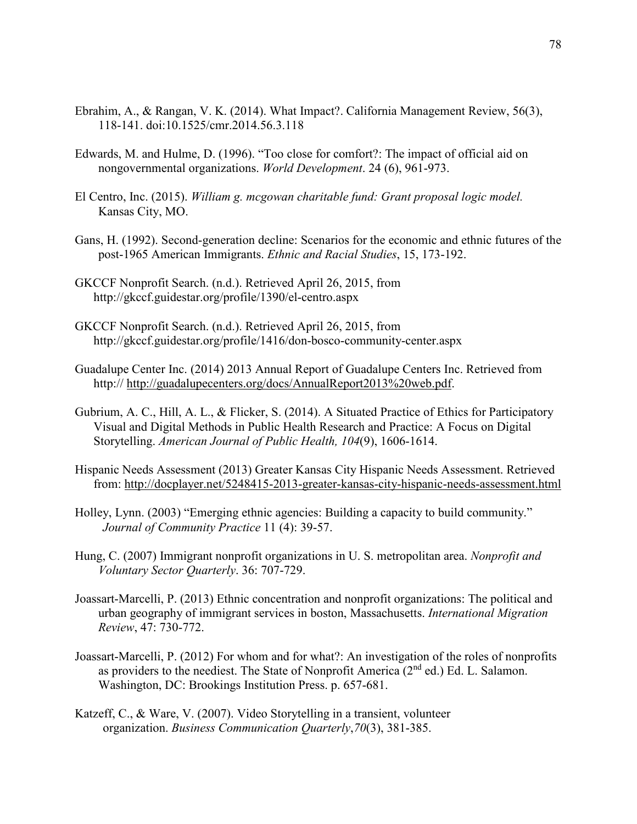- Ebrahim, A., & Rangan, V. K. (2014). What Impact?. California Management Review, 56(3), 118-141. doi:10.1525/cmr.2014.56.3.118
- Edwards, M. and Hulme, D. (1996). "Too close for comfort?: The impact of official aid on nongovernmental organizations. *World Development*. 24 (6), 961-973.
- El Centro, Inc. (2015). *William g. mcgowan charitable fund: Grant proposal logic model.* Kansas City, MO.
- Gans, H. (1992). Second-generation decline: Scenarios for the economic and ethnic futures of the post-1965 American Immigrants. *Ethnic and Racial Studies*, 15, 173-192.
- GKCCF Nonprofit Search. (n.d.). Retrieved April 26, 2015, from http://gkccf.guidestar.org/profile/1390/el-centro.aspx
- GKCCF Nonprofit Search. (n.d.). Retrieved April 26, 2015, from http://gkccf.guidestar.org/profile/1416/don-bosco-community-center.aspx
- Guadalupe Center Inc. (2014) 2013 Annual Report of Guadalupe Centers Inc. Retrieved from http:// http://guadalupecenters.org/docs/AnnualReport2013%20web.pdf.
- Gubrium, A. C., Hill, A. L., & Flicker, S. (2014). A Situated Practice of Ethics for Participatory Visual and Digital Methods in Public Health Research and Practice: A Focus on Digital Storytelling. *American Journal of Public Health, 104*(9), 1606-1614.
- Hispanic Needs Assessment (2013) Greater Kansas City Hispanic Needs Assessment. Retrieved from: http://docplayer.net/5248415-2013-greater-kansas-city-hispanic-needs-assessment.html
- Holley, Lynn. (2003) "Emerging ethnic agencies: Building a capacity to build community." *Journal of Community Practice* 11 (4): 39-57.
- Hung, C. (2007) Immigrant nonprofit organizations in U. S. metropolitan area. *Nonprofit and Voluntary Sector Quarterly*. 36: 707-729.
- Joassart-Marcelli, P. (2013) Ethnic concentration and nonprofit organizations: The political and urban geography of immigrant services in boston, Massachusetts. *International Migration Review*, 47: 730-772.
- Joassart-Marcelli, P. (2012) For whom and for what?: An investigation of the roles of nonprofits as providers to the neediest. The State of Nonprofit America (2<sup>nd</sup> ed.) Ed. L. Salamon. Washington, DC: Brookings Institution Press. p. 657-681.
- Katzeff, C., & Ware, V. (2007). Video Storytelling in a transient, volunteer organization. *Business Communication Quarterly*,*70*(3), 381-385.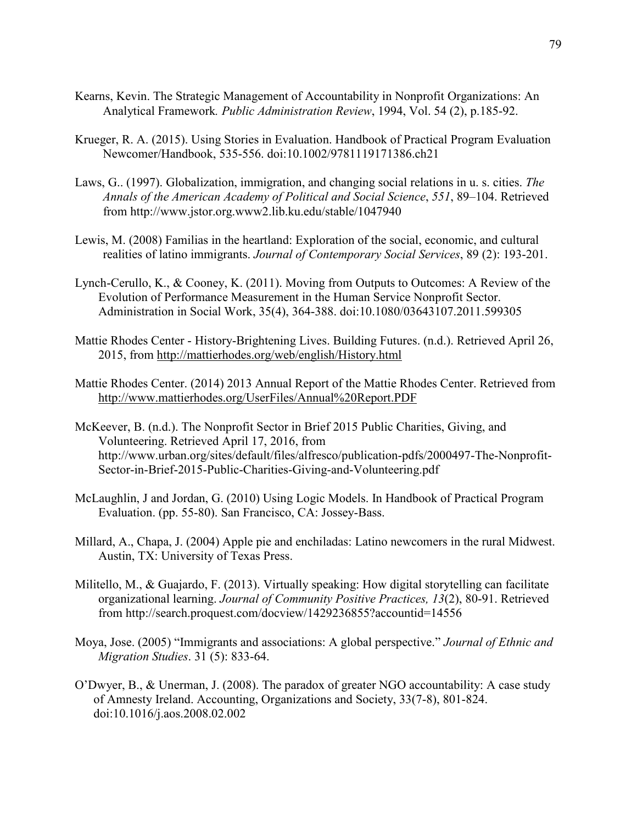- Kearns, Kevin. The Strategic Management of Accountability in Nonprofit Organizations: An Analytical Framework*. Public Administration Review*, 1994, Vol. 54 (2), p.185-92.
- Krueger, R. A. (2015). Using Stories in Evaluation. Handbook of Practical Program Evaluation Newcomer/Handbook, 535-556. doi:10.1002/9781119171386.ch21
- Laws, G.. (1997). Globalization, immigration, and changing social relations in u. s. cities. *The Annals of the American Academy of Political and Social Science*, *551*, 89–104. Retrieved from http://www.jstor.org.www2.lib.ku.edu/stable/1047940
- Lewis, M. (2008) Familias in the heartland: Exploration of the social, economic, and cultural realities of latino immigrants. *Journal of Contemporary Social Services*, 89 (2): 193-201.
- Lynch-Cerullo, K., & Cooney, K. (2011). Moving from Outputs to Outcomes: A Review of the Evolution of Performance Measurement in the Human Service Nonprofit Sector. Administration in Social Work, 35(4), 364-388. doi:10.1080/03643107.2011.599305
- Mattie Rhodes Center History-Brightening Lives. Building Futures. (n.d.). Retrieved April 26, 2015, from http://mattierhodes.org/web/english/History.html
- Mattie Rhodes Center. (2014) 2013 Annual Report of the Mattie Rhodes Center. Retrieved from http://www.mattierhodes.org/UserFiles/Annual%20Report.PDF
- McKeever, B. (n.d.). The Nonprofit Sector in Brief 2015 Public Charities, Giving, and Volunteering. Retrieved April 17, 2016, from http://www.urban.org/sites/default/files/alfresco/publication-pdfs/2000497-The-Nonprofit-Sector-in-Brief-2015-Public-Charities-Giving-and-Volunteering.pdf
- McLaughlin, J and Jordan, G. (2010) Using Logic Models. In Handbook of Practical Program Evaluation. (pp. 55-80). San Francisco, CA: Jossey-Bass.
- Millard, A., Chapa, J. (2004) Apple pie and enchiladas: Latino newcomers in the rural Midwest. Austin, TX: University of Texas Press.
- Militello, M., & Guajardo, F. (2013). Virtually speaking: How digital storytelling can facilitate organizational learning. *Journal of Community Positive Practices, 13*(2), 80-91. Retrieved from http://search.proquest.com/docview/1429236855?accountid=14556
- Moya, Jose. (2005) "Immigrants and associations: A global perspective." *Journal of Ethnic and Migration Studies*. 31 (5): 833-64.
- O'Dwyer, B., & Unerman, J. (2008). The paradox of greater NGO accountability: A case study of Amnesty Ireland. Accounting, Organizations and Society, 33(7-8), 801-824. doi:10.1016/j.aos.2008.02.002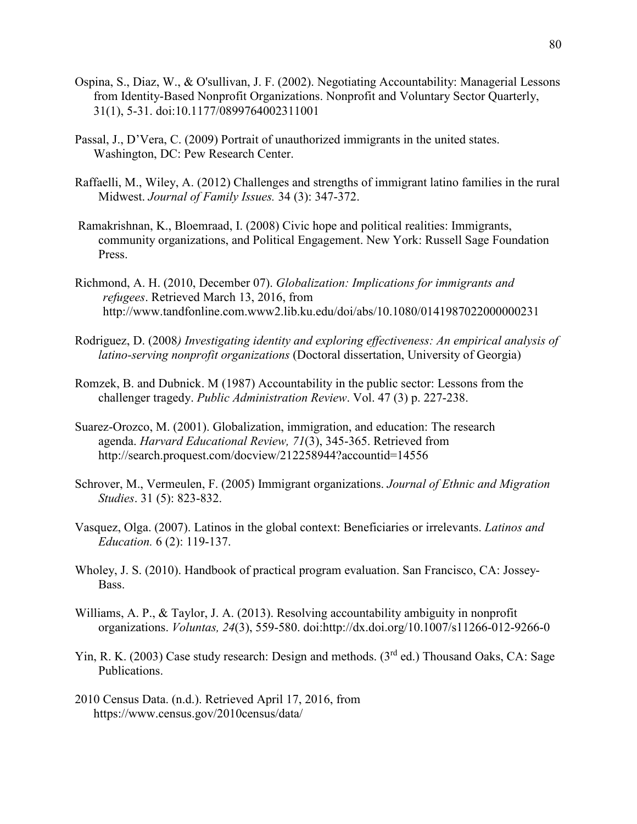- Ospina, S., Diaz, W., & O'sullivan, J. F. (2002). Negotiating Accountability: Managerial Lessons from Identity-Based Nonprofit Organizations. Nonprofit and Voluntary Sector Quarterly, 31(1), 5-31. doi:10.1177/0899764002311001
- Passal, J., D'Vera, C. (2009) Portrait of unauthorized immigrants in the united states. Washington, DC: Pew Research Center.
- Raffaelli, M., Wiley, A. (2012) Challenges and strengths of immigrant latino families in the rural Midwest. *Journal of Family Issues.* 34 (3): 347-372.
- Ramakrishnan, K., Bloemraad, I. (2008) Civic hope and political realities: Immigrants, community organizations, and Political Engagement. New York: Russell Sage Foundation Press.
- Richmond, A. H. (2010, December 07). *Globalization: Implications for immigrants and refugees*. Retrieved March 13, 2016, from http://www.tandfonline.com.www2.lib.ku.edu/doi/abs/10.1080/0141987022000000231
- Rodriguez, D. (2008*) Investigating identity and exploring effectiveness: An empirical analysis of latino-serving nonprofit organizations* (Doctoral dissertation, University of Georgia)
- Romzek, B. and Dubnick. M (1987) Accountability in the public sector: Lessons from the challenger tragedy. *Public Administration Review*. Vol. 47 (3) p. 227-238.
- Suarez-Orozco, M. (2001). Globalization, immigration, and education: The research agenda. *Harvard Educational Review, 71*(3), 345-365. Retrieved from http://search.proquest.com/docview/212258944?accountid=14556
- Schrover, M., Vermeulen, F. (2005) Immigrant organizations. *Journal of Ethnic and Migration Studies*. 31 (5): 823-832.
- Vasquez, Olga. (2007). Latinos in the global context: Beneficiaries or irrelevants. *Latinos and Education.* 6 (2): 119-137.
- Wholey, J. S. (2010). Handbook of practical program evaluation. San Francisco, CA: Jossey-Bass.
- Williams, A. P., & Taylor, J. A. (2013). Resolving accountability ambiguity in nonprofit organizations. *Voluntas, 24*(3), 559-580. doi:http://dx.doi.org/10.1007/s11266-012-9266-0
- Yin, R. K. (2003) Case study research: Design and methods. (3<sup>rd</sup> ed.) Thousand Oaks, CA: Sage Publications.
- 2010 Census Data. (n.d.). Retrieved April 17, 2016, from https://www.census.gov/2010census/data/